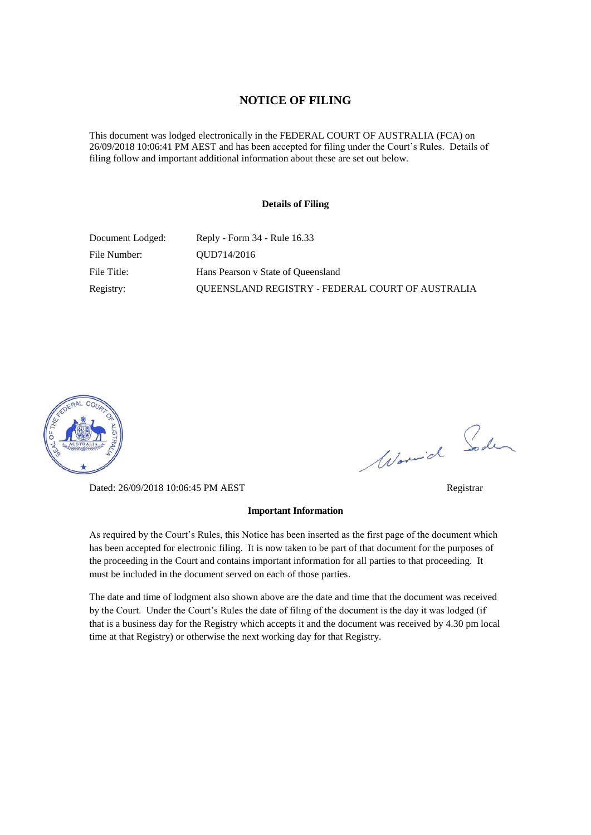#### **NOTICE OF FILING**

This document was lodged electronically in the FEDERAL COURT OF AUSTRALIA (FCA) on 26/09/2018 10:06:41 PM AEST and has been accepted for filing under the Court's Rules. Details of filing follow and important additional information about these are set out below.

#### **Details of Filing**

| Document Lodged: | Reply - Form 34 - Rule 16.33                            |
|------------------|---------------------------------------------------------|
| File Number:     | OUD714/2016                                             |
| File Title:      | Hans Pearson v State of Queensland                      |
| Registry:        | <b>OUEENSLAND REGISTRY - FEDERAL COURT OF AUSTRALIA</b> |



Dated: 26/09/2018 10:06:45 PM AEST Registrar

# Worwich Soden

# **Important Information**

As required by the Court's Rules, this Notice has been inserted as the first page of the document which has been accepted for electronic filing. It is now taken to be part of that document for the purposes of the proceeding in the Court and contains important information for all parties to that proceeding. It must be included in the document served on each of those parties.

The date and time of lodgment also shown above are the date and time that the document was received by the Court. Under the Court's Rules the date of filing of the document is the day it was lodged (if that is a business day for the Registry which accepts it and the document was received by 4.30 pm local time at that Registry) or otherwise the next working day for that Registry.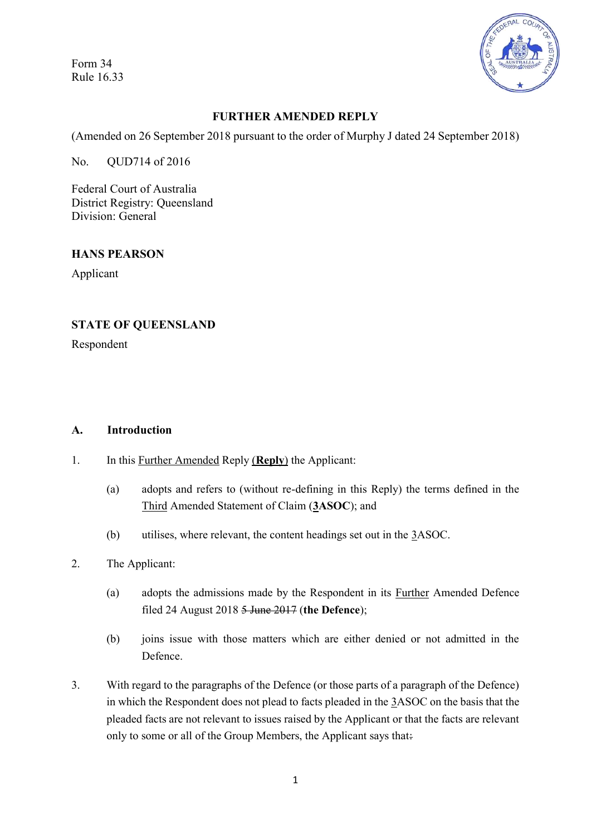Form 34 Rule 16.33



# **FURTHER AMENDED REPLY**

(Amended on 26 September 2018 pursuant to the order of Murphy J dated 24 September 2018)

No. QUD714 of 2016

Federal Court of Australia District Registry: Queensland Division: General

#### **HANS PEARSON**

Applicant

#### **STATE OF QUEENSLAND**

Respondent

#### **A. Introduction**

- 1. In this Further Amended Reply (**Reply**) the Applicant:
	- (a) adopts and refers to (without re-defining in this Reply) the terms defined in the Third Amended Statement of Claim (**3ASOC**); and
	- (b) utilises, where relevant, the content headings set out in the 3ASOC.
- 2. The Applicant:
	- (a) adopts the admissions made by the Respondent in its Further Amended Defence filed 24 August 2018 5 June 2017 (**the Defence**);
	- (b) joins issue with those matters which are either denied or not admitted in the Defence.
- 3. With regard to the paragraphs of the Defence (or those parts of a paragraph of the Defence) in which the Respondent does not plead to facts pleaded in the 3ASOC on the basis that the pleaded facts are not relevant to issues raised by the Applicant or that the facts are relevant only to some or all of the Group Members, the Applicant says that: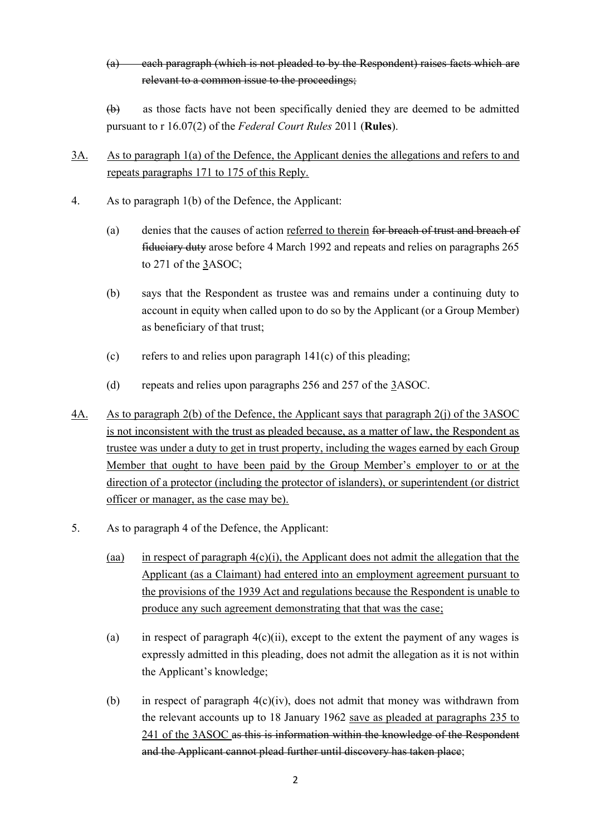(a) each paragraph (which is not pleaded to by the Respondent) raises facts which are relevant to a common issue to the proceedings;

(b) as those facts have not been specifically denied they are deemed to be admitted pursuant to r 16.07(2) of the *Federal Court Rules* 2011 (**Rules**).

- 3A. As to paragraph 1(a) of the Defence, the Applicant denies the allegations and refers to and repeats paragraphs 171 to 175 of this Reply.
- 4. As to paragraph 1(b) of the Defence, the Applicant:
	- (a) denies that the causes of action referred to therein for breach of trust and breach of fiduciary duty arose before 4 March 1992 and repeats and relies on paragraphs 265 to 271 of the 3ASOC;
	- (b) says that the Respondent as trustee was and remains under a continuing duty to account in equity when called upon to do so by the Applicant (or a Group Member) as beneficiary of that trust;
	- (c) refers to and relies upon paragraph  $141(c)$  of this pleading;
	- (d) repeats and relies upon paragraphs 256 and 257 of the 3ASOC.
- 4A. As to paragraph 2(b) of the Defence, the Applicant says that paragraph 2(j) of the 3ASOC is not inconsistent with the trust as pleaded because, as a matter of law, the Respondent as trustee was under a duty to get in trust property, including the wages earned by each Group Member that ought to have been paid by the Group Member's employer to or at the direction of a protector (including the protector of islanders), or superintendent (or district officer or manager, as the case may be).
- 5. As to paragraph 4 of the Defence, the Applicant:
	- (aa) in respect of paragraph  $4(c)(i)$ , the Applicant does not admit the allegation that the Applicant (as a Claimant) had entered into an employment agreement pursuant to the provisions of the 1939 Act and regulations because the Respondent is unable to produce any such agreement demonstrating that that was the case;
	- (a) in respect of paragraph  $4(c)(ii)$ , except to the extent the payment of any wages is expressly admitted in this pleading, does not admit the allegation as it is not within the Applicant's knowledge;
	- (b) in respect of paragraph  $4(c)(iv)$ , does not admit that money was withdrawn from the relevant accounts up to 18 January 1962 save as pleaded at paragraphs 235 to 241 of the 3ASOC as this is information within the knowledge of the Respondent and the Applicant cannot plead further until discovery has taken place;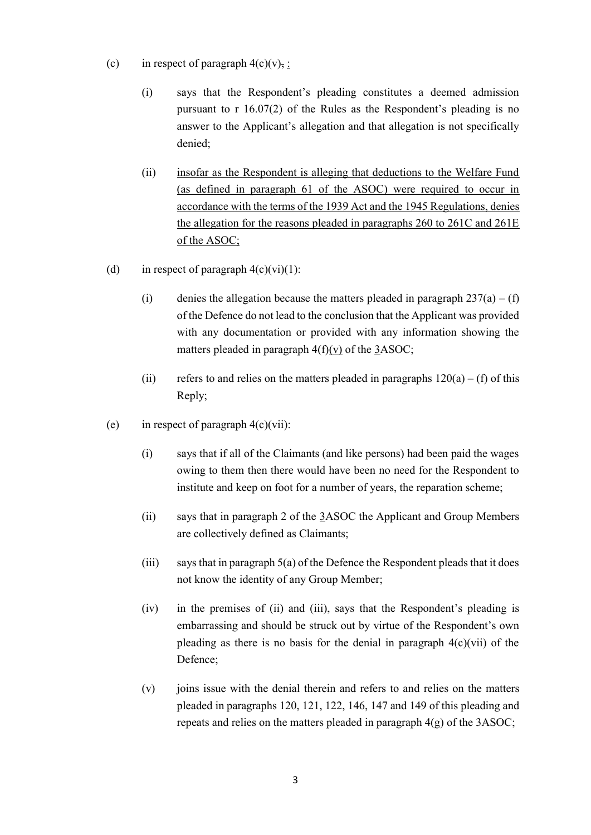- (c) in respect of paragraph  $4(c)(v)$ , :
	- (i) says that the Respondent's pleading constitutes a deemed admission pursuant to r 16.07(2) of the Rules as the Respondent's pleading is no answer to the Applicant's allegation and that allegation is not specifically denied;
	- (ii) insofar as the Respondent is alleging that deductions to the Welfare Fund (as defined in paragraph 61 of the ASOC) were required to occur in accordance with the terms of the 1939 Act and the 1945 Regulations, denies the allegation for the reasons pleaded in paragraphs 260 to 261C and 261E of the ASOC;
- (d) in respect of paragraph  $4(c)(vi)(1)$ :
	- (i) denies the allegation because the matters pleaded in paragraph  $237(a) (f)$ of the Defence do not lead to the conclusion that the Applicant was provided with any documentation or provided with any information showing the matters pleaded in paragraph  $4(f)(v)$  of the 3ASOC;
	- (ii) refers to and relies on the matters pleaded in paragraphs  $120(a) (f)$  of this Reply;
- (e) in respect of paragraph  $4(c)(vii)$ :
	- (i) says that if all of the Claimants (and like persons) had been paid the wages owing to them then there would have been no need for the Respondent to institute and keep on foot for a number of years, the reparation scheme;
	- (ii) says that in paragraph 2 of the 3ASOC the Applicant and Group Members are collectively defined as Claimants;
	- (iii) says that in paragraph  $5(a)$  of the Defence the Respondent pleads that it does not know the identity of any Group Member;
	- (iv) in the premises of (ii) and (iii), says that the Respondent's pleading is embarrassing and should be struck out by virtue of the Respondent's own pleading as there is no basis for the denial in paragraph  $4(c)(vi)$  of the Defence;
	- (v) joins issue with the denial therein and refers to and relies on the matters pleaded in paragraphs 120, 121, 122, 146, 147 and 149 of this pleading and repeats and relies on the matters pleaded in paragraph 4(g) of the 3ASOC;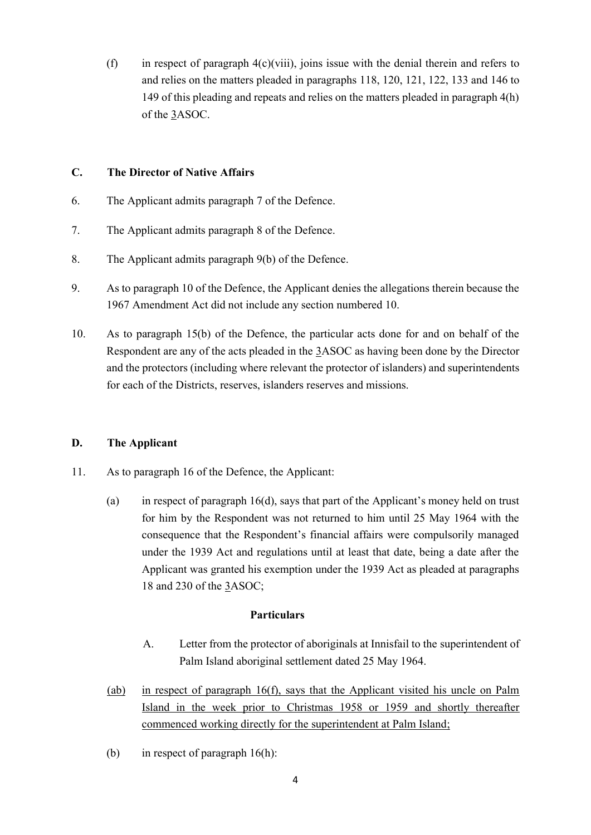(f) in respect of paragraph  $4(c)(viii)$ , joins issue with the denial therein and refers to and relies on the matters pleaded in paragraphs 118, 120, 121, 122, 133 and 146 to 149 of this pleading and repeats and relies on the matters pleaded in paragraph 4(h) of the 3ASOC.

### **C. The Director of Native Affairs**

- 6. The Applicant admits paragraph 7 of the Defence.
- 7. The Applicant admits paragraph 8 of the Defence.
- 8. The Applicant admits paragraph 9(b) of the Defence.
- 9. As to paragraph 10 of the Defence, the Applicant denies the allegations therein because the 1967 Amendment Act did not include any section numbered 10.
- 10. As to paragraph 15(b) of the Defence, the particular acts done for and on behalf of the Respondent are any of the acts pleaded in the 3ASOC as having been done by the Director and the protectors (including where relevant the protector of islanders) and superintendents for each of the Districts, reserves, islanders reserves and missions.

# **D. The Applicant**

- <span id="page-4-0"></span>11. As to paragraph 16 of the Defence, the Applicant:
	- (a) in respect of paragraph 16(d), says that part of the Applicant's money held on trust for him by the Respondent was not returned to him until 25 May 1964 with the consequence that the Respondent's financial affairs were compulsorily managed under the 1939 Act and regulations until at least that date, being a date after the Applicant was granted his exemption under the 1939 Act as pleaded at paragraphs 18 and 230 of the 3ASOC;

#### **Particulars**

- A. Letter from the protector of aboriginals at Innisfail to the superintendent of Palm Island aboriginal settlement dated 25 May 1964.
- (ab) in respect of paragraph 16(f), says that the Applicant visited his uncle on Palm Island in the week prior to Christmas 1958 or 1959 and shortly thereafter commenced working directly for the superintendent at Palm Island;
- (b) in respect of paragraph 16(h):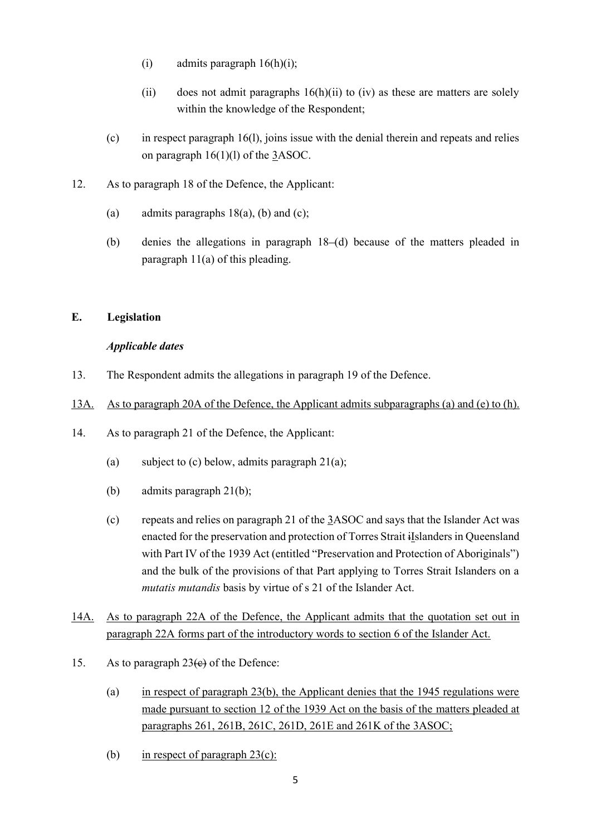- (i) admits paragraph  $16(h)(i)$ ;
- (ii) does not admit paragraphs  $16(h)(ii)$  to (iv) as these are matters are solely within the knowledge of the Respondent;
- (c) in respect paragraph 16(l), joins issue with the denial therein and repeats and relies on paragraph  $16(1)(1)$  of the  $3ASOC$ .
- 12. As to paragraph 18 of the Defence, the Applicant:
	- (a) admits paragraphs  $18(a)$ , (b) and (c);
	- (b) denies the allegations in paragraph 18–(d) because of the matters pleaded in paragraph [11\(a\)](#page-4-0) of this pleading.

# **E. Legislation**

#### *Applicable dates*

13. The Respondent admits the allegations in paragraph 19 of the Defence.

#### 13A. As to paragraph 20A of the Defence, the Applicant admits subparagraphs (a) and (e) to (h).

- 14. As to paragraph 21 of the Defence, the Applicant:
	- (a) subject to (c) below, admits paragraph  $21(a)$ ;
	- (b) admits paragraph 21(b);
	- (c) repeats and relies on paragraph 21 of the 3ASOC and says that the Islander Act was enacted for the preservation and protection of Torres Strait iIslanders in Queensland with Part IV of the 1939 Act (entitled "Preservation and Protection of Aboriginals") and the bulk of the provisions of that Part applying to Torres Strait Islanders on a *mutatis mutandis* basis by virtue of s 21 of the Islander Act.
- 14A. As to paragraph 22A of the Defence, the Applicant admits that the quotation set out in paragraph 22A forms part of the introductory words to section 6 of the Islander Act.
- 15. As to paragraph  $23(e)$  of the Defence:
	- (a) in respect of paragraph 23(b), the Applicant denies that the 1945 regulations were made pursuant to section 12 of the 1939 Act on the basis of the matters pleaded at paragraphs 261, 261B, 261C, 261D, 261E and 261K of the 3ASOC;
	- (b) in respect of paragraph  $23(c)$ :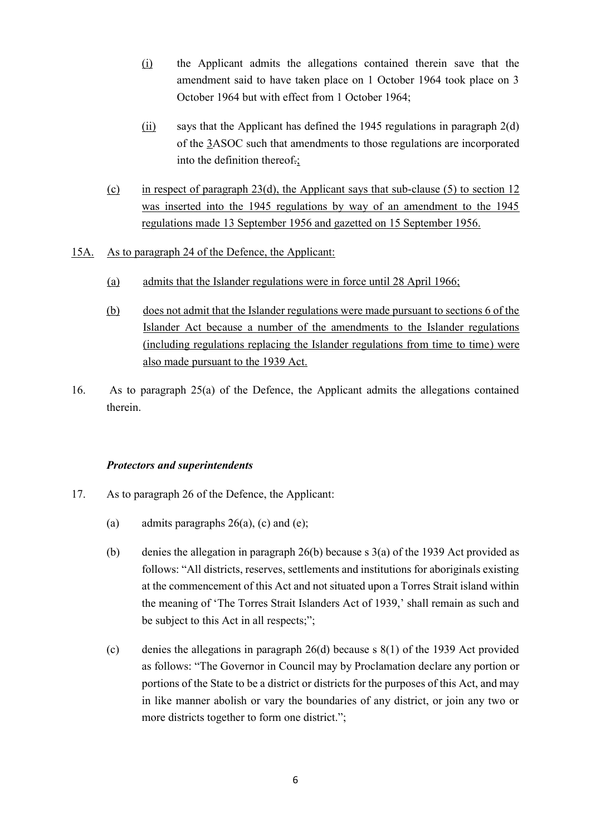- (i) the Applicant admits the allegations contained therein save that the amendment said to have taken place on 1 October 1964 took place on 3 October 1964 but with effect from 1 October 1964;
- (ii) says that the Applicant has defined the 1945 regulations in paragraph  $2(d)$ of the 3ASOC such that amendments to those regulations are incorporated into the definition thereof.;
- (c) in respect of paragraph  $23(d)$ , the Applicant says that sub-clause (5) to section 12 was inserted into the 1945 regulations by way of an amendment to the 1945 regulations made 13 September 1956 and gazetted on 15 September 1956.
- 15A. As to paragraph 24 of the Defence, the Applicant:
	- (a) admits that the Islander regulations were in force until 28 April 1966;
	- (b) does not admit that the Islander regulations were made pursuant to sections 6 of the Islander Act because a number of the amendments to the Islander regulations (including regulations replacing the Islander regulations from time to time) were also made pursuant to the 1939 Act.
- 16. As to paragraph 25(a) of the Defence, the Applicant admits the allegations contained therein.

#### *Protectors and superintendents*

- 17. As to paragraph 26 of the Defence, the Applicant:
	- (a) admits paragraphs  $26(a)$ , (c) and (e);
	- (b) denies the allegation in paragraph 26(b) because s 3(a) of the 1939 Act provided as follows: "All districts, reserves, settlements and institutions for aboriginals existing at the commencement of this Act and not situated upon a Torres Strait island within the meaning of 'The Torres Strait Islanders Act of 1939,' shall remain as such and be subject to this Act in all respects;";
	- (c) denies the allegations in paragraph 26(d) because s 8(1) of the 1939 Act provided as follows: "The Governor in Council may by Proclamation declare any portion or portions of the State to be a district or districts for the purposes of this Act, and may in like manner abolish or vary the boundaries of any district, or join any two or more districts together to form one district.";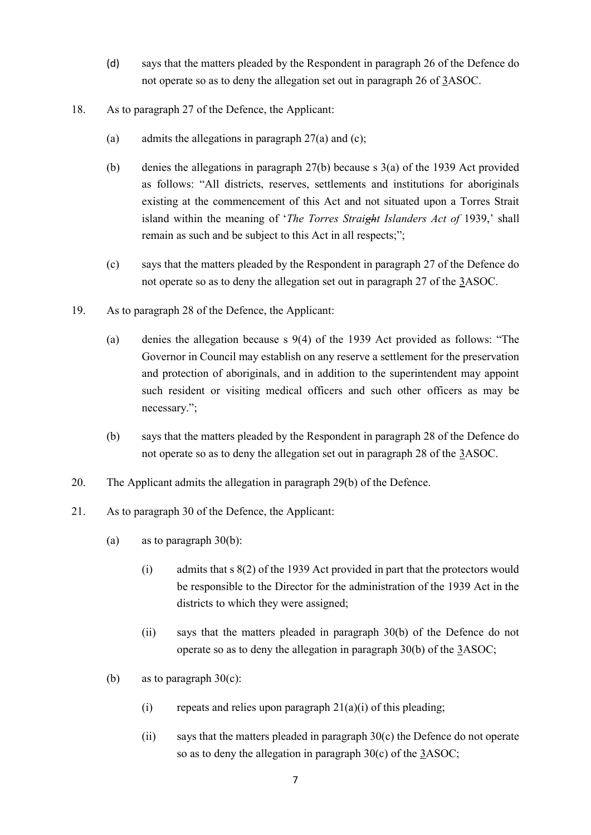- (d) says that the matters pleaded by the Respondent in paragraph 26 of the Defence do not operate so as to deny the allegation set out in paragraph 26 of 3ASOC.
- 18. As to paragraph 27 of the Defence, the Applicant:
	- (a) admits the allegations in paragraph  $27(a)$  and (c);
	- (b) denies the allegations in paragraph 27(b) because s 3(a) of the 1939 Act provided as follows: "All districts, reserves, settlements and institutions for aboriginals existing at the commencement of this Act and not situated upon a Torres Strait island within the meaning of '*The Torres Straight Islanders Act of* 1939,' shall remain as such and be subject to this Act in all respects;";
	- (c) says that the matters pleaded by the Respondent in paragraph 27 of the Defence do not operate so as to deny the allegation set out in paragraph 27 of the 3ASOC.
- 19. As to paragraph 28 of the Defence, the Applicant:
	- (a) denies the allegation because s 9(4) of the 1939 Act provided as follows: "The Governor in Council may establish on any reserve a settlement for the preservation and protection of aboriginals, and in addition to the superintendent may appoint such resident or visiting medical officers and such other officers as may be necessary.";
	- (b) says that the matters pleaded by the Respondent in paragraph 28 of the Defence do not operate so as to deny the allegation set out in paragraph 28 of the 3ASOC.
- 20. The Applicant admits the allegation in paragraph 29(b) of the Defence.
- <span id="page-7-0"></span>21. As to paragraph 30 of the Defence, the Applicant:
	- (a) as to paragraph 30(b):
		- (i) admits that s 8(2) of the 1939 Act provided in part that the protectors would be responsible to the Director for the administration of the 1939 Act in the districts to which they were assigned;
		- (ii) says that the matters pleaded in paragraph 30(b) of the Defence do not operate so as to deny the allegation in paragraph 30(b) of the 3ASOC;
	- (b) as to paragraph  $30(c)$ :
		- (i) repeats and relies upon paragraph  $21(a)(i)$  of this pleading;
		- (ii) says that the matters pleaded in paragraph 30(c) the Defence do not operate so as to deny the allegation in paragraph 30(c) of the 3ASOC;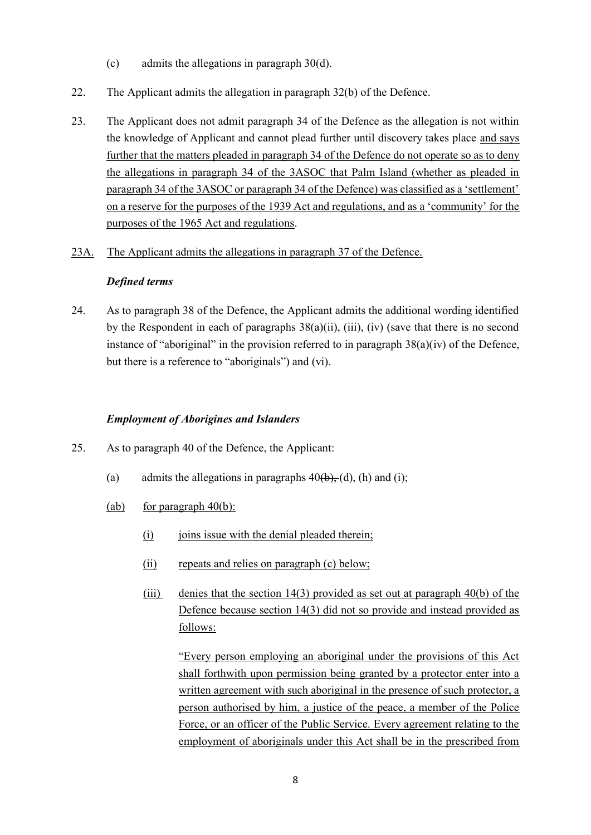- (c) admits the allegations in paragraph 30(d).
- 22. The Applicant admits the allegation in paragraph 32(b) of the Defence.
- 23. The Applicant does not admit paragraph 34 of the Defence as the allegation is not within the knowledge of Applicant and cannot plead further until discovery takes place and says further that the matters pleaded in paragraph 34 of the Defence do not operate so as to deny the allegations in paragraph 34 of the 3ASOC that Palm Island (whether as pleaded in paragraph 34 of the 3ASOC or paragraph 34 of the Defence) was classified as a 'settlement' on a reserve for the purposes of the 1939 Act and regulations, and as a 'community' for the purposes of the 1965 Act and regulations.
- 23A. The Applicant admits the allegations in paragraph 37 of the Defence.

#### *Defined terms*

<span id="page-8-0"></span>24. As to paragraph 38 of the Defence, the Applicant admits the additional wording identified by the Respondent in each of paragraphs 38(a)(ii), (iii), (iv) (save that there is no second instance of "aboriginal" in the provision referred to in paragraph 38(a)(iv) of the Defence, but there is a reference to "aboriginals") and (vi).

# *Employment of Aborigines and Islanders*

- 25. As to paragraph 40 of the Defence, the Applicant:
	- (a) admits the allegations in paragraphs  $40(b)$ , (d), (h) and (i);
	- (ab) for paragraph  $40(b)$ :
		- (i) joins issue with the denial pleaded therein;
		- (ii) repeats and relies on paragraph (c) below;
		- (iii) denies that the section 14(3) provided as set out at paragraph 40(b) of the Defence because section 14(3) did not so provide and instead provided as follows:

"Every person employing an aboriginal under the provisions of this Act shall forthwith upon permission being granted by a protector enter into a written agreement with such aboriginal in the presence of such protector, a person authorised by him, a justice of the peace, a member of the Police Force, or an officer of the Public Service. Every agreement relating to the employment of aboriginals under this Act shall be in the prescribed from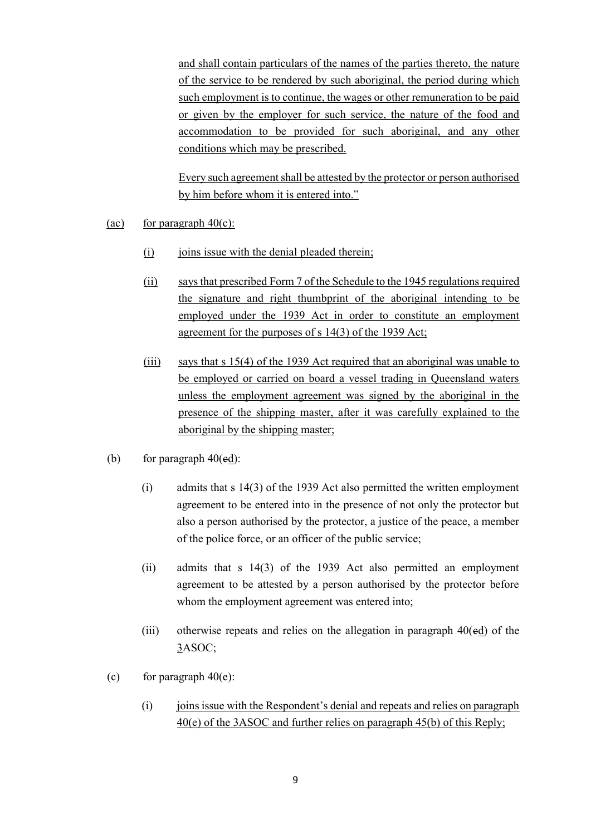and shall contain particulars of the names of the parties thereto, the nature of the service to be rendered by such aboriginal, the period during which such employment is to continue, the wages or other remuneration to be paid or given by the employer for such service, the nature of the food and accommodation to be provided for such aboriginal, and any other conditions which may be prescribed.

Every such agreement shall be attested by the protector or person authorised by him before whom it is entered into."

- (ac) for paragraph  $40(c)$ :
	- (i) joins issue with the denial pleaded therein;
	- (ii) says that prescribed Form 7 of the Schedule to the 1945 regulations required the signature and right thumbprint of the aboriginal intending to be employed under the 1939 Act in order to constitute an employment agreement for the purposes of s 14(3) of the 1939 Act;
	- (iii) says that s 15(4) of the 1939 Act required that an aboriginal was unable to be employed or carried on board a vessel trading in Queensland waters unless the employment agreement was signed by the aboriginal in the presence of the shipping master, after it was carefully explained to the aboriginal by the shipping master;
- (b) for paragraph  $40(\text{ed})$ :
	- (i) admits that s 14(3) of the 1939 Act also permitted the written employment agreement to be entered into in the presence of not only the protector but also a person authorised by the protector, a justice of the peace, a member of the police force, or an officer of the public service;
	- (ii) admits that s 14(3) of the 1939 Act also permitted an employment agreement to be attested by a person authorised by the protector before whom the employment agreement was entered into;
	- (iii) otherwise repeats and relies on the allegation in paragraph  $40(\text{ed})$  of the 3ASOC;
- (c) for paragraph  $40(e)$ :
	- (i) joins issue with the Respondent's denial and repeats and relies on paragraph 40(e) of the 3ASOC and further relies on paragraph 45(b) of this Reply;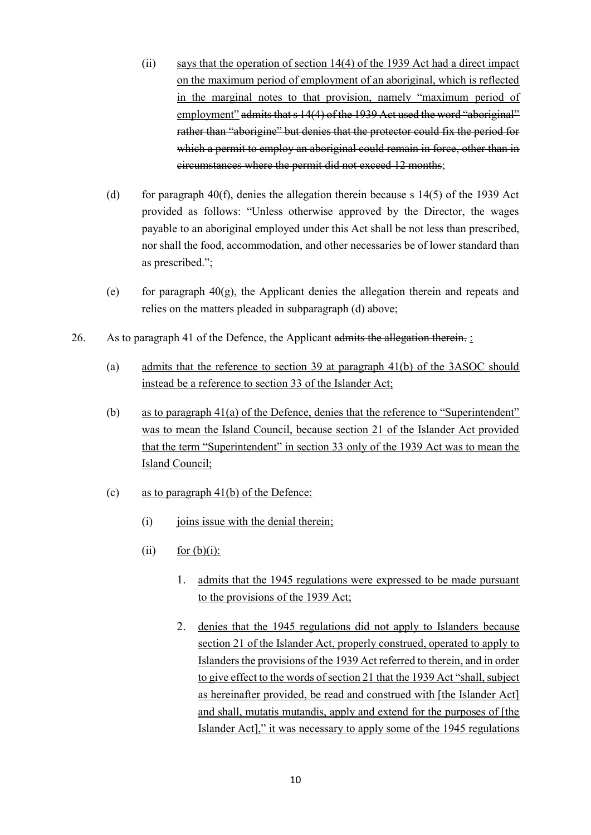- (ii) says that the operation of section 14(4) of the 1939 Act had a direct impact on the maximum period of employment of an aboriginal, which is reflected in the marginal notes to that provision, namely "maximum period of employment" admits that s 14(4) of the 1939 Act used the word "aboriginal" rather than "aborigine" but denies that the protector could fix the period for which a permit to employ an aboriginal could remain in force, other than in circumstances where the permit did not exceed 12 months;
- (d) for paragraph 40(f), denies the allegation therein because s  $14(5)$  of the 1939 Act provided as follows: "Unless otherwise approved by the Director, the wages payable to an aboriginal employed under this Act shall be not less than prescribed, nor shall the food, accommodation, and other necessaries be of lower standard than as prescribed.";
- (e) for paragraph  $40(g)$ , the Applicant denies the allegation therein and repeats and relies on the matters pleaded in subparagraph (d) above;
- 26. As to paragraph 41 of the Defence, the Applicant admits the allegation therein.
	- (a) admits that the reference to section 39 at paragraph 41(b) of the 3ASOC should instead be a reference to section 33 of the Islander Act;
	- (b) as to paragraph 41(a) of the Defence, denies that the reference to "Superintendent" was to mean the Island Council, because section 21 of the Islander Act provided that the term "Superintendent" in section 33 only of the 1939 Act was to mean the Island Council;
	- (c) as to paragraph  $41(b)$  of the Defence:
		- $(i)$  joins issue with the denial therein;
		- (ii) for  $(b)(i)$ :
			- 1. admits that the 1945 regulations were expressed to be made pursuant to the provisions of the 1939 Act;
			- 2. denies that the 1945 regulations did not apply to Islanders because section 21 of the Islander Act, properly construed, operated to apply to Islanders the provisions of the 1939 Act referred to therein, and in order to give effect to the words of section 21 that the 1939 Act "shall, subject as hereinafter provided, be read and construed with [the Islander Act] and shall, mutatis mutandis, apply and extend for the purposes of [the Islander Act]," it was necessary to apply some of the 1945 regulations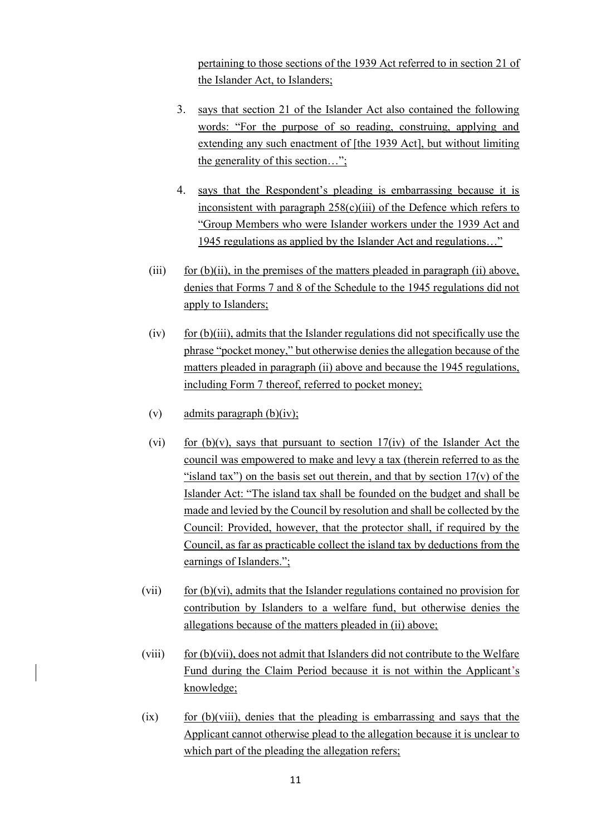pertaining to those sections of the 1939 Act referred to in section 21 of the Islander Act, to Islanders;

- 3. says that section 21 of the Islander Act also contained the following words: "For the purpose of so reading, construing, applying and extending any such enactment of [the 1939 Act], but without limiting the generality of this section…";
- 4. says that the Respondent's pleading is embarrassing because it is inconsistent with paragraph  $258(c)(iii)$  of the Defence which refers to "Group Members who were Islander workers under the 1939 Act and 1945 regulations as applied by the Islander Act and regulations…"
- (iii) for  $(b)(ii)$ , in the premises of the matters pleaded in paragraph (ii) above, denies that Forms 7 and 8 of the Schedule to the 1945 regulations did not apply to Islanders;
- $(iv)$  for (b)(iii), admits that the Islander regulations did not specifically use the phrase "pocket money," but otherwise denies the allegation because of the matters pleaded in paragraph (ii) above and because the 1945 regulations, including Form 7 thereof, referred to pocket money;
- (v) admits paragraph  $(b)(iv)$ ;
- (vi) for (b)(v), says that pursuant to section  $17$ (iv) of the Islander Act the council was empowered to make and levy a tax (therein referred to as the "island tax") on the basis set out therein, and that by section  $17(v)$  of the Islander Act: "The island tax shall be founded on the budget and shall be made and levied by the Council by resolution and shall be collected by the Council: Provided, however, that the protector shall, if required by the Council, as far as practicable collect the island tax by deductions from the earnings of Islanders.";
- $(vii)$  for  $(b)(vi)$ , admits that the Islander regulations contained no provision for contribution by Islanders to a welfare fund, but otherwise denies the allegations because of the matters pleaded in (ii) above;
- (viii) for (b)(vii), does not admit that Islanders did not contribute to the Welfare Fund during the Claim Period because it is not within the Applicant's knowledge;
- $(ix)$  for  $(b)(viii)$ , denies that the pleading is embarrassing and says that the Applicant cannot otherwise plead to the allegation because it is unclear to which part of the pleading the allegation refers;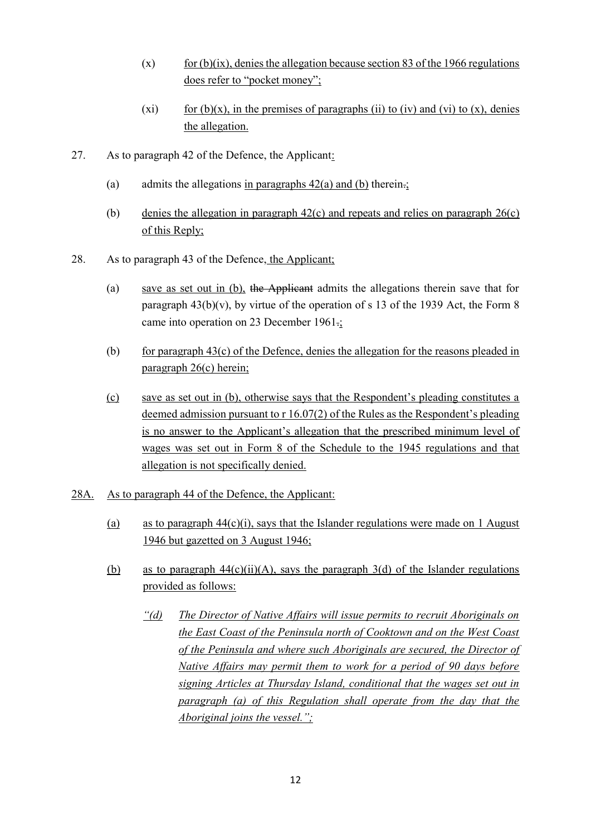- $(x)$  for (b)(ix), denies the allegation because section 83 of the 1966 regulations does refer to "pocket money";
- (xi) for  $(b)(x)$ , in the premises of paragraphs (ii) to (iv) and (vi) to (x), denies the allegation.
- 27. As to paragraph 42 of the Defence, the Applicant:
	- (a) admits the allegations in paragraphs  $42(a)$  and (b) therein.;
	- (b) denies the allegation in paragraph 42(c) and repeats and relies on paragraph 26(c) of this Reply;
- 28. As to paragraph 43 of the Defence, the Applicant;
	- (a) save as set out in (b), the Applicant admits the allegations therein save that for paragraph  $43(b)(v)$ , by virtue of the operation of s 13 of the 1939 Act, the Form 8 came into operation on 23 December 1961.;
	- (b) for paragraph  $43(c)$  of the Defence, denies the allegation for the reasons pleaded in paragraph 26(c) herein;
	- (c) save as set out in (b), otherwise says that the Respondent's pleading constitutes a deemed admission pursuant to r 16.07(2) of the Rules as the Respondent's pleading is no answer to the Applicant's allegation that the prescribed minimum level of wages was set out in Form 8 of the Schedule to the 1945 regulations and that allegation is not specifically denied.
- 28A. As to paragraph 44 of the Defence, the Applicant:
	- (a) as to paragraph  $44(c)(i)$ , says that the Islander regulations were made on 1 August 1946 but gazetted on 3 August 1946;
	- (b) as to paragraph  $44(c)(ii)(A)$ , says the paragraph  $3(d)$  of the Islander regulations provided as follows:
		- *"(d) The Director of Native Affairs will issue permits to recruit Aboriginals on the East Coast of the Peninsula north of Cooktown and on the West Coast of the Peninsula and where such Aboriginals are secured, the Director of Native Affairs may permit them to work for a period of 90 days before signing Articles at Thursday Island, conditional that the wages set out in paragraph (a) of this Regulation shall operate from the day that the Aboriginal joins the vessel.";*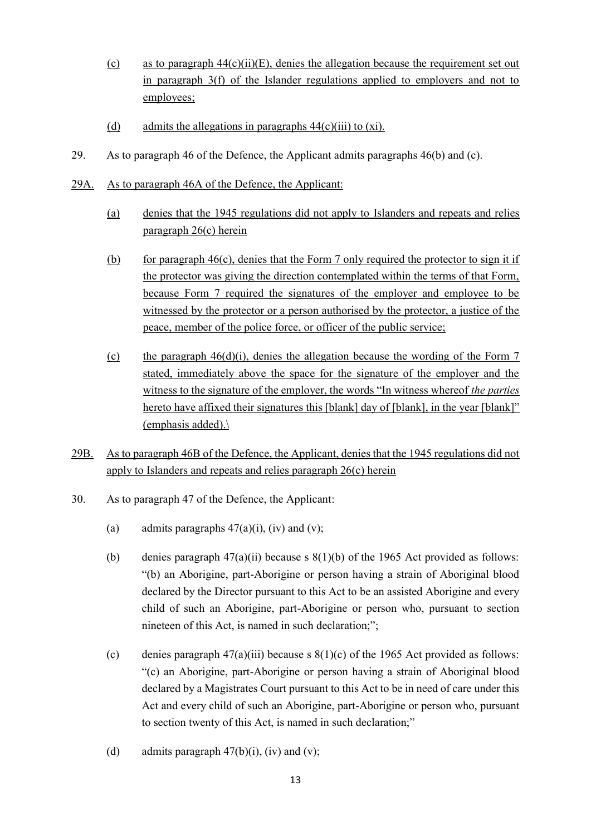- (c) as to paragraph  $44(c)(ii)(E)$ , denies the allegation because the requirement set out in paragraph 3(f) of the Islander regulations applied to employers and not to employees;
- (d) admits the allegations in paragraphs  $44(c)(iii)$  to  $(xi)$ .
- 29. As to paragraph 46 of the Defence, the Applicant admits paragraphs 46(b) and (c).
- 29A. As to paragraph 46A of the Defence, the Applicant:
	- (a) denies that the 1945 regulations did not apply to Islanders and repeats and relies paragraph 26(c) herein
	- (b) for paragraph  $46(c)$ , denies that the Form 7 only required the protector to sign it if the protector was giving the direction contemplated within the terms of that Form, because Form 7 required the signatures of the employer and employee to be witnessed by the protector or a person authorised by the protector, a justice of the peace, member of the police force, or officer of the public service;
	- (c) the paragraph  $46(d)(i)$ , denies the allegation because the wording of the Form 7 stated, immediately above the space for the signature of the employer and the witness to the signature of the employer, the words "In witness whereof *the parties* hereto have affixed their signatures this [blank] day of [blank], in the year [blank]" (emphasis added).\
- 29B. As to paragraph 46B of the Defence, the Applicant, denies that the 1945 regulations did not apply to Islanders and repeats and relies paragraph 26(c) herein
- 30. As to paragraph 47 of the Defence, the Applicant:
	- (a) admits paragraphs  $47(a)(i)$ , (iv) and (v);
	- (b) denies paragraph  $47(a)(ii)$  because s  $8(1)(b)$  of the 1965 Act provided as follows: "(b) an Aborigine, part-Aborigine or person having a strain of Aboriginal blood declared by the Director pursuant to this Act to be an assisted Aborigine and every child of such an Aborigine, part-Aborigine or person who, pursuant to section nineteen of this Act, is named in such declaration;";
	- (c) denies paragraph  $47(a)(iii)$  because s  $8(1)(c)$  of the 1965 Act provided as follows: "(c) an Aborigine, part-Aborigine or person having a strain of Aboriginal blood declared by a Magistrates Court pursuant to this Act to be in need of care under this Act and every child of such an Aborigine, part-Aborigine or person who, pursuant to section twenty of this Act, is named in such declaration;"
	- (d) admits paragraph  $47(b)(i)$ , (iv) and (v);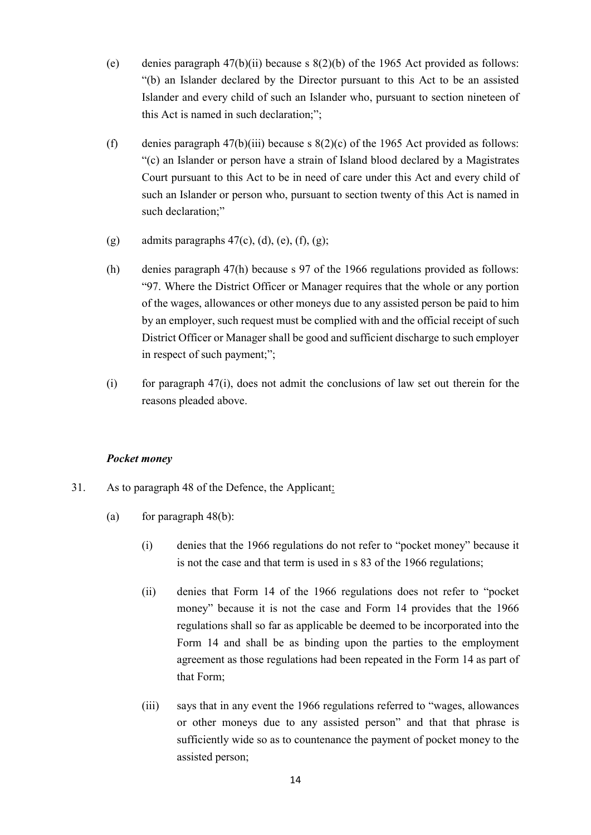- (e) denies paragraph 47(b)(ii) because s 8(2)(b) of the 1965 Act provided as follows: "(b) an Islander declared by the Director pursuant to this Act to be an assisted Islander and every child of such an Islander who, pursuant to section nineteen of this Act is named in such declaration;";
- (f) denies paragraph 47(b)(iii) because s  $8(2)(c)$  of the 1965 Act provided as follows: "(c) an Islander or person have a strain of Island blood declared by a Magistrates Court pursuant to this Act to be in need of care under this Act and every child of such an Islander or person who, pursuant to section twenty of this Act is named in such declaration;"
- (g) admits paragraphs  $47(c)$ , (d), (e), (f), (g);
- (h) denies paragraph 47(h) because s 97 of the 1966 regulations provided as follows: "97. Where the District Officer or Manager requires that the whole or any portion of the wages, allowances or other moneys due to any assisted person be paid to him by an employer, such request must be complied with and the official receipt of such District Officer or Manager shall be good and sufficient discharge to such employer in respect of such payment;";
- $(i)$  for paragraph 47 $(i)$ , does not admit the conclusions of law set out therein for the reasons pleaded above.

#### *Pocket money*

- <span id="page-14-0"></span>31. As to paragraph 48 of the Defence, the Applicant:
	- (a) for paragraph  $48(b)$ :
		- (i) denies that the 1966 regulations do not refer to "pocket money" because it is not the case and that term is used in s 83 of the 1966 regulations;
		- (ii) denies that Form 14 of the 1966 regulations does not refer to "pocket money" because it is not the case and Form 14 provides that the 1966 regulations shall so far as applicable be deemed to be incorporated into the Form 14 and shall be as binding upon the parties to the employment agreement as those regulations had been repeated in the Form 14 as part of that Form;
		- (iii) says that in any event the 1966 regulations referred to "wages, allowances or other moneys due to any assisted person" and that that phrase is sufficiently wide so as to countenance the payment of pocket money to the assisted person;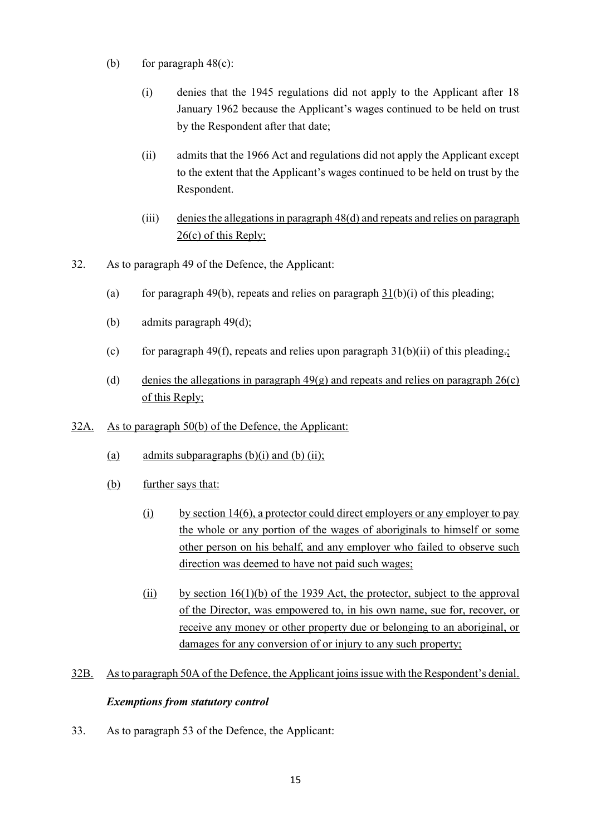- (b) for paragraph  $48(c)$ :
	- (i) denies that the 1945 regulations did not apply to the Applicant after 18 January 1962 because the Applicant's wages continued to be held on trust by the Respondent after that date;
	- (ii) admits that the 1966 Act and regulations did not apply the Applicant except to the extent that the Applicant's wages continued to be held on trust by the Respondent.
	- (iii) denies the allegations in paragraph 48(d) and repeats and relies on paragraph 26(c) of this Reply;
- 32. As to paragraph 49 of the Defence, the Applicant:
	- (a) for paragraph 49(b), repeats and relies on paragraph  $31(b)(i)$  of this pleading;
	- (b) admits paragraph 49(d);
	- (c) for paragraph 49(f), repeats and relies upon paragraph [31\(](#page-14-0)b)(ii) of this pleading.
	- (d) denies the allegations in paragraph  $49(g)$  and repeats and relies on paragraph  $26(c)$ of this Reply;
- 32A. As to paragraph 50(b) of the Defence, the Applicant:
	- (a) admits subparagraphs  $(b)(i)$  and  $(b)$   $(ii)$ ;
	- (b) further says that:
		- $(i)$  by section 14(6), a protector could direct employers or any employer to pay the whole or any portion of the wages of aboriginals to himself or some other person on his behalf, and any employer who failed to observe such direction was deemed to have not paid such wages;
		- (ii) by section  $16(1)(b)$  of the 1939 Act, the protector, subject to the approval of the Director, was empowered to, in his own name, sue for, recover, or receive any money or other property due or belonging to an aboriginal, or damages for any conversion of or injury to any such property;
- 32B. As to paragraph 50A of the Defence, the Applicant joins issue with the Respondent's denial.

# *Exemptions from statutory control*

33. As to paragraph 53 of the Defence, the Applicant: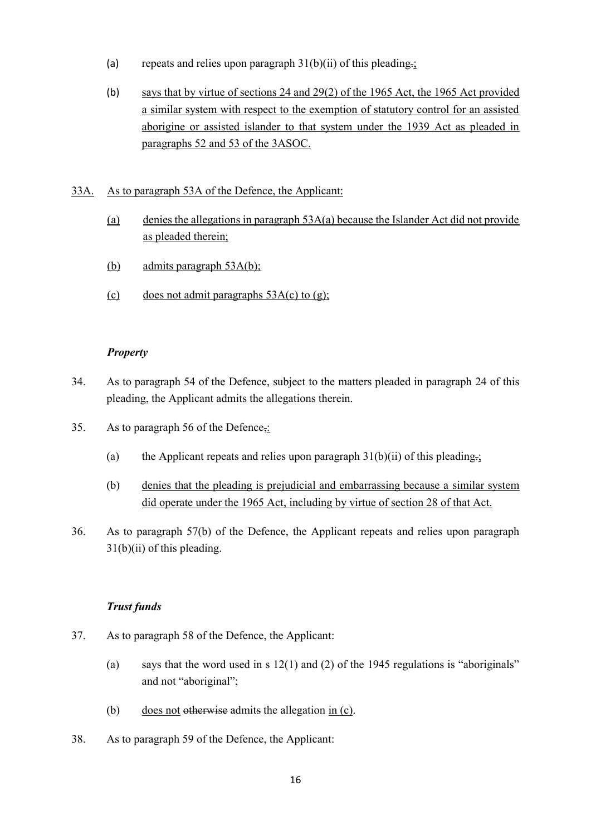- (a) repeats and relies upon paragraph  $31(b)(ii)$  of this pleading.;
- (b) says that by virtue of sections 24 and 29(2) of the 1965 Act, the 1965 Act provided a similar system with respect to the exemption of statutory control for an assisted aborigine or assisted islander to that system under the 1939 Act as pleaded in paragraphs 52 and 53 of the 3ASOC.

#### 33A. As to paragraph 53A of the Defence, the Applicant:

- (a) denies the allegations in paragraph  $53A(a)$  because the Islander Act did not provide as pleaded therein;
- (b) admits paragraph 53A(b);
- (c) does not admit paragraphs  $53A(c)$  to (g);

#### *Property*

- 34. As to paragraph 54 of the Defence, subject to the matters pleaded in paragraph [24](#page-8-0) of this pleading, the Applicant admits the allegations therein.
- 35. As to paragraph 56 of the Defence,:
	- (a) the Applicant repeats and relies upon paragraph  $31(b)(ii)$  of this pleading.;
	- (b) denies that the pleading is prejudicial and embarrassing because a similar system did operate under the 1965 Act, including by virtue of section 28 of that Act.
- 36. As to paragraph 57(b) of the Defence, the Applicant repeats and relies upon paragraph [31\(](#page-14-0)b)(ii) of this pleading.

# *Trust funds*

- 37. As to paragraph 58 of the Defence, the Applicant:
	- (a) says that the word used in s  $12(1)$  and (2) of the 1945 regulations is "aboriginals" and not "aboriginal";
	- (b) does not otherwise admits the allegation in (c).
- 38. As to paragraph 59 of the Defence, the Applicant: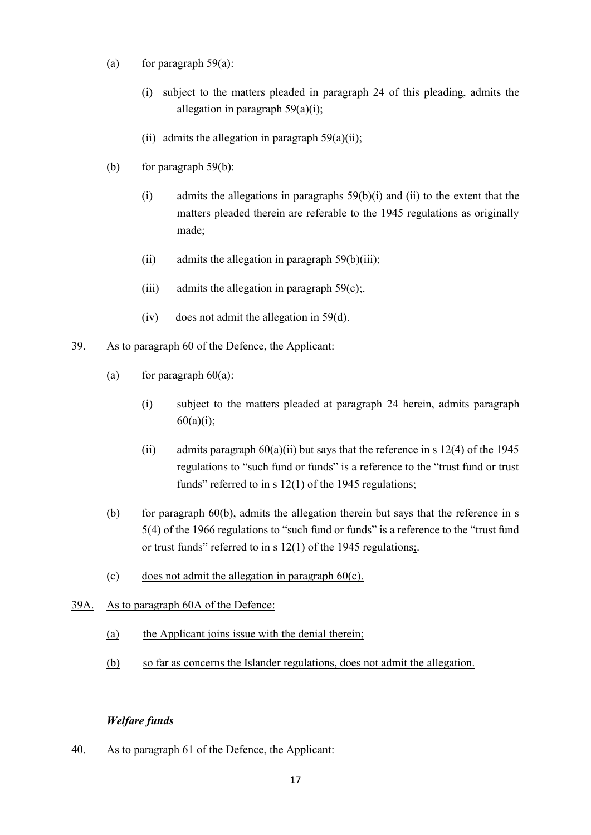- (a) for paragraph  $59(a)$ :
	- (i) subject to the matters pleaded in paragraph [24](#page-8-0) of this pleading, admits the allegation in paragraph 59(a)(i);
	- (ii) admits the allegation in paragraph  $59(a)(ii)$ ;
- (b) for paragraph 59(b):
	- (i) admits the allegations in paragraphs 59(b)(i) and (ii) to the extent that the matters pleaded therein are referable to the 1945 regulations as originally made;
	- $(ii)$  admits the allegation in paragraph 59(b)(iii);
	- (iii) admits the allegation in paragraph  $59(c)$ :
	- (iv) does not admit the allegation in 59(d).
- 39. As to paragraph 60 of the Defence, the Applicant:
	- (a) for paragraph  $60(a)$ :
		- (i) subject to the matters pleaded at paragraph [24](#page-8-0) herein, admits paragraph  $60(a)(i);$
		- (ii) admits paragraph  $60(a)(ii)$  but says that the reference in s 12(4) of the 1945 regulations to "such fund or funds" is a reference to the "trust fund or trust funds" referred to in s 12(1) of the 1945 regulations;
	- (b) for paragraph  $60(b)$ , admits the allegation therein but says that the reference in s 5(4) of the 1966 regulations to "such fund or funds" is a reference to the "trust fund or trust funds" referred to in s  $12(1)$  of the 1945 regulations;
	- (c) does not admit the allegation in paragraph  $60(c)$ .
- 39A. As to paragraph 60A of the Defence:
	- (a) the Applicant joins issue with the denial therein;
	- (b) so far as concerns the Islander regulations, does not admit the allegation.

#### *Welfare funds*

40. As to paragraph 61 of the Defence, the Applicant: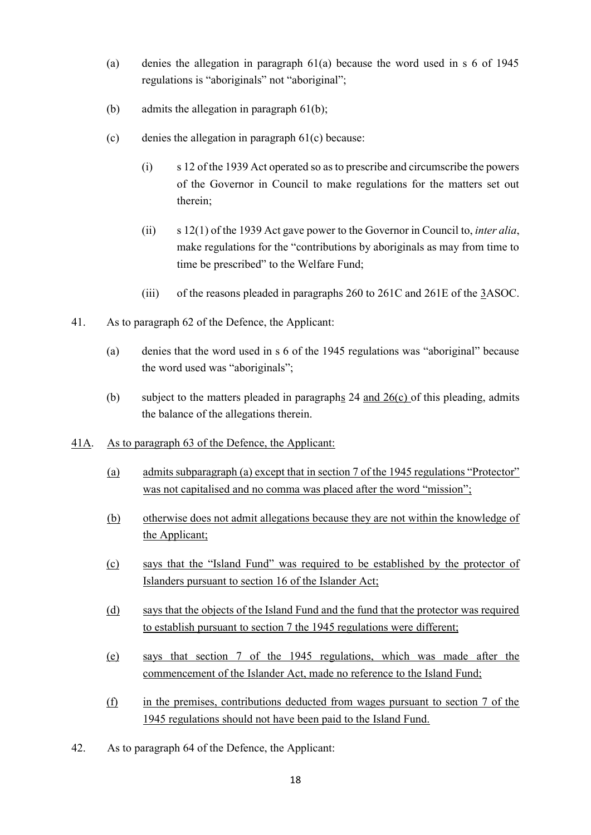- (a) denies the allegation in paragraph 61(a) because the word used in s 6 of 1945 regulations is "aboriginals" not "aboriginal";
- (b) admits the allegation in paragraph 61(b);
- (c) denies the allegation in paragraph 61(c) because:
	- (i) s 12 of the 1939 Act operated so as to prescribe and circumscribe the powers of the Governor in Council to make regulations for the matters set out therein;
	- (ii) s 12(1) of the 1939 Act gave power to the Governor in Council to, *inter alia*, make regulations for the "contributions by aboriginals as may from time to time be prescribed" to the Welfare Fund;
	- (iii) of the reasons pleaded in paragraphs 260 to 261C and 261E of the 3ASOC.
- 41. As to paragraph 62 of the Defence, the Applicant:
	- (a) denies that the word used in s 6 of the 1945 regulations was "aboriginal" because the word used was "aboriginals";
	- (b) subject to the matters pleaded in paragraphs [24](#page-8-0) and  $26(c)$  of this pleading, admits the balance of the allegations therein.
- 41A. As to paragraph 63 of the Defence, the Applicant:
	- (a) admits subparagraph (a) except that in section 7 of the 1945 regulations "Protector" was not capitalised and no comma was placed after the word "mission";
	- (b) otherwise does not admit allegations because they are not within the knowledge of the Applicant;
	- (c) says that the "Island Fund" was required to be established by the protector of Islanders pursuant to section 16 of the Islander Act;
	- (d) says that the objects of the Island Fund and the fund that the protector was required to establish pursuant to section 7 the 1945 regulations were different;
	- (e) says that section 7 of the 1945 regulations, which was made after the commencement of the Islander Act, made no reference to the Island Fund;
	- (f) in the premises, contributions deducted from wages pursuant to section 7 of the 1945 regulations should not have been paid to the Island Fund.
- 42. As to paragraph 64 of the Defence, the Applicant: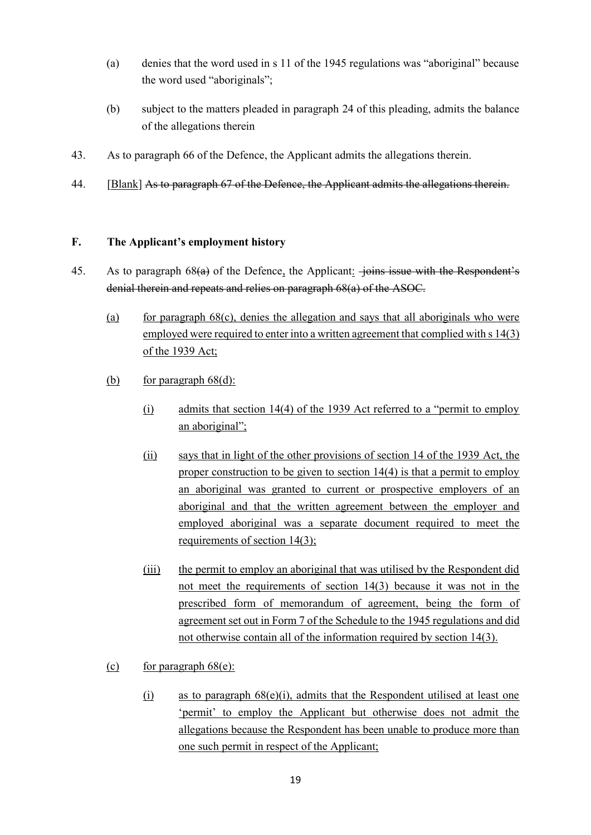- (a) denies that the word used in s 11 of the 1945 regulations was "aboriginal" because the word used "aboriginals";
- (b) subject to the matters pleaded in paragraph [24](#page-8-0) of this pleading, admits the balance of the allegations therein
- 43. As to paragraph 66 of the Defence, the Applicant admits the allegations therein.
- 44. [Blank] As to paragraph 67 of the Defence, the Applicant admits the allegations therein.

#### **F. The Applicant's employment history**

- 45. As to paragraph 68(a) of the Defence, the Applicant: joins issue with the Respondent's denial therein and repeats and relies on paragraph 68(a) of the ASOC.
	- (a) for paragraph  $68(c)$ , denies the allegation and says that all aboriginals who were employed were required to enter into a written agreement that complied with s 14(3) of the 1939 Act;
	- (b) for paragraph  $68(d)$ :
		- (i) admits that section 14(4) of the 1939 Act referred to a "permit to employ an aboriginal";
		- (ii) says that in light of the other provisions of section 14 of the 1939 Act, the proper construction to be given to section 14(4) is that a permit to employ an aboriginal was granted to current or prospective employers of an aboriginal and that the written agreement between the employer and employed aboriginal was a separate document required to meet the requirements of section 14(3);
		- (iii) the permit to employ an aboriginal that was utilised by the Respondent did not meet the requirements of section 14(3) because it was not in the prescribed form of memorandum of agreement, being the form of agreement set out in Form 7 of the Schedule to the 1945 regulations and did not otherwise contain all of the information required by section 14(3).
	- (c) for paragraph  $68(e)$ :
		- (i) as to paragraph  $68(e)(i)$ , admits that the Respondent utilised at least one 'permit' to employ the Applicant but otherwise does not admit the allegations because the Respondent has been unable to produce more than one such permit in respect of the Applicant;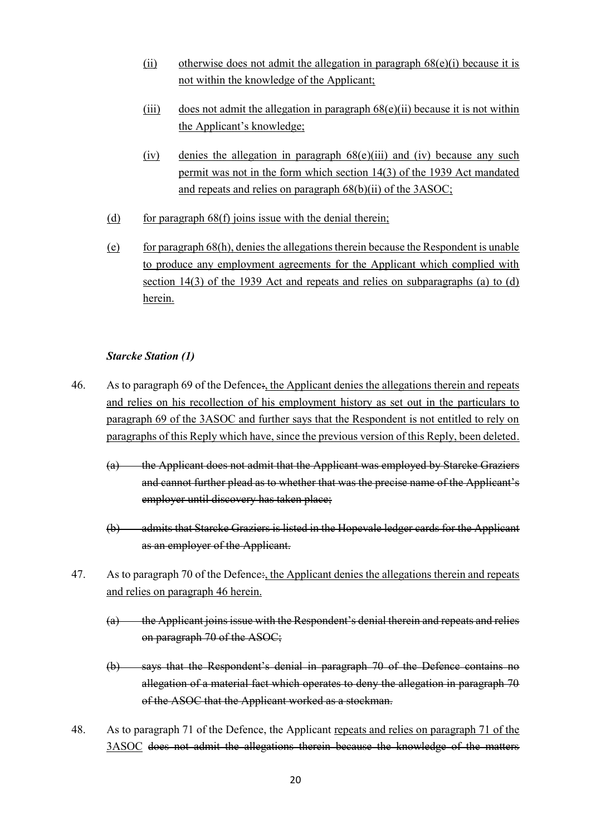- (ii) otherwise does not admit the allegation in paragraph  $68(e)(i)$  because it is not within the knowledge of the Applicant;
- (iii) does not admit the allegation in paragraph  $68(e)$ (ii) because it is not within the Applicant's knowledge;
- (iv) denies the allegation in paragraph  $68(e)$ (iii) and (iv) because any such permit was not in the form which section 14(3) of the 1939 Act mandated and repeats and relies on paragraph 68(b)(ii) of the 3ASOC;
- (d) for paragraph  $68(f)$  joins issue with the denial therein;
- (e) for paragraph  $68(h)$ , denies the allegations therein because the Respondent is unable to produce any employment agreements for the Applicant which complied with section 14(3) of the 1939 Act and repeats and relies on subparagraphs (a) to (d) herein.

# *Starcke Station (1)*

- 46. As to paragraph 69 of the Defence:, the Applicant denies the allegations therein and repeats and relies on his recollection of his employment history as set out in the particulars to paragraph 69 of the 3ASOC and further says that the Respondent is not entitled to rely on paragraphs of this Reply which have, since the previous version of this Reply, been deleted.
	- (a) the Applicant does not admit that the Applicant was employed by Starcke Graziers and cannot further plead as to whether that was the precise name of the Applicant's employer until discovery has taken place;
	- (b) admits that Starcke Graziers is listed in the Hopevale ledger cards for the Applicant as an employer of the Applicant.
- 47. As to paragraph 70 of the Defence: the Applicant denies the allegations therein and repeats and relies on paragraph 46 herein.
	- (a) the Applicant joins issue with the Respondent's denial therein and repeats and relies on paragraph 70 of the ASOC;
	- (b) says that the Respondent's denial in paragraph 70 of the Defence contains no allegation of a material fact which operates to deny the allegation in paragraph 70 of the ASOC that the Applicant worked as a stockman.
- 48. As to paragraph 71 of the Defence, the Applicant repeats and relies on paragraph 71 of the 3ASOC does not admit the allegations therein because the knowledge of the matters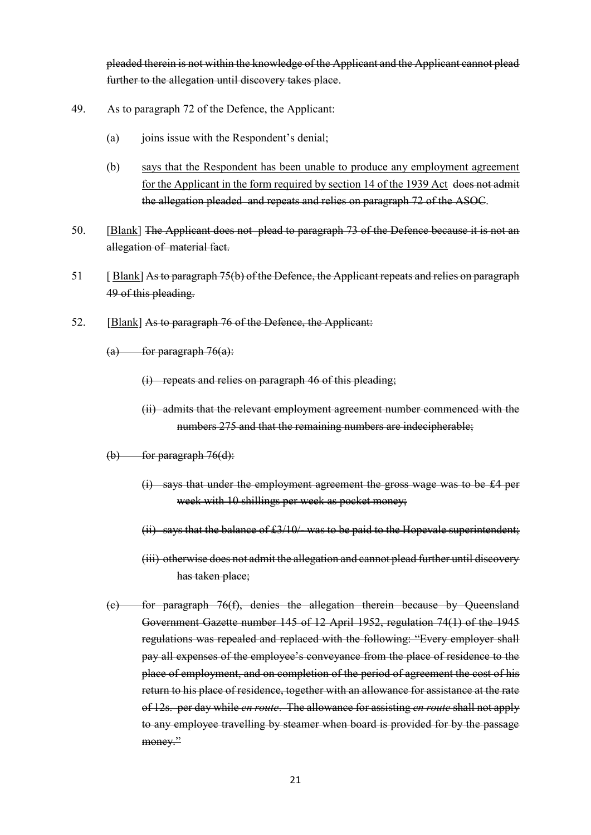pleaded therein is not within the knowledge of the Applicant and the Applicant cannot plead further to the allegation until discovery takes place.

- 49. As to paragraph 72 of the Defence, the Applicant:
	- (a) joins issue with the Respondent's denial;
	- (b) says that the Respondent has been unable to produce any employment agreement for the Applicant in the form required by section 14 of the 1939 Act does not admit the allegation pleaded and repeats and relies on paragraph 72 of the ASOC.
- 50. [Blank] The Applicant does not plead to paragraph 73 of the Defence because it is not an allegation of material fact.
- 51 [ Blank] As to paragraph 75(b) of the Defence, the Applicant repeats and relies on paragraph 49 of this pleading.
- 52. [Blank] As to paragraph 76 of the Defence, the Applicant:
	- $(a)$  for paragraph 76 $(a)$ :
		- (i) repeats and relies on paragraph 46 of this pleading;
		- (ii) admits that the relevant employment agreement number commenced with the numbers 275 and that the remaining numbers are indecipherable;
	- $(b)$  for paragraph 76 $(d)$ :
		- (i) says that under the employment agreement the gross wage was to be £4 per week with 10 shillings per week as pocket money;
		- (ii) says that the balance of  $£3/10/$  was to be paid to the Hopevale superintendent;
		- (iii) otherwise does not admit the allegation and cannot plead further until discovery has taken place;
	- (c) for paragraph 76(f), denies the allegation therein because by Queensland Government Gazette number 145 of 12 April 1952, regulation 74(1) of the 1945 regulations was repealed and replaced with the following: "Every employer shall pay all expenses of the employee's conveyance from the place of residence to the place of employment, and on completion of the period of agreement the cost of his return to his place of residence, together with an allowance for assistance at the rate of 12s. per day while *en route*. The allowance for assisting *en route* shall not apply to any employee travelling by steamer when board is provided for by the passage money."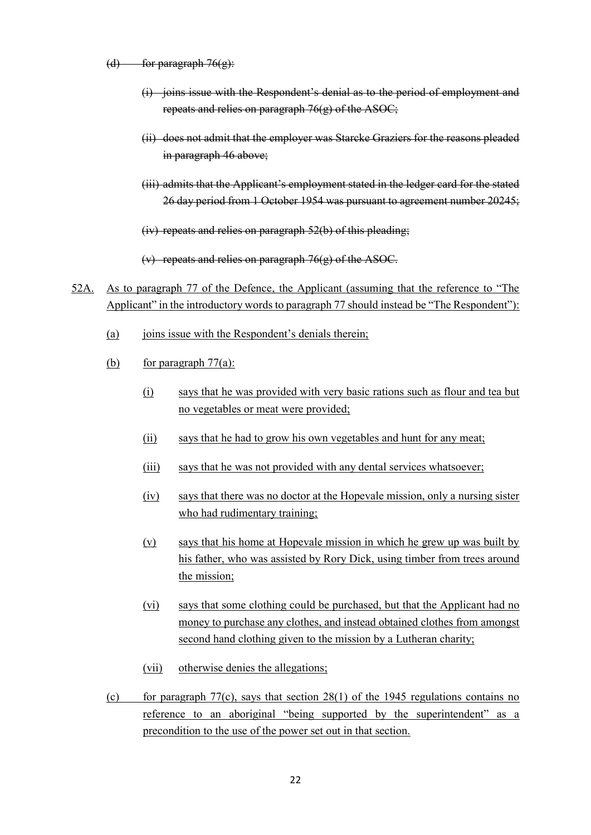- (d) for paragraph  $76(g)$ :
	- (i) joins issue with the Respondent's denial as to the period of employment and repeats and relies on paragraph 76(g) of the ASOC;
	- (ii) does not admit that the employer was Starcke Graziers for the reasons pleaded in paragraph 46 above;
	- (iii) admits that the Applicant's employment stated in the ledger card for the stated 26 day period from 1 October 1954 was pursuant to agreement number 20245;
	- (iv) repeats and relies on paragraph 52(b) of this pleading;
	- (v) repeats and relies on paragraph 76(g) of the ASOC.
- 52A. As to paragraph 77 of the Defence, the Applicant (assuming that the reference to "The Applicant" in the introductory words to paragraph 77 should instead be "The Respondent"):
	- $(a)$  joins issue with the Respondent's denials therein;
	- (b) for paragraph  $77(a)$ :
		- (i) says that he was provided with very basic rations such as flour and tea but no vegetables or meat were provided;
		- (ii) says that he had to grow his own vegetables and hunt for any meat;
		- (iii) says that he was not provided with any dental services whatsoever;
		- (iv) says that there was no doctor at the Hopevale mission, only a nursing sister who had rudimentary training;
		- (v) says that his home at Hopevale mission in which he grew up was built by his father, who was assisted by Rory Dick, using timber from trees around the mission;
		- (vi) says that some clothing could be purchased, but that the Applicant had no money to purchase any clothes, and instead obtained clothes from amongst second hand clothing given to the mission by a Lutheran charity;
		- (vii) otherwise denies the allegations;
	- (c) for paragraph  $77(c)$ , says that section 28(1) of the 1945 regulations contains no reference to an aboriginal "being supported by the superintendent" as a precondition to the use of the power set out in that section.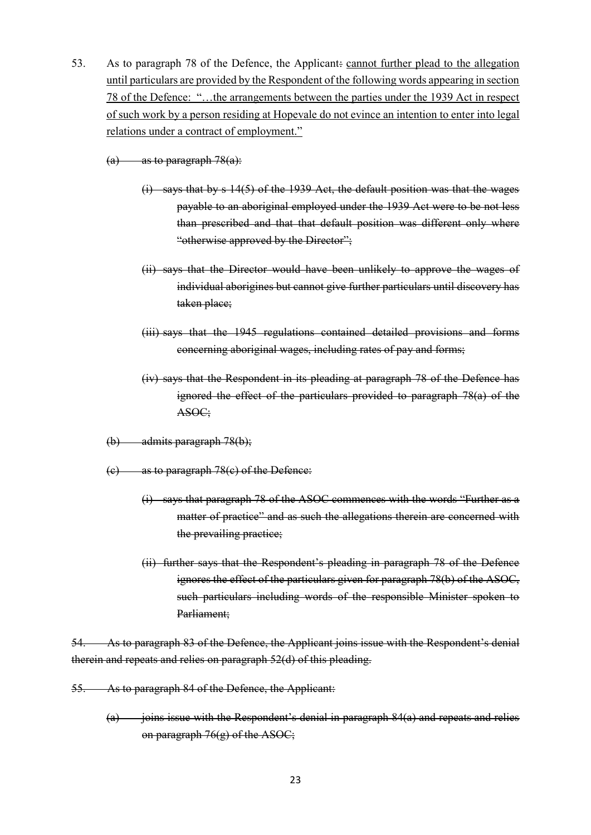- 53. As to paragraph 78 of the Defence, the Applicant: cannot further plead to the allegation until particulars are provided by the Respondent of the following words appearing in section 78 of the Defence: "…the arrangements between the parties under the 1939 Act in respect of such work by a person residing at Hopevale do not evince an intention to enter into legal relations under a contract of employment."
	- $(a)$  as to paragraph 78 $(a)$ :
		- (i) says that by s 14(5) of the 1939 Act, the default position was that the wages payable to an aboriginal employed under the 1939 Act were to be not less than prescribed and that that default position was different only where "otherwise approved by the Director";
		- (ii) says that the Director would have been unlikely to approve the wages of individual aborigines but cannot give further particulars until discovery has taken place;
		- (iii) says that the 1945 regulations contained detailed provisions and forms concerning aboriginal wages, including rates of pay and forms;
		- (iv) says that the Respondent in its pleading at paragraph 78 of the Defence has ignored the effect of the particulars provided to paragraph 78(a) of the ASOC;
	- (b) admits paragraph 78(b);
	- (c) as to paragraph 78(c) of the Defence:
		- (i) says that paragraph 78 of the ASOC commences with the words "Further as a matter of practice" and as such the allegations therein are concerned with the prevailing practice;
		- (ii) further says that the Respondent's pleading in paragraph 78 of the Defence ignores the effect of the particulars given for paragraph 78(b) of the ASOC, such particulars including words of the responsible Minister spoken to Parliament;

As to paragraph 83 of the Defence, the Applicant joins issue with the Respondent's denial therein and repeats and relies on paragraph 52(d) of this pleading.

- 55. As to paragraph 84 of the Defence, the Applicant:
	- $(a)$  joins issue with the Respondent's denial in paragraph 84(a) and repeats and relies on paragraph  $76(g)$  of the ASOC;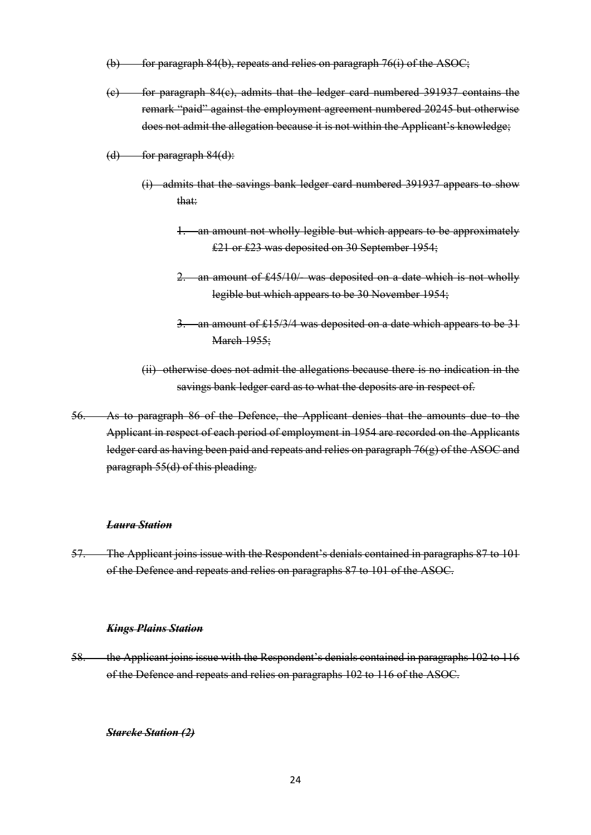- (b) for paragraph 84(b), repeats and relies on paragraph 76(i) of the ASOC;
- (c) for paragraph 84(c), admits that the ledger card numbered 391937 contains the remark "paid" against the employment agreement numbered 20245 but otherwise does not admit the allegation because it is not within the Applicant's knowledge;
- $(d)$  for paragraph  $84(d)$ :
	- (i) admits that the savings bank ledger card numbered 391937 appears to show that:
		- 1. an amount not wholly legible but which appears to be approximately £21 or £23 was deposited on 30 September 1954;
		- 2. an amount of £45/10/- was deposited on a date which is not wholly legible but which appears to be 30 November 1954;
		- 3. an amount of £15/3/4 was deposited on a date which appears to be 31 **March 1955**:
	- (ii) otherwise does not admit the allegations because there is no indication in the savings bank ledger card as to what the deposits are in respect of.
- 56. As to paragraph 86 of the Defence, the Applicant denies that the amounts due to the Applicant in respect of each period of employment in 1954 are recorded on the Applicants ledger card as having been paid and repeats and relies on paragraph 76(g) of the ASOC and paragraph 55(d) of this pleading.

#### *Laura Station*

57. The Applicant joins issue with the Respondent's denials contained in paragraphs 87 to 101 of the Defence and repeats and relies on paragraphs 87 to 101 of the ASOC.

#### *Kings Plains Station*

58. the Applicant joins issue with the Respondent's denials contained in paragraphs 102 to 116 of the Defence and repeats and relies on paragraphs 102 to 116 of the ASOC.

#### *Starcke Station (2)*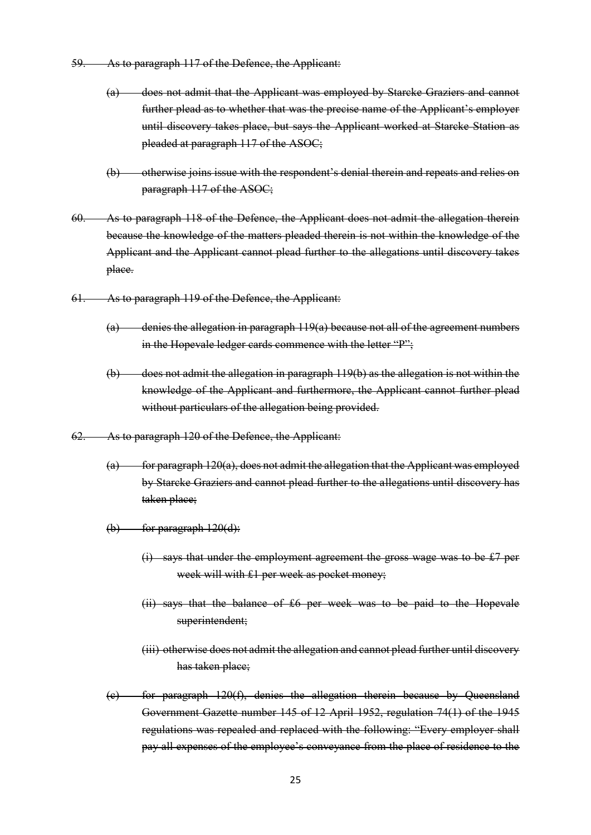- 59. As to paragraph 117 of the Defence, the Applicant:
	- (a) does not admit that the Applicant was employed by Starcke Graziers and cannot further plead as to whether that was the precise name of the Applicant's employer until discovery takes place, but says the Applicant worked at Starcke Station as pleaded at paragraph 117 of the ASOC;
	- (b) otherwise joins issue with the respondent's denial therein and repeats and relies on paragraph 117 of the ASOC;
- 60. As to paragraph 118 of the Defence, the Applicant does not admit the allegation therein because the knowledge of the matters pleaded therein is not within the knowledge of the Applicant and the Applicant cannot plead further to the allegations until discovery takes place.
- 61. As to paragraph 119 of the Defence, the Applicant:
	- (a) denies the allegation in paragraph 119(a) because not all of the agreement numbers in the Hopevale ledger cards commence with the letter "P";
	- (b) does not admit the allegation in paragraph 119(b) as the allegation is not within the knowledge of the Applicant and furthermore, the Applicant cannot further plead without particulars of the allegation being provided.
- 62. As to paragraph 120 of the Defence, the Applicant:
	- $(a)$  for paragraph 120(a), does not admit the allegation that the Applicant was employed by Starcke Graziers and cannot plead further to the allegations until discovery has taken place;
	- $(b)$  for paragraph  $120(d)$ :
		- (i) says that under the employment agreement the gross wage was to be £7 per week will with £1 per week as pocket money;
		- (ii) says that the balance of £6 per week was to be paid to the Hopevale superintendent;
		- (iii) otherwise does not admit the allegation and cannot plead further until discovery has taken place;
	- (c) for paragraph 120(f), denies the allegation therein because by Queensland Government Gazette number 145 of 12 April 1952, regulation 74(1) of the 1945 regulations was repealed and replaced with the following: "Every employer shall pay all expenses of the employee's conveyance from the place of residence to the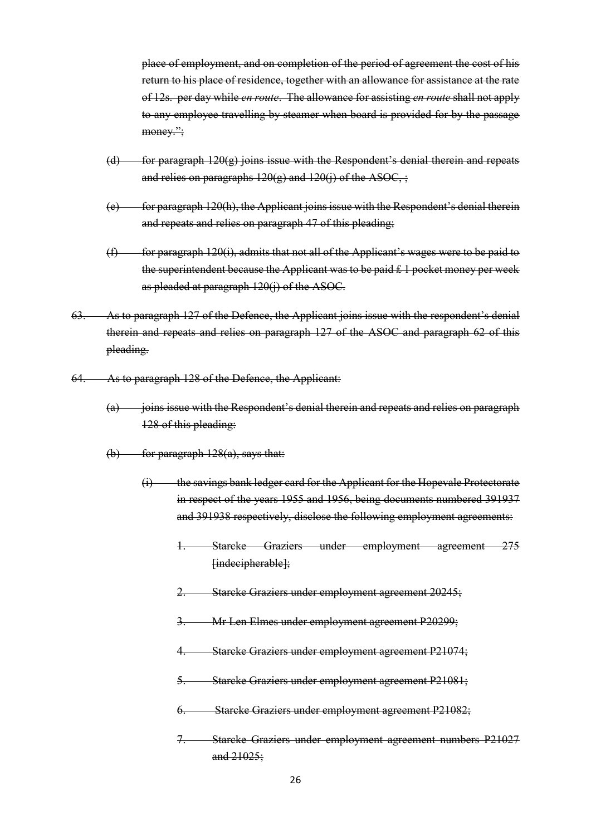place of employment, and on completion of the period of agreement the cost of his return to his place of residence, together with an allowance for assistance at the rate of 12s. per day while *en route*. The allowance for assisting *en route* shall not apply to any employee travelling by steamer when board is provided for by the passage money.";

- $(d)$  for paragraph  $120(g)$  joins issue with the Respondent's denial therein and repeats and relies on paragraphs  $120(g)$  and  $120(j)$  of the ASOC, ;
- $(e)$  for paragraph 120(h), the Applicant joins issue with the Respondent's denial therein and repeats and relies on paragraph 47 of this pleading;
- $(f)$  for paragraph 120(i), admits that not all of the Applicant's wages were to be paid to the superintendent because the Applicant was to be paid £ 1 pocket money per week as pleaded at paragraph 120(j) of the ASOC.
- 63. As to paragraph 127 of the Defence, the Applicant joins issue with the respondent's denial therein and repeats and relies on paragraph 127 of the ASOC and paragraph 62 of this pleading.
- 64. As to paragraph 128 of the Defence, the Applicant:
	- (a) joins issue with the Respondent's denial therein and repeats and relies on paragraph 128 of this pleading:
	- $(b)$  for paragraph  $128(a)$ , says that:
		- (i) the savings bank ledger card for the Applicant for the Hopevale Protectorate in respect of the years 1955 and 1956, being documents numbered 391937 and 391938 respectively, disclose the following employment agreements:
			- 1. Starcke Graziers under employment agreement 275 [indecipherable];
			- 2. Starcke Graziers under employment agreement 20245;
			- 3. Mr Len Elmes under employment agreement P20299;
			- 4. Starcke Graziers under employment agreement P21074;
			- 5. Starcke Graziers under employment agreement P21081;
			- 6. Starcke Graziers under employment agreement P21082;
			- 7. Starcke Graziers under employment agreement numbers P21027 and 21025;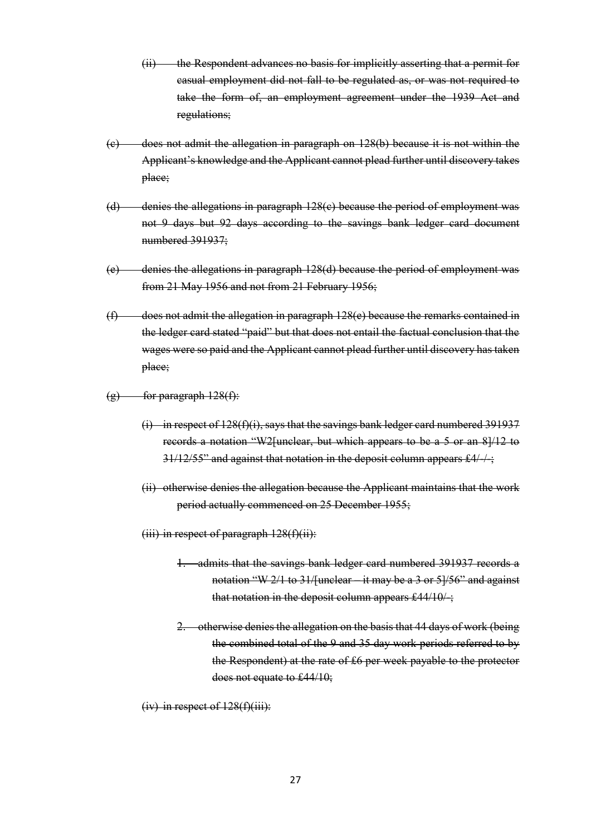- (ii) the Respondent advances no basis for implicitly asserting that a permit for casual employment did not fall to be regulated as, or was not required to take the form of, an employment agreement under the 1939 Act and regulations;
- (c) does not admit the allegation in paragraph on 128(b) because it is not within the Applicant's knowledge and the Applicant cannot plead further until discovery takes place;
- (d) denies the allegations in paragraph 128(c) because the period of employment was not 9 days but 92 days according to the savings bank ledger card document numbered 391937:
- (e) denies the allegations in paragraph 128(d) because the period of employment was from 21 May 1956 and not from 21 February 1956;
- (f) does not admit the allegation in paragraph 128(e) because the remarks contained in the ledger card stated "paid" but that does not entail the factual conclusion that the wages were so paid and the Applicant cannot plead further until discovery has taken place;
- $(g)$  for paragraph  $128(f)$ :
	- (i) in respect of 128(f)(i), says that the savings bank ledger card numbered 391937 records a notation "W2[unclear, but which appears to be a 5 or an 8]/12 to 31/12/55" and against that notation in the deposit column appears £4/-/-;
	- (ii) otherwise denies the allegation because the Applicant maintains that the work period actually commenced on 25 December 1955;
	- $(iii)$  in respect of paragraph  $128(f)(ii)$ :
		- 1. admits that the savings bank ledger card numbered 391937 records a notation "W 2/1 to 31/[unclear – it may be a 3 or 5]/56" and against that notation in the deposit column appears £44/10/-;
		- 2. otherwise denies the allegation on the basis that 44 days of work (being the combined total of the 9 and 35 day work periods referred to by the Respondent) at the rate of £6 per week payable to the protector does not equate to £44/10;
	- $(iv)$  in respect of  $128(f)(iii)$ :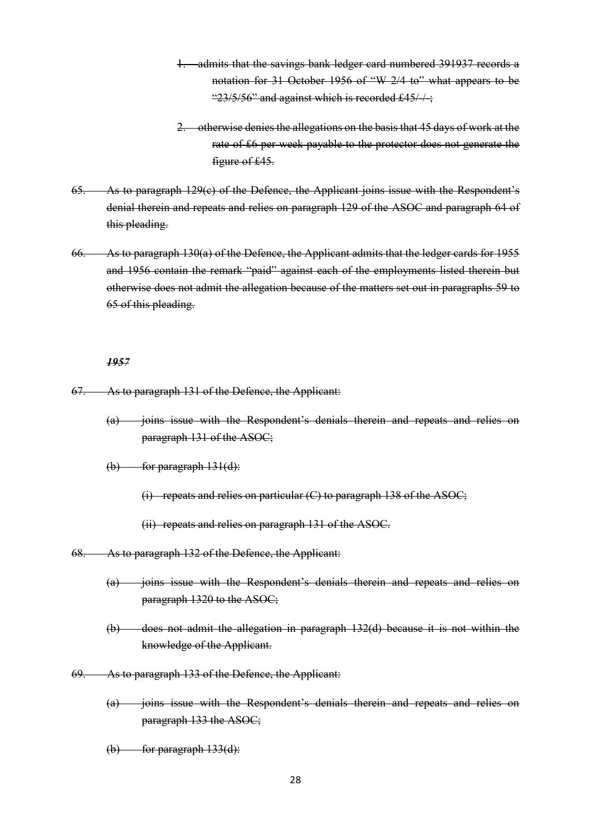- admits that the savings bank ledger card numbered 391937 records a notation for 31 October 1956 of "W 2/4 to" what appears to be " $23/5/56$ " and against which is recorded £45/ $+$ ;
- 2. otherwise denies the allegations on the basis that 45 days of work at the rate of £6 per week payable to the protector does not generate the figure of £45.
- 65. As to paragraph 129(c) of the Defence, the Applicant joins issue with the Respondent's denial therein and repeats and relies on paragraph 129 of the ASOC and paragraph 64 of this pleading.
- 66. As to paragraph 130(a) of the Defence, the Applicant admits that the ledger cards for 1955 and 1956 contain the remark "paid" against each of the employments listed therein but otherwise does not admit the allegation because of the matters set out in paragraphs 59 to 65 of this pleading.

#### *1957*

- 67. As to paragraph 131 of the Defence, the Applicant:
	- (a) joins issue with the Respondent's denials therein and repeats and relies on paragraph 131 of the ASOC;
	- $(b)$  for paragraph  $131(d)$ :
		- (i) repeats and relies on particular  $(C)$  to paragraph 138 of the ASOC;
		- (ii) repeats and relies on paragraph 131 of the ASOC.
- 68. As to paragraph 132 of the Defence, the Applicant:
	- (a) joins issue with the Respondent's denials therein and repeats and relies on paragraph 1320 to the ASOC;
	- (b) does not admit the allegation in paragraph 132(d) because it is not within the knowledge of the Applicant.
- 69. As to paragraph 133 of the Defence, the Applicant:
	- (a) joins issue with the Respondent's denials therein and repeats and relies on paragraph 133 the ASOC;
	- $(b)$  for paragraph  $133(d)$ :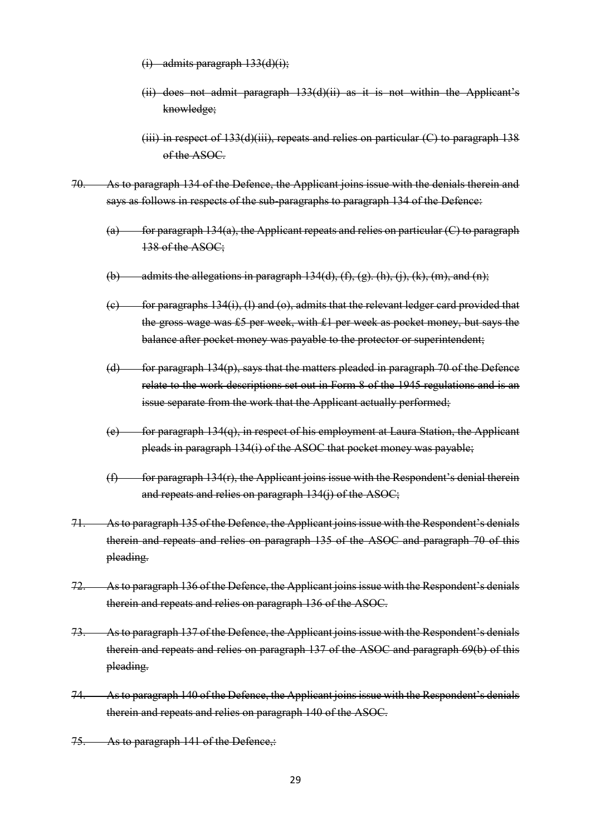- $(i)$  admits paragraph  $133(d)(i)$ ;
- (ii) does not admit paragraph 133(d)(ii) as it is not within the Applicant's knowledge;
- $(iii)$  in respect of 133(d) $(iii)$ , repeats and relies on particular  $(C)$  to paragraph 138 of the ASOC.
- 70. As to paragraph 134 of the Defence, the Applicant joins issue with the denials therein and says as follows in respects of the sub-paragraphs to paragraph 134 of the Defence:
	- $(a)$  for paragraph 134(a), the Applicant repeats and relies on particular  $(C)$  to paragraph 138 of the ASOC;
	- (b) admits the allegations in paragraph  $134(d)$ ,  $(f)$ ,  $(g)$ .  $(h)$ ,  $(i)$ ,  $(k)$ ,  $(m)$ , and  $(n)$ ;
	- $(e)$  for paragraphs 134(i), (1) and (o), admits that the relevant ledger card provided that the gross wage was £5 per week, with £1 per week as pocket money, but says the balance after pocket money was payable to the protector or superintendent;
	- (d) for paragraph 134(p), says that the matters pleaded in paragraph 70 of the Defence relate to the work descriptions set out in Form 8 of the 1945 regulations and is an issue separate from the work that the Applicant actually performed;
	- (e) for paragraph 134(q), in respect of his employment at Laura Station, the Applicant pleads in paragraph 134(i) of the ASOC that pocket money was payable;
	- $(f)$  for paragraph 134(r), the Applicant joins issue with the Respondent's denial therein and repeats and relies on paragraph 134(j) of the ASOC;
- 71. As to paragraph 135 of the Defence, the Applicant joins issue with the Respondent's denials therein and repeats and relies on paragraph 135 of the ASOC and paragraph 70 of this pleading.
- 72. As to paragraph 136 of the Defence, the Applicant joins issue with the Respondent's denials therein and repeats and relies on paragraph 136 of the ASOC.
- 73. As to paragraph 137 of the Defence, the Applicant joins issue with the Respondent's denials therein and repeats and relies on paragraph 137 of the ASOC and paragraph 69(b) of this pleading.
- 74. As to paragraph 140 of the Defence, the Applicant joins issue with the Respondent's denials therein and repeats and relies on paragraph 140 of the ASOC.
- 75. As to paragraph 141 of the Defence,: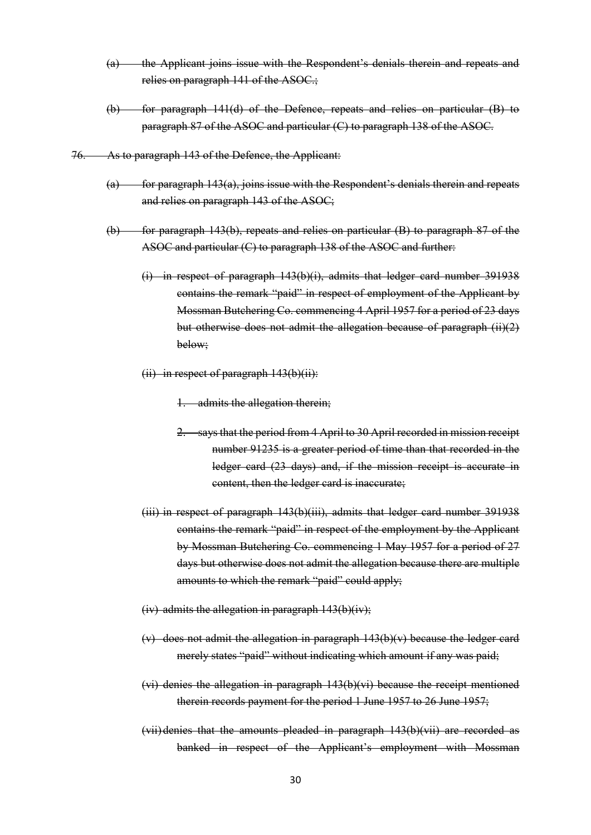- (a) the Applicant joins issue with the Respondent's denials therein and repeats and relies on paragraph 141 of the ASOC.;
- (b) for paragraph 141(d) of the Defence, repeats and relies on particular (B) to paragraph 87 of the ASOC and particular (C) to paragraph 138 of the ASOC.
- 76. As to paragraph 143 of the Defence, the Applicant:
	- $(a)$  for paragraph 143 $(a)$ , joins issue with the Respondent's denials therein and repeats and relies on paragraph 143 of the ASOC;
	- (b) for paragraph 143(b), repeats and relies on particular (B) to paragraph 87 of the ASOC and particular (C) to paragraph 138 of the ASOC and further:
		- (i) in respect of paragraph 143(b)(i), admits that ledger card number 391938 contains the remark "paid" in respect of employment of the Applicant by Mossman Butchering Co. commencing 4 April 1957 for a period of 23 days but otherwise does not admit the allegation because of paragraph (ii)(2) below;
		- (ii) in respect of paragraph 143(b)(ii):
			- 1. admits the allegation therein;
			- 2. says that the period from 4 April to 30 April recorded in mission receipt number 91235 is a greater period of time than that recorded in the ledger card (23 days) and, if the mission receipt is accurate in content, then the ledger card is inaccurate;
		- (iii) in respect of paragraph 143(b)(iii), admits that ledger card number 391938 contains the remark "paid" in respect of the employment by the Applicant by Mossman Butchering Co. commencing 1 May 1957 for a period of 27 days but otherwise does not admit the allegation because there are multiple amounts to which the remark "paid" could apply;
		- (iv) admits the allegation in paragraph  $143(b)(iv)$ ;
		- (v) does not admit the allegation in paragraph 143(b)(v) because the ledger card merely states "paid" without indicating which amount if any was paid;
		- (vi) denies the allegation in paragraph 143(b)(vi) because the receipt mentioned therein records payment for the period 1 June 1957 to 26 June 1957;
		- (vii) denies that the amounts pleaded in paragraph 143(b)(vii) are recorded as banked in respect of the Applicant's employment with Mossman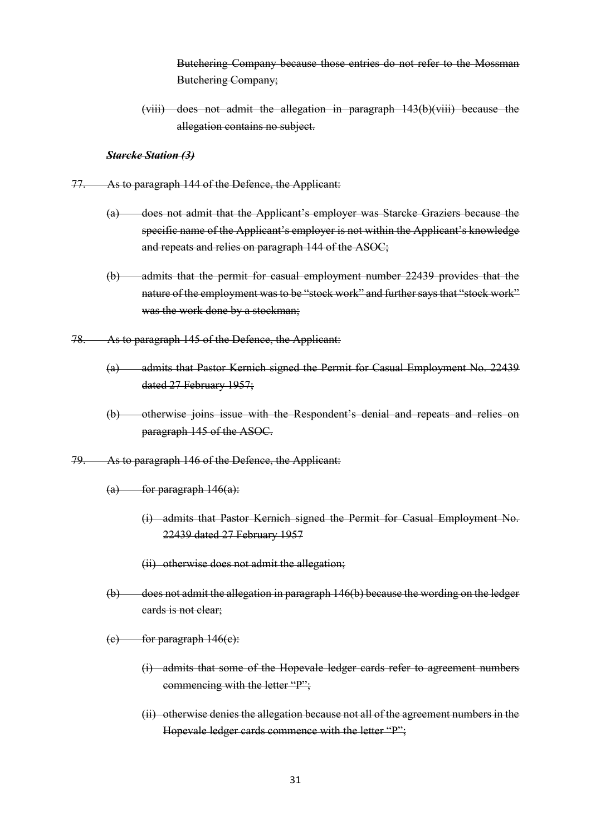Butchering Company because those entries do not refer to the Mossman Butchering Company;

(viii) does not admit the allegation in paragraph 143(b)(viii) because the allegation contains no subject.

*Starcke Station (3)*

- 77. As to paragraph 144 of the Defence, the Applicant:
	- (a) does not admit that the Applicant's employer was Starcke Graziers because the specific name of the Applicant's employer is not within the Applicant's knowledge and repeats and relies on paragraph 144 of the ASOC;
	- (b) admits that the permit for casual employment number 22439 provides that the nature of the employment was to be "stock work" and further says that "stock work" was the work done by a stockman;
- 78. As to paragraph 145 of the Defence, the Applicant:
	- (a) admits that Pastor Kernich signed the Permit for Casual Employment No. 22439 dated 27 February 1957;
	- (b) otherwise joins issue with the Respondent's denial and repeats and relies on paragraph 145 of the ASOC.
- 79. As to paragraph 146 of the Defence, the Applicant:
	- $(a)$  for paragraph  $146(a)$ :
		- (i) admits that Pastor Kernich signed the Permit for Casual Employment No. 22439 dated 27 February 1957
		- (ii) otherwise does not admit the allegation;
	- (b) does not admit the allegation in paragraph 146(b) because the wording on the ledger cards is not clear;
	- $(e)$  for paragraph  $146(e)$ :
		- (i) admits that some of the Hopevale ledger cards refer to agreement numbers commencing with the letter "P";
		- (ii) otherwise denies the allegation because not all of the agreement numbers in the Hopevale ledger cards commence with the letter "P";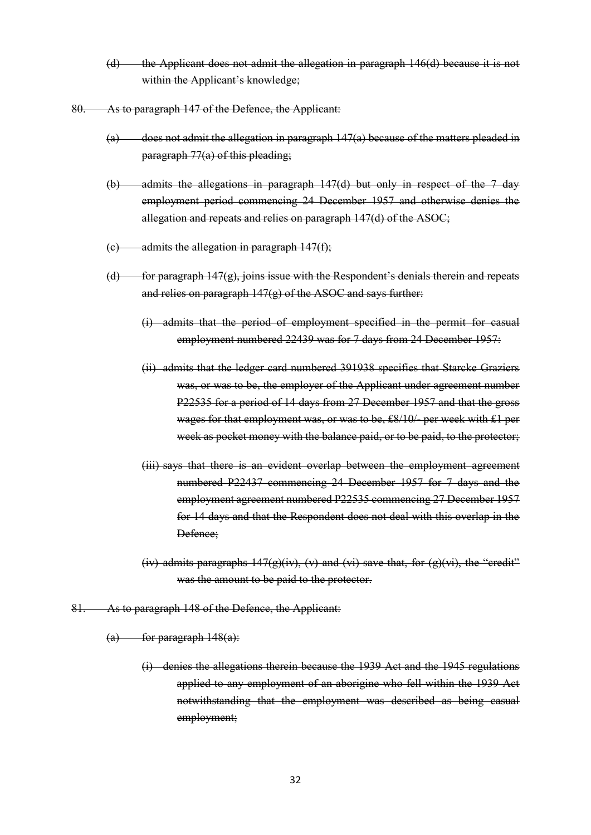- (d) the Applicant does not admit the allegation in paragraph 146(d) because it is not within the Applicant's knowledge;
- 80. As to paragraph 147 of the Defence, the Applicant:
	- $(a)$  does not admit the allegation in paragraph  $147(a)$  because of the matters pleaded in paragraph 77(a) of this pleading;
	- (b) admits the allegations in paragraph 147(d) but only in respect of the 7 day employment period commencing 24 December 1957 and otherwise denies the allegation and repeats and relies on paragraph 147(d) of the ASOC;
	- $(c)$  admits the allegation in paragraph  $147(f)$ .
	- $(d)$  for paragraph 147(g), joins issue with the Respondent's denials therein and repeats and relies on paragraph 147(g) of the ASOC and says further:
		- (i) admits that the period of employment specified in the permit for casual employment numbered 22439 was for 7 days from 24 December 1957:
		- (ii) admits that the ledger card numbered 391938 specifies that Starcke Graziers was, or was to be, the employer of the Applicant under agreement number P22535 for a period of 14 days from 27 December 1957 and that the gross wages for that employment was, or was to be, £8/10/- per week with £1 per week as pocket money with the balance paid, or to be paid, to the protector;
		- (iii) says that there is an evident overlap between the employment agreement numbered P22437 commencing 24 December 1957 for 7 days and the employment agreement numbered P22535 commencing 27 December 1957 for 14 days and that the Respondent does not deal with this overlap in the Defence;
		- (iv) admits paragraphs  $147(g)(iv)$ , (v) and (vi) save that, for  $(g)(vi)$ , the "credit" was the amount to be paid to the protector.
- 81. As to paragraph 148 of the Defence, the Applicant:

 $(a)$  for paragraph  $148(a)$ :

(i) denies the allegations therein because the 1939 Act and the 1945 regulations applied to any employment of an aborigine who fell within the 1939 Act notwithstanding that the employment was described as being casual employment;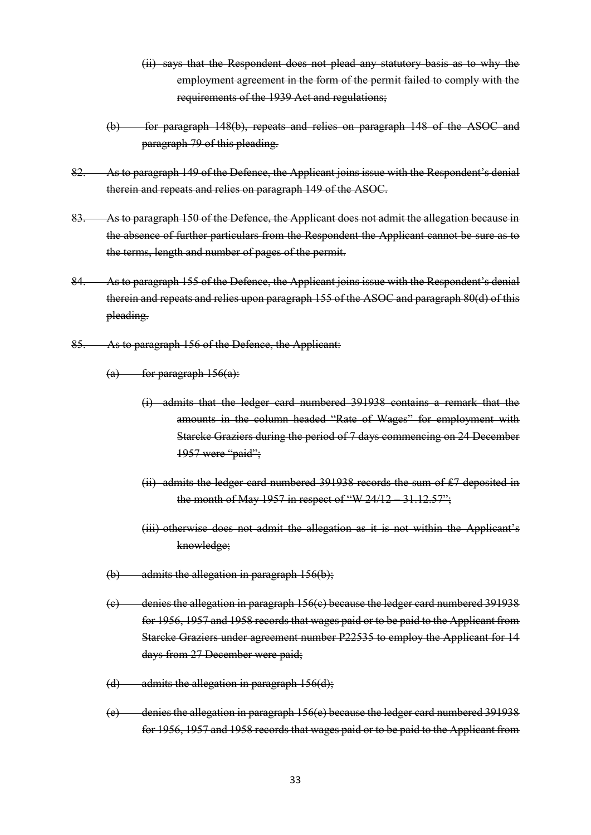- (ii) says that the Respondent does not plead any statutory basis as to why the employment agreement in the form of the permit failed to comply with the requirements of the 1939 Act and regulations;
- (b) for paragraph 148(b), repeats and relies on paragraph 148 of the ASOC and paragraph 79 of this pleading.
- 82. As to paragraph 149 of the Defence, the Applicant joins issue with the Respondent's denial therein and repeats and relies on paragraph 149 of the ASOC.
- 83. As to paragraph 150 of the Defence, the Applicant does not admit the allegation because in the absence of further particulars from the Respondent the Applicant cannot be sure as to the terms, length and number of pages of the permit.
- 84. As to paragraph 155 of the Defence, the Applicant joins issue with the Respondent's denial therein and repeats and relies upon paragraph 155 of the ASOC and paragraph 80(d) of this pleading.
- 85. As to paragraph 156 of the Defence, the Applicant:
	- $(a)$  for paragraph  $156(a)$ :
		- (i) admits that the ledger card numbered 391938 contains a remark that the amounts in the column headed "Rate of Wages" for employment with Starcke Graziers during the period of 7 days commencing on 24 December 1957 were "paid";
		- (ii) admits the ledger card numbered 391938 records the sum of £7 deposited in the month of May 1957 in respect of "W 24/12 – 31.12.57";
		- (iii) otherwise does not admit the allegation as it is not within the Applicant's knowledge;
	- $(b)$  admits the allegation in paragraph 156(b);
	- (c) denies the allegation in paragraph 156(c) because the ledger card numbered 391938 for 1956, 1957 and 1958 records that wages paid or to be paid to the Applicant from Starcke Graziers under agreement number P22535 to employ the Applicant for 14 days from 27 December were paid;
	- $(d)$  admits the allegation in paragraph 156(d);
	- (e) denies the allegation in paragraph 156(e) because the ledger card numbered 391938 for 1956, 1957 and 1958 records that wages paid or to be paid to the Applicant from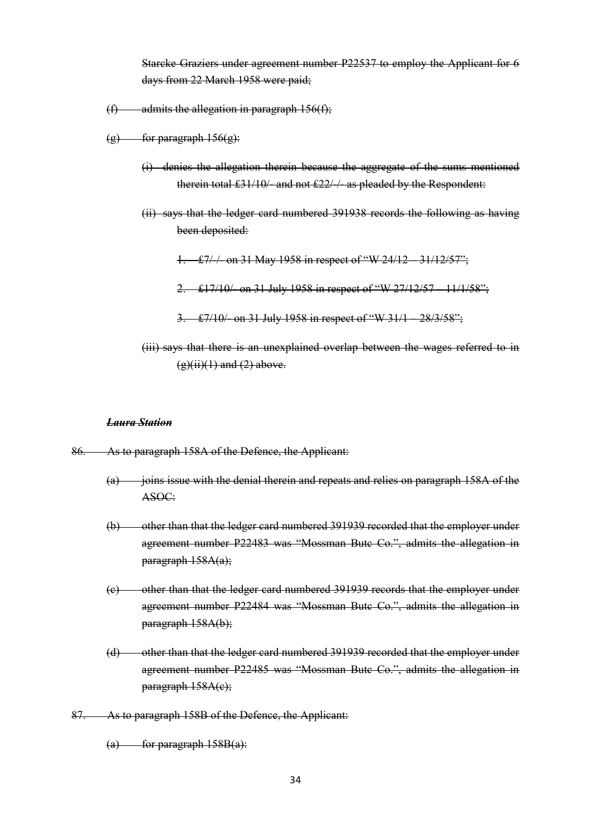Starcke Graziers under agreement number P22537 to employ the Applicant for 6 days from 22 March 1958 were paid;

- $(f)$  admits the allegation in paragraph 156(f);
- $(g)$  for paragraph  $156(g)$ :
	- (i) denies the allegation therein because the aggregate of the sums mentioned therein total £31/10/- and not £22/-/- as pleaded by the Respondent:
	- (ii) says that the ledger card numbered 391938 records the following as having been deposited:
		- 1. £7/-/- on 31 May 1958 in respect of "W 24/12 31/12/57";
		- 2. £17/10/- on 31 July 1958 in respect of "W 27/12/57 11/1/58";
		- 3. £7/10/- on 31 July 1958 in respect of "W 31/1 28/3/58";
	- (iii) says that there is an unexplained overlap between the wages referred to in  $(g)(ii)(1)$  and  $(2)$  above.

#### *Laura Station*

- 86. As to paragraph 158A of the Defence, the Applicant:
	- $(a)$  joins issue with the denial therein and repeats and relies on paragraph 158A of the ASOC:
	- (b) other than that the ledger card numbered 391939 recorded that the employer under agreement number P22483 was "Mossman Butc Co.", admits the allegation in paragraph 158A(a);
	- (c) other than that the ledger card numbered 391939 records that the employer under agreement number P22484 was "Mossman Butc Co.", admits the allegation in paragraph 158A(b);
	- (d) other than that the ledger card numbered 391939 recorded that the employer under agreement number P22485 was "Mossman Butc Co.", admits the allegation in paragraph 158A(c);
- 87. As to paragraph 158B of the Defence, the Applicant:

 $(a)$  for paragraph  $158B(a)$ :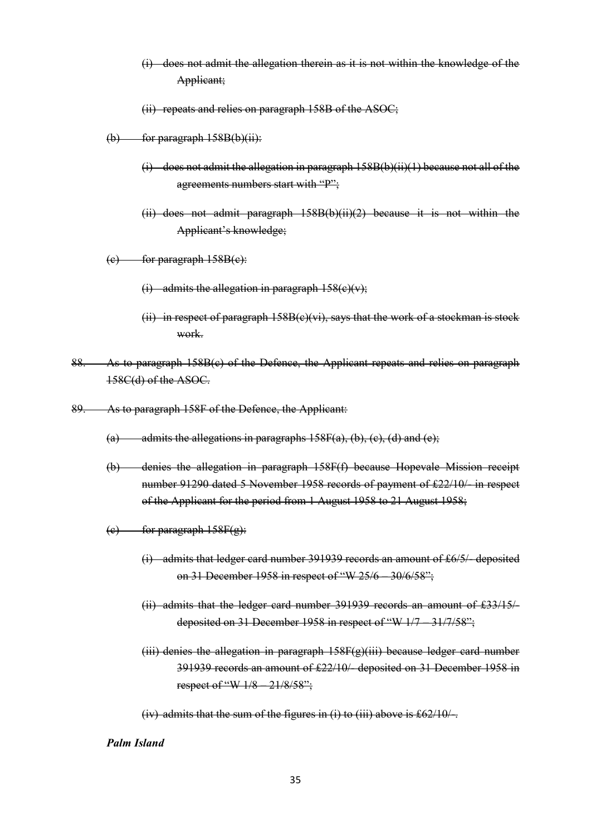- (i) does not admit the allegation therein as it is not within the knowledge of the Applicant;
- (ii) repeats and relies on paragraph 158B of the ASOC;
- $(b)$  for paragraph  $158B(b)(ii)$ :
	- (i) does not admit the allegation in paragraph 158B(b)(ii)(1) because not all of the agreements numbers start with "P";
	- (ii) does not admit paragraph 158B(b)(ii)(2) because it is not within the Applicant's knowledge;
- $(e)$  for paragraph  $158B(e)$ :
	- (i) admits the allegation in paragraph  $158(e)(v)$ ;
	- (ii) in respect of paragraph  $158B(c)(vi)$ , says that the work of a stockman is stock work.
- 88. As to paragraph 158B(c) of the Defence, the Applicant repeats and relies on paragraph 158C(d) of the ASOC.
- 89. As to paragraph 158F of the Defence, the Applicant:
	- (a) admits the allegations in paragraphs  $158F(a)$ , (b), (c), (d) and (e);
	- (b) denies the allegation in paragraph 158F(f) because Hopevale Mission receipt number 91290 dated 5 November 1958 records of payment of £22/10/- in respect of the Applicant for the period from 1 August 1958 to 21 August 1958;
	- $(e)$  for paragraph  $158F(g)$ :
		- (i) admits that ledger card number 391939 records an amount of £6/5/- deposited on 31 December 1958 in respect of "W 25/6 – 30/6/58";
		- (ii) admits that the ledger card number 391939 records an amount of £33/15/ deposited on 31 December 1958 in respect of "W 1/7 – 31/7/58";
		- (iii) denies the allegation in paragraph 158F(g)(iii) because ledger card number 391939 records an amount of £22/10/- deposited on 31 December 1958 in respect of "W 1/8 – 21/8/58";

(iv) admits that the sum of the figures in (i) to (iii) above is  $\text{\pounds}62/10/-$ .

*Palm Island*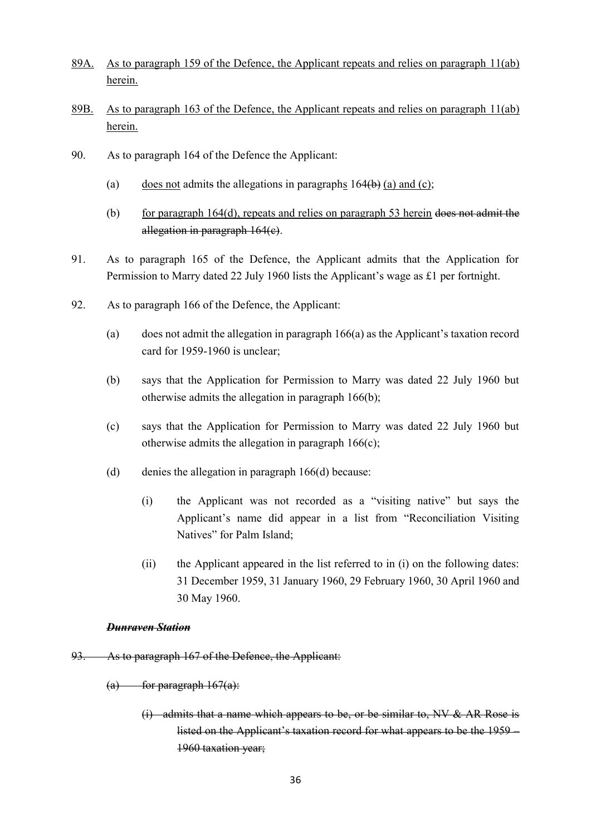- 89A. As to paragraph 159 of the Defence, the Applicant repeats and relies on paragraph 11(ab) herein.
- 89B. As to paragraph 163 of the Defence, the Applicant repeats and relies on paragraph 11(ab) herein.
- 90. As to paragraph 164 of the Defence the Applicant:
	- (a) does not admits the allegations in paragraphs  $164(b)$  (a) and (c);
	- (b) for paragraph 164(d), repeats and relies on paragraph 53 herein does not admit the allegation in paragraph 164(c).
- 91. As to paragraph 165 of the Defence, the Applicant admits that the Application for Permission to Marry dated 22 July 1960 lists the Applicant's wage as £1 per fortnight.
- 92. As to paragraph 166 of the Defence, the Applicant:
	- (a) does not admit the allegation in paragraph 166(a) as the Applicant's taxation record card for 1959-1960 is unclear;
	- (b) says that the Application for Permission to Marry was dated 22 July 1960 but otherwise admits the allegation in paragraph 166(b);
	- (c) says that the Application for Permission to Marry was dated 22 July 1960 but otherwise admits the allegation in paragraph 166(c);
	- (d) denies the allegation in paragraph 166(d) because:
		- (i) the Applicant was not recorded as a "visiting native" but says the Applicant's name did appear in a list from "Reconciliation Visiting Natives" for Palm Island;
		- (ii) the Applicant appeared in the list referred to in (i) on the following dates: 31 December 1959, 31 January 1960, 29 February 1960, 30 April 1960 and 30 May 1960.

#### *Dunraven Station*

- 93. As to paragraph 167 of the Defence, the Applicant:
	- $(a)$  for paragraph  $167(a)$ :
		- (i) admits that a name which appears to be, or be similar to, NV & AR Rose is listed on the Applicant's taxation record for what appears to be the 1959 – 1960 taxation year;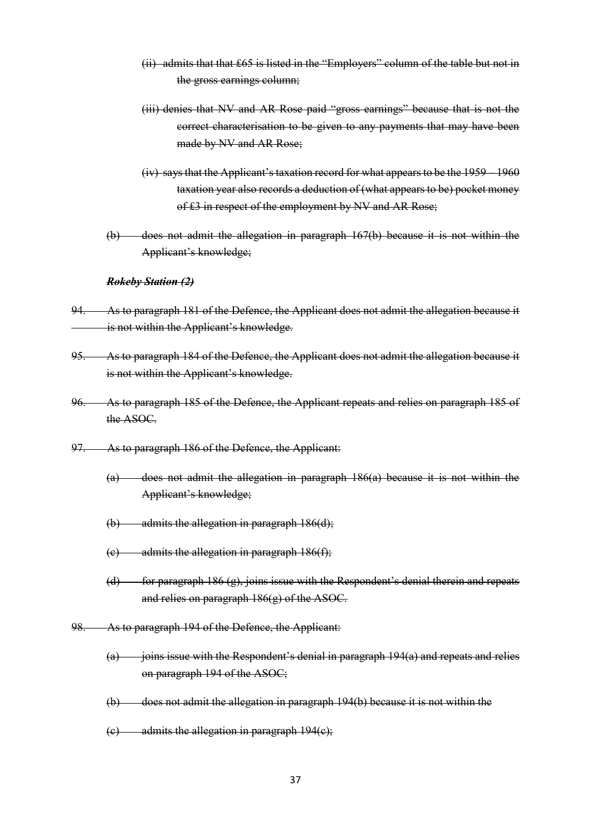- (ii) admits that that £65 is listed in the "Employers" column of the table but not in the gross earnings column;
- (iii) denies that NV and AR Rose paid "gross earnings" because that is not the correct characterisation to be given to any payments that may have been made by NV and AR Rose;
- (iv) says that the Applicant's taxation record for what appears to be the 1959 1960 taxation year also records a deduction of (what appears to be) pocket money of £3 in respect of the employment by NV and AR Rose;
- (b) does not admit the allegation in paragraph 167(b) because it is not within the Applicant's knowledge;

#### *Rokeby Station (2)*

- 94. As to paragraph 181 of the Defence, the Applicant does not admit the allegation because it is not within the Applicant's knowledge.
- 95. As to paragraph 184 of the Defence, the Applicant does not admit the allegation because it is not within the Applicant's knowledge.
- 96. As to paragraph 185 of the Defence, the Applicant repeats and relies on paragraph 185 of the ASOC.
- 97. As to paragraph 186 of the Defence, the Applicant:
	- (a) does not admit the allegation in paragraph 186(a) because it is not within the Applicant's knowledge;
	- $(b)$  admits the allegation in paragraph  $186(d)$ ;
	- $(e)$  admits the allegation in paragraph  $186(f)$ ;
	- (d) for paragraph 186  $(g)$ , joins issue with the Respondent's denial therein and repeats and relies on paragraph 186(g) of the ASOC.
- 98. As to paragraph 194 of the Defence, the Applicant:
	- $(a)$  joins issue with the Respondent's denial in paragraph 194 $(a)$  and repeats and relies on paragraph 194 of the ASOC;
	- (b) does not admit the allegation in paragraph 194(b) because it is not within the
	- $(e)$  admits the allegation in paragraph  $194(e)$ ;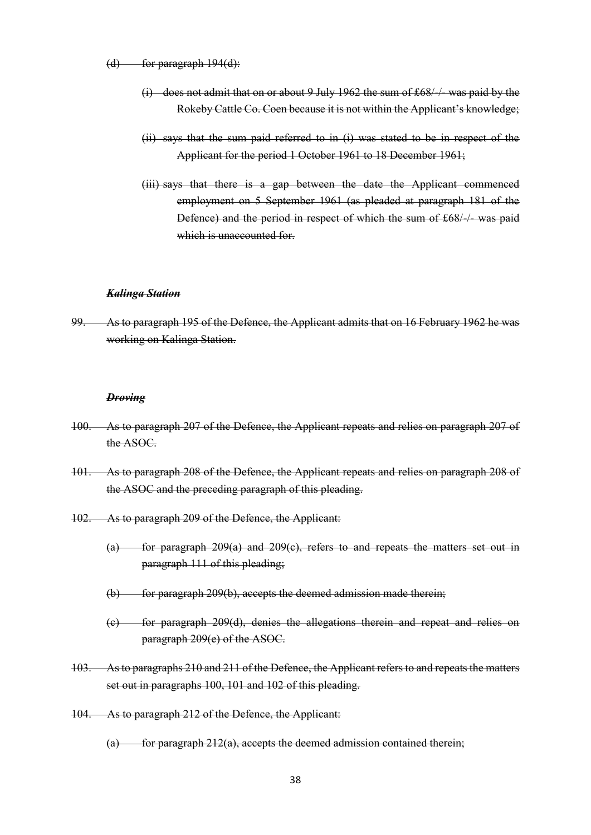- $(d)$  for paragraph  $194(d)$ :
	- (i) does not admit that on or about 9 July 1962 the sum of £68/-/- was paid by the Rokeby Cattle Co. Coen because it is not within the Applicant's knowledge;
	- (ii) says that the sum paid referred to in (i) was stated to be in respect of the Applicant for the period 1 October 1961 to 18 December 1961;
	- (iii) says that there is a gap between the date the Applicant commenced employment on 5 September 1961 (as pleaded at paragraph 181 of the Defence) and the period in respect of which the sum of £68/-/- was paid which is unaccounted for-

#### *Kalinga Station*

99. As to paragraph 195 of the Defence, the Applicant admits that on 16 February 1962 he was working on Kalinga Station.

#### *Droving*

- 100. As to paragraph 207 of the Defence, the Applicant repeats and relies on paragraph 207 of the ASOC.
- 101. As to paragraph 208 of the Defence, the Applicant repeats and relies on paragraph 208 of the ASOC and the preceding paragraph of this pleading.
- 102. As to paragraph 209 of the Defence, the Applicant:
	- (a) for paragraph 209(a) and 209(c), refers to and repeats the matters set out in paragraph 111 of this pleading;
	- (b) for paragraph 209(b), accepts the deemed admission made therein;
	- (c) for paragraph 209(d), denies the allegations therein and repeat and relies on paragraph 209(e) of the ASOC.
- 103. As to paragraphs 210 and 211 of the Defence, the Applicant refers to and repeats the matters set out in paragraphs 100, 101 and 102 of this pleading.
- 104. As to paragraph 212 of the Defence, the Applicant:
	- $(a)$  for paragraph 212(a), accepts the deemed admission contained therein;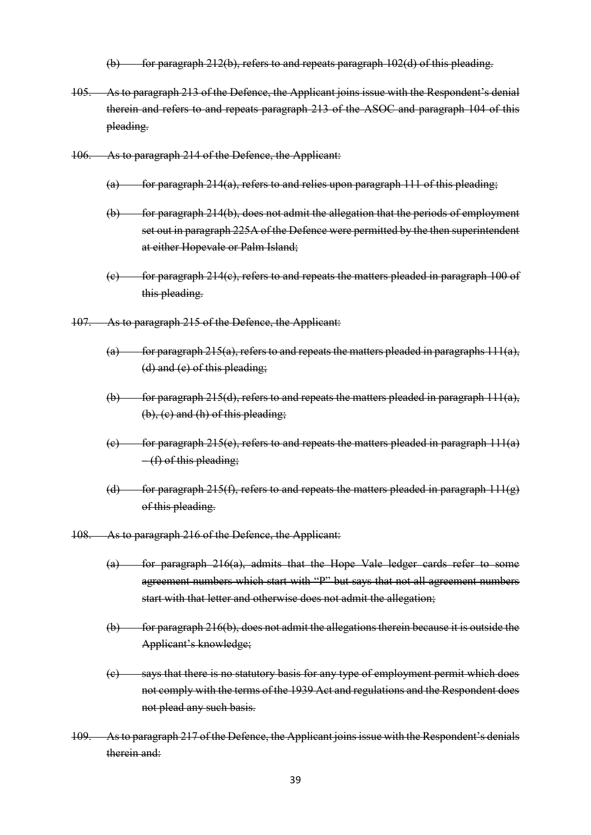- (b) for paragraph 212(b), refers to and repeats paragraph  $102(d)$  of this pleading.
- 105. As to paragraph 213 of the Defence, the Applicant joins issue with the Respondent's denial therein and refers to and repeats paragraph 213 of the ASOC and paragraph 104 of this pleading.
- 106. As to paragraph 214 of the Defence, the Applicant:
	- $(a)$  for paragraph 214(a), refers to and relies upon paragraph 111 of this pleading;
	- (b) for paragraph 214(b), does not admit the allegation that the periods of employment set out in paragraph 225A of the Defence were permitted by the then superintendent at either Hopevale or Palm Island;
	- $(c)$  for paragraph 214(c), refers to and repeats the matters pleaded in paragraph 100 of this pleading.
- 107. As to paragraph 215 of the Defence, the Applicant:
	- (a) for paragraph  $215(a)$ , refers to and repeats the matters pleaded in paragraphs  $111(a)$ , (d) and (e) of this pleading;
	- (b) for paragraph 215(d), refers to and repeats the matters pleaded in paragraph  $111(a)$ , (b), (c) and (h) of this pleading;
	- $(e)$  for paragraph 215(e), refers to and repeats the matters pleaded in paragraph 111(a)  $-(f)$  of this pleading;
	- (d) for paragraph 215(f), refers to and repeats the matters pleaded in paragraph  $111(g)$ of this pleading.
- 108. As to paragraph 216 of the Defence, the Applicant:
	- (a) for paragraph 216(a), admits that the Hope Vale ledger cards refer to some agreement numbers which start with "P" but says that not all agreement numbers start with that letter and otherwise does not admit the allegation;
	- $(b)$  for paragraph 216(b), does not admit the allegations therein because it is outside the Applicant's knowledge;
	- (c) says that there is no statutory basis for any type of employment permit which does not comply with the terms of the 1939 Act and regulations and the Respondent does not plead any such basis.
- 109. As to paragraph 217 of the Defence, the Applicant joins issue with the Respondent's denials therein and: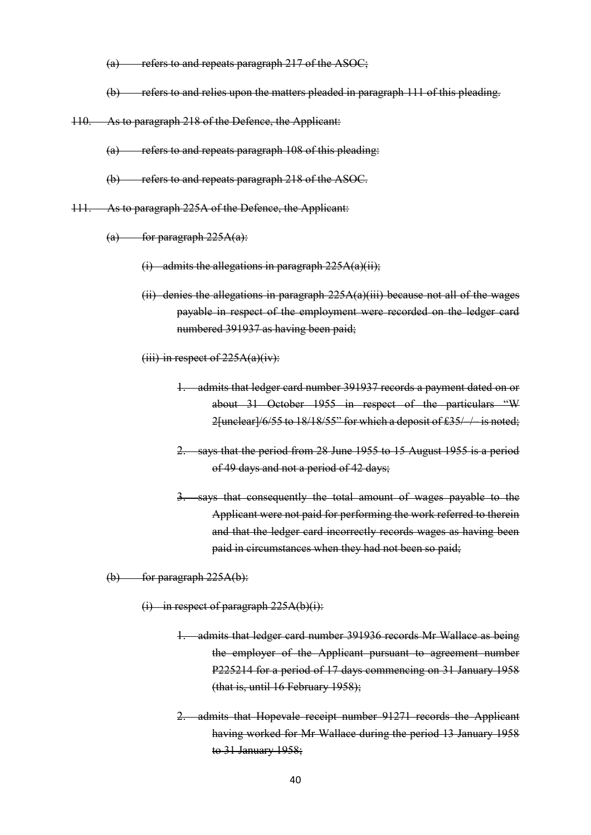- $(a)$  refers to and repeats paragraph 217 of the ASOC;
- (b) refers to and relies upon the matters pleaded in paragraph 111 of this pleading.
- 110. As to paragraph 218 of the Defence, the Applicant:
	- (a) refers to and repeats paragraph 108 of this pleading:
	- (b) refers to and repeats paragraph 218 of the ASOC.
- 111. As to paragraph 225A of the Defence, the Applicant:
	- $(a)$  for paragraph 225A(a):
		- $(i)$  admits the allegations in paragraph  $225A(a)(ii)$ ;
		- (ii) denies the allegations in paragraph  $225A(a)(iii)$  because not all of the wages payable in respect of the employment were recorded on the ledger card numbered 391937 as having been paid;
		- (iii) in respect of  $225A(a)(iv)$ :
			- 1. admits that ledger card number 391937 records a payment dated on or about 31 October 1955 in respect of the particulars "W 2[unclear]/6/55 to 18/18/55" for which a deposit of £35/ / is noted;
			- 2. says that the period from 28 June 1955 to 15 August 1955 is a period of 49 days and not a period of 42 days;
			- says that consequently the total amount of wages payable to the Applicant were not paid for performing the work referred to therein and that the ledger card incorrectly records wages as having been paid in circumstances when they had not been so paid;

 $(b)$  for paragraph 225A(b):

- $(i)$  in respect of paragraph 225A(b)(i):
	- 1. admits that ledger card number 391936 records Mr Wallace as being the employer of the Applicant pursuant to agreement number P225214 for a period of 17 days commencing on 31 January 1958 (that is, until 16 February 1958);
	- 2. admits that Hopevale receipt number 91271 records the Applicant having worked for Mr Wallace during the period 13 January 1958 to 31 January 1958;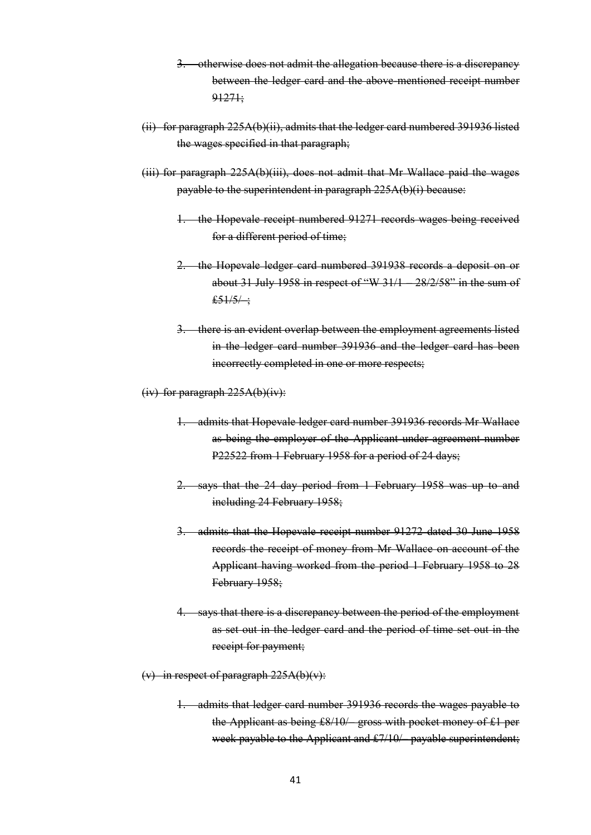- 3. otherwise does not admit the allegation because there is a discrepancy between the ledger card and the above-mentioned receipt number 91271;
- (ii) for paragraph 225A(b)(ii), admits that the ledger card numbered 391936 listed the wages specified in that paragraph;
- (iii) for paragraph 225A(b)(iii), does not admit that Mr Wallace paid the wages payable to the superintendent in paragraph 225A(b)(i) because:
	- 1. the Hopevale receipt numbered 91271 records wages being received for a different period of time;
	- 2. the Hopevale ledger card numbered 391938 records a deposit on or about 31 July 1958 in respect of "W 31/1 – 28/2/58" in the sum of  $£51/5/$
	- 3. there is an evident overlap between the employment agreements listed in the ledger card number 391936 and the ledger card has been incorrectly completed in one or more respects;
- (iv) for paragraph 225A(b)(iv):
	- 1. admits that Hopevale ledger card number 391936 records Mr Wallace as being the employer of the Applicant under agreement number P22522 from 1 February 1958 for a period of 24 days;
	- 2. says that the 24 day period from 1 February 1958 was up to and including 24 February 1958;
	- 3. admits that the Hopevale receipt number 91272 dated 30 June 1958 records the receipt of money from Mr Wallace on account of the Applicant having worked from the period 1 February 1958 to 28 February 1958;
	- 4. says that there is a discrepancy between the period of the employment as set out in the ledger card and the period of time set out in the receipt for payment;
- (v) in respect of paragraph  $225A(b)(v)$ :
	- 1. admits that ledger card number 391936 records the wages payable to the Applicant as being £8/10/– gross with pocket money of £1 per week payable to the Applicant and £7/10/– payable superintendent;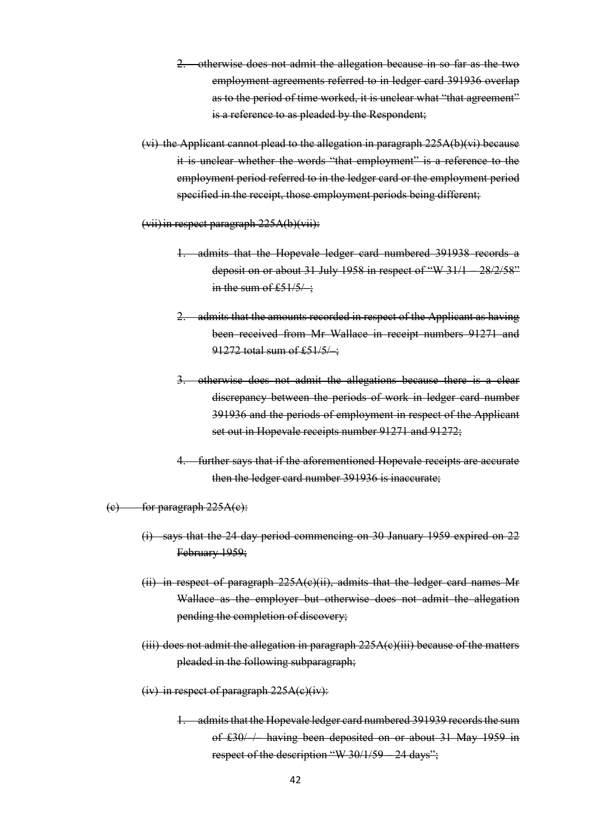- 2. otherwise does not admit the allegation because in so far as the two employment agreements referred to in ledger card 391936 overlap as to the period of time worked, it is unclear what "that agreement" is a reference to as pleaded by the Respondent;
- (vi) the Applicant cannot plead to the allegation in paragraph 225A(b)(vi) because it is unclear whether the words "that employment" is a reference to the employment period referred to in the ledger card or the employment period specified in the receipt, those employment periods being different;
- (vii)in respect paragraph 225A(b)(vii):
	- 1. admits that the Hopevale ledger card numbered 391938 records a deposit on or about 31 July 1958 in respect of "W 31/1 – 28/2/58" in the sum of  $£51/5/$ ;
	- 2. admits that the amounts recorded in respect of the Applicant as having been received from Mr Wallace in receipt numbers 91271 and 91272 total sum of £51/5/ :
	- 3. otherwise does not admit the allegations because there is a clear discrepancy between the periods of work in ledger card number 391936 and the periods of employment in respect of the Applicant set out in Hopevale receipts number 91271 and 91272;
	- 4. further says that if the aforementioned Hopevale receipts are accurate then the ledger card number 391936 is inaccurate;

#### $(e)$  for paragraph  $225A(e)$ :

- (i) says that the 24 day period commencing on 30 January 1959 expired on 22 February 1959;
- (ii) in respect of paragraph  $225A(e)(ii)$ , admits that the ledger card names Mr Wallace as the employer but otherwise does not admit the allegation pending the completion of discovery;
- $(iii)$  does not admit the allegation in paragraph  $225A(e)(iii)$  because of the matters pleaded in the following subparagraph;
- (iv) in respect of paragraph  $225A(e)(iv)$ :
	- 1. admits that the Hopevale ledger card numbered 391939 records the sum of £30/–/– having been deposited on or about 31 May 1959 in respect of the description "W 30/1/59 – 24 days";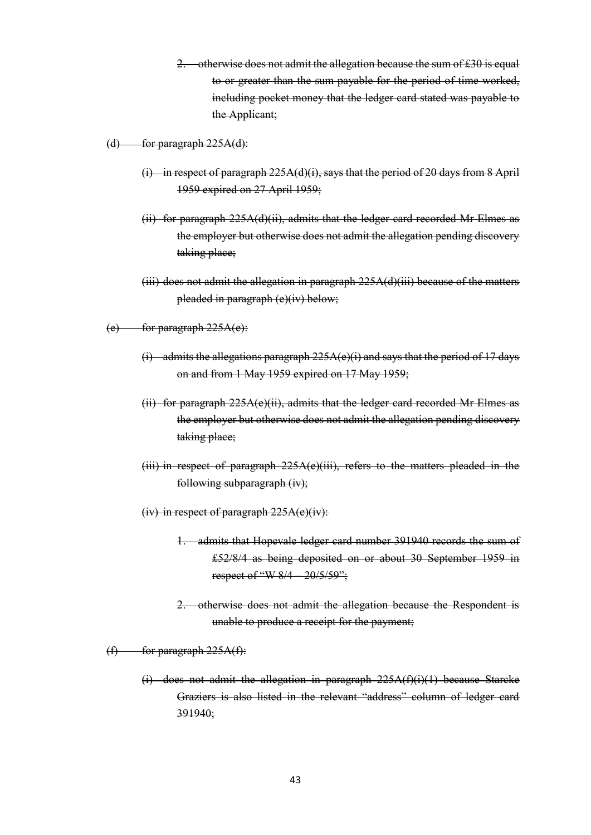2. otherwise does not admit the allegation because the sum of £30 is equal to or greater than the sum payable for the period of time worked, including pocket money that the ledger card stated was payable to the Applicant;

(d) for paragraph  $225A(d)$ :

- (i) in respect of paragraph  $225A(d)(i)$ , says that the period of 20 days from 8 April 1959 expired on 27 April 1959;
- (ii) for paragraph  $225A(d)(ii)$ , admits that the ledger card recorded Mr Elmes as the employer but otherwise does not admit the allegation pending discovery taking place;
- $(iii)$  does not admit the allegation in paragraph  $225A(d)(iii)$  because of the matters pleaded in paragraph (e)(iv) below;

 $(e)$  for paragraph  $225A(e)$ :

- (i) admits the allegations paragraph  $225A(e)(i)$  and says that the period of 17 days on and from 1 May 1959 expired on 17 May 1959;
- (ii) for paragraph  $225A(e)(ii)$ , admits that the ledger card recorded Mr Elmes as the employer but otherwise does not admit the allegation pending discovery taking place;
- (iii) in respect of paragraph 225A(e)(iii), refers to the matters pleaded in the following subparagraph (iv);
- (iv) in respect of paragraph 225A(e)(iv):
	- 1. admits that Hopevale ledger card number 391940 records the sum of £52/8/4 as being deposited on or about 30 September 1959 in respect of "W 8/4 – 20/5/59";
	- 2. otherwise does not admit the allegation because the Respondent is unable to produce a receipt for the payment;

 $(f)$  for paragraph  $225A(f)$ :

(i) does not admit the allegation in paragraph  $225A(f)(i)(1)$  because Starcke Graziers is also listed in the relevant "address" column of ledger card 391940;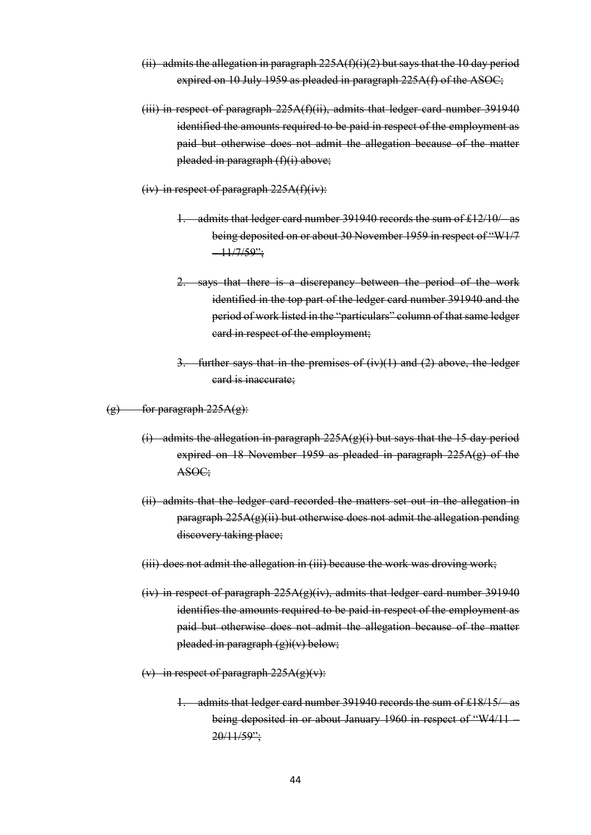- (ii) admits the allegation in paragraph  $225A(f)(i)(2)$  but says that the 10 day period expired on 10 July 1959 as pleaded in paragraph 225A(f) of the ASOC;
- (iii) in respect of paragraph 225A(f)(ii), admits that ledger card number 391940 identified the amounts required to be paid in respect of the employment as paid but otherwise does not admit the allegation because of the matter pleaded in paragraph (f)(i) above;
- (iv) in respect of paragraph  $225A(f)(iv)$ :
	- 1. admits that ledger card number 391940 records the sum of £12/10/– as being deposited on or about 30 November 1959 in respect of "W1/7  $-11/7/59$ ";
	- 2. says that there is a discrepancy between the period of the work identified in the top part of the ledger card number 391940 and the period of work listed in the "particulars" column of that same ledger card in respect of the employment;
	- 3. further says that in the premises of  $(iv)(1)$  and  $(2)$  above, the ledger card is inaccurate;
- $(g)$  for paragraph  $225A(g)$ :
	- (i) admits the allegation in paragraph  $225A(g)(i)$  but says that the 15 day period expired on 18 November 1959 as pleaded in paragraph 225A(g) of the ASOC;
	- (ii) admits that the ledger card recorded the matters set out in the allegation in paragraph 225A(g)(ii) but otherwise does not admit the allegation pending discovery taking place;
	- (iii) does not admit the allegation in (iii) because the work was droving work;
	- (iv) in respect of paragraph  $225A(g)(iv)$ , admits that ledger card number 391940 identifies the amounts required to be paid in respect of the employment as paid but otherwise does not admit the allegation because of the matter pleaded in paragraph (g)i(v) below;
	- (v) in respect of paragraph  $225A(g)(v)$ :
		- 1. admits that ledger card number 391940 records the sum of £18/15/– as being deposited in or about January 1960 in respect of "W4/11-20/11/59";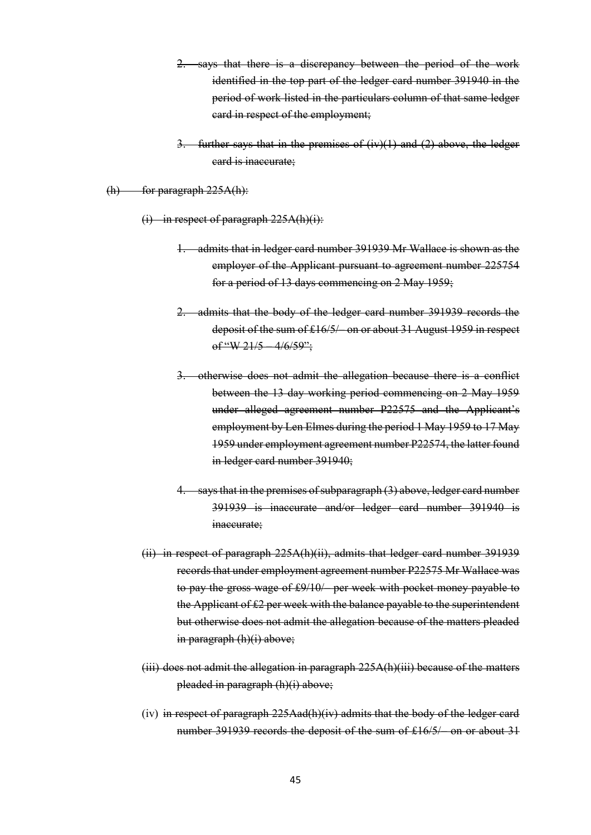- says that there is a discrepancy between the period of the work identified in the top part of the ledger card number 391940 in the period of work listed in the particulars column of that same ledger card in respect of the employment;
- 3. further says that in the premises of  $(iv)(1)$  and  $(2)$  above, the ledger card is inaccurate;

 $(h)$  for paragraph  $225A(h)$ :

 $(i)$  in respect of paragraph 225A(h)(i):

- 1. admits that in ledger card number 391939 Mr Wallace is shown as the employer of the Applicant pursuant to agreement number 225754 for a period of 13 days commencing on 2 May 1959;
- 2. admits that the body of the ledger card number 391939 records the deposit of the sum of £16/5/– on or about 31 August 1959 in respect of "W 21/5  $-4/6/59$ ";
- 3. otherwise does not admit the allegation because there is a conflict between the 13 day working period commencing on 2 May 1959 under alleged agreement number P22575 and the Applicant's employment by Len Elmes during the period 1 May 1959 to 17 May 1959 under employment agreement number P22574, the latter found in ledger card number 391940;
- 4. says that in the premises of subparagraph (3) above, ledger card number 391939 is inaccurate and/or ledger card number 391940 is inaccurate:
- (ii) in respect of paragraph 225A(h)(ii), admits that ledger card number 391939 records that under employment agreement number P22575 Mr Wallace was to pay the gross wage of £9/10/– per week with pocket money payable to the Applicant of £2 per week with the balance payable to the superintendent but otherwise does not admit the allegation because of the matters pleaded in paragraph (h)(i) above;
- (iii) does not admit the allegation in paragraph 225A(h)(iii) because of the matters pleaded in paragraph (h)(i) above;
- (iv) in respect of paragraph 225Aad(h)(iv) admits that the body of the ledger card number 391939 records the deposit of the sum of £16/5/– on or about 31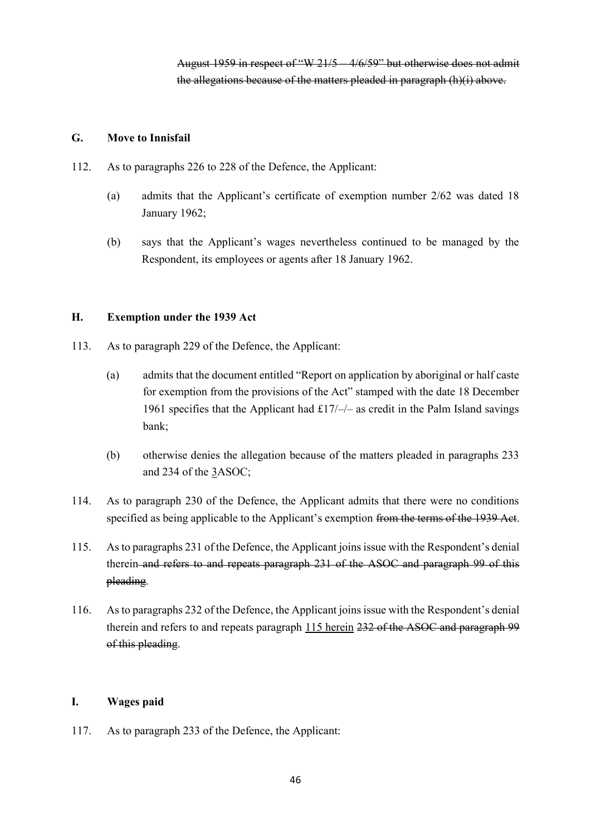### **G. Move to Innisfail**

- 112. As to paragraphs 226 to 228 of the Defence, the Applicant:
	- (a) admits that the Applicant's certificate of exemption number 2/62 was dated 18 January 1962;
	- (b) says that the Applicant's wages nevertheless continued to be managed by the Respondent, its employees or agents after 18 January 1962.

### **H. Exemption under the 1939 Act**

- 113. As to paragraph 229 of the Defence, the Applicant:
	- (a) admits that the document entitled "Report on application by aboriginal or half caste for exemption from the provisions of the Act" stamped with the date 18 December 1961 specifies that the Applicant had  $\pounds$ 17/-/- as credit in the Palm Island savings bank;
	- (b) otherwise denies the allegation because of the matters pleaded in paragraphs 233 and 234 of the 3ASOC;
- 114. As to paragraph 230 of the Defence, the Applicant admits that there were no conditions specified as being applicable to the Applicant's exemption from the terms of the 1939 Act.
- 115. As to paragraphs 231 of the Defence, the Applicant joins issue with the Respondent's denial therein and refers to and repeats paragraph 231 of the ASOC and paragraph 99 of this pleading.
- 116. As to paragraphs 232 of the Defence, the Applicant joins issue with the Respondent's denial therein and refers to and repeats paragraph 115 herein 232 of the ASOC and paragraph 99 of this pleading.

## **I. Wages paid**

117. As to paragraph 233 of the Defence, the Applicant: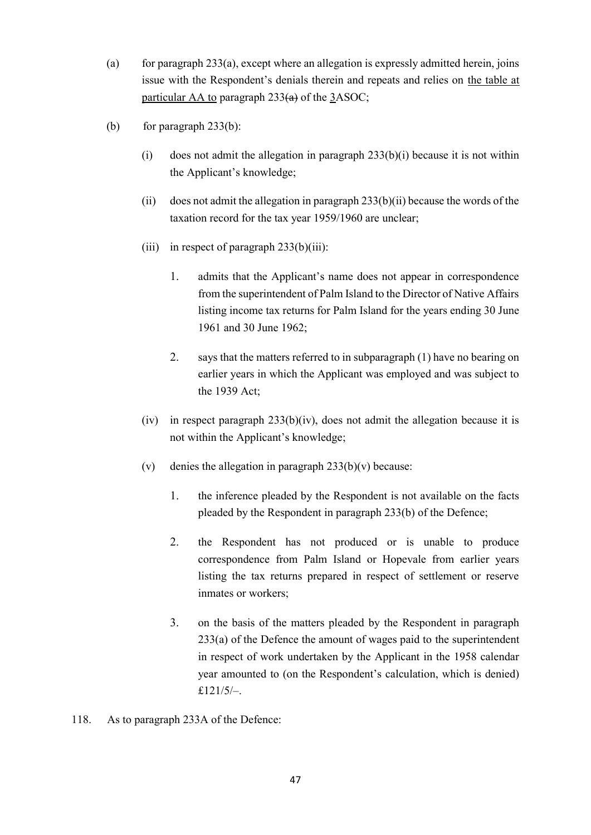- (a) for paragraph  $233(a)$ , except where an allegation is expressly admitted herein, joins issue with the Respondent's denials therein and repeats and relies on the table at particular AA to paragraph  $233(a)$  of the 3ASOC;
- (b) for paragraph  $233(b)$ :
	- (i) does not admit the allegation in paragraph  $233(b)(i)$  because it is not within the Applicant's knowledge;
	- (ii) does not admit the allegation in paragraph  $233(b)(ii)$  because the words of the taxation record for the tax year 1959/1960 are unclear;
	- (iii) in respect of paragraph  $233(b)(iii)$ :
		- 1. admits that the Applicant's name does not appear in correspondence from the superintendent of Palm Island to the Director of Native Affairs listing income tax returns for Palm Island for the years ending 30 June 1961 and 30 June 1962;
		- 2. says that the matters referred to in subparagraph (1) have no bearing on earlier years in which the Applicant was employed and was subject to the 1939 Act;
	- (iv) in respect paragraph  $233(b)(iv)$ , does not admit the allegation because it is not within the Applicant's knowledge;
	- (v) denies the allegation in paragraph  $233(b)(v)$  because:
		- 1. the inference pleaded by the Respondent is not available on the facts pleaded by the Respondent in paragraph 233(b) of the Defence;
		- 2. the Respondent has not produced or is unable to produce correspondence from Palm Island or Hopevale from earlier years listing the tax returns prepared in respect of settlement or reserve inmates or workers;
		- 3. on the basis of the matters pleaded by the Respondent in paragraph 233(a) of the Defence the amount of wages paid to the superintendent in respect of work undertaken by the Applicant in the 1958 calendar year amounted to (on the Respondent's calculation, which is denied)  $f121/5/$
- 118. As to paragraph 233A of the Defence: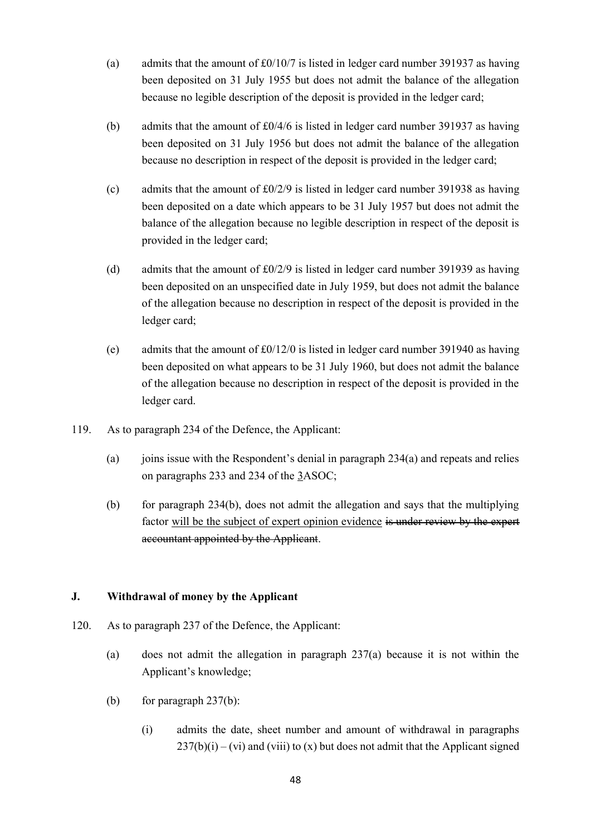- (a) admits that the amount of  $\frac{£0}{10}{7}$  is listed in ledger card number 391937 as having been deposited on 31 July 1955 but does not admit the balance of the allegation because no legible description of the deposit is provided in the ledger card;
- (b) admits that the amount of £0/4/6 is listed in ledger card number 391937 as having been deposited on 31 July 1956 but does not admit the balance of the allegation because no description in respect of the deposit is provided in the ledger card;
- (c) admits that the amount of £0/2/9 is listed in ledger card number 391938 as having been deposited on a date which appears to be 31 July 1957 but does not admit the balance of the allegation because no legible description in respect of the deposit is provided in the ledger card;
- (d) admits that the amount of £0/2/9 is listed in ledger card number 391939 as having been deposited on an unspecified date in July 1959, but does not admit the balance of the allegation because no description in respect of the deposit is provided in the ledger card;
- (e) admits that the amount of £0/12/0 is listed in ledger card number 391940 as having been deposited on what appears to be 31 July 1960, but does not admit the balance of the allegation because no description in respect of the deposit is provided in the ledger card.
- 119. As to paragraph 234 of the Defence, the Applicant:
	- (a) joins issue with the Respondent's denial in paragraph  $234(a)$  and repeats and relies on paragraphs 233 and 234 of the 3ASOC;
	- (b) for paragraph 234(b), does not admit the allegation and says that the multiplying factor will be the subject of expert opinion evidence is under review by the expert accountant appointed by the Applicant.

## **J. Withdrawal of money by the Applicant**

- 120. As to paragraph 237 of the Defence, the Applicant:
	- (a) does not admit the allegation in paragraph 237(a) because it is not within the Applicant's knowledge;
	- (b) for paragraph  $237(b)$ :
		- (i) admits the date, sheet number and amount of withdrawal in paragraphs  $237(b)(i) - (vi)$  and (viii) to (x) but does not admit that the Applicant signed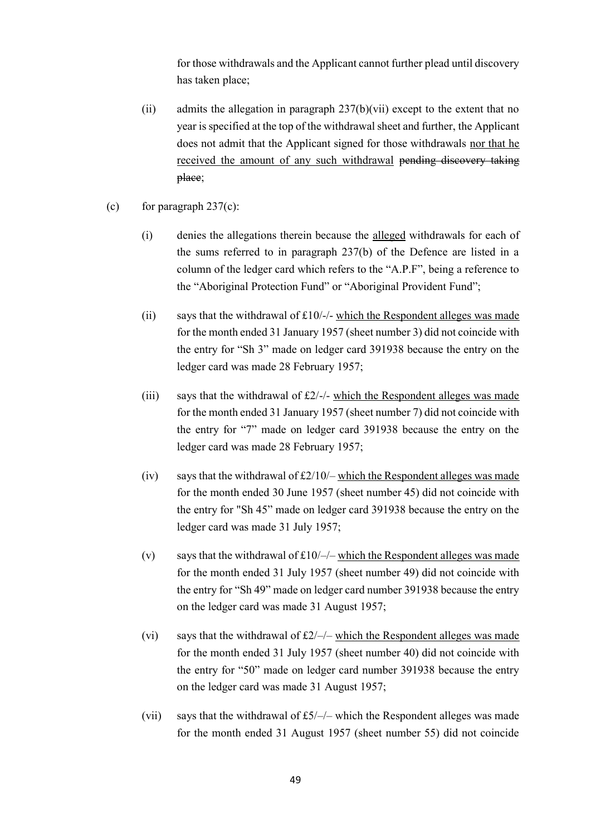for those withdrawals and the Applicant cannot further plead until discovery has taken place;

- (ii) admits the allegation in paragraph  $237(b)(vii)$  except to the extent that no year is specified at the top of the withdrawal sheet and further, the Applicant does not admit that the Applicant signed for those withdrawals nor that he received the amount of any such withdrawal pending discovery taking place;
- (c) for paragraph  $237(c)$ :
	- (i) denies the allegations therein because the alleged withdrawals for each of the sums referred to in paragraph 237(b) of the Defence are listed in a column of the ledger card which refers to the "A.P.F", being a reference to the "Aboriginal Protection Fund" or "Aboriginal Provident Fund";
	- (ii) says that the withdrawal of  $£10/-$  which the Respondent alleges was made for the month ended 31 January 1957 (sheet number 3) did not coincide with the entry for "Sh 3" made on ledger card 391938 because the entry on the ledger card was made 28 February 1957;
	- (iii) says that the withdrawal of  $\pounds 2$ /-/- which the Respondent alleges was made for the month ended 31 January 1957 (sheet number 7) did not coincide with the entry for "7" made on ledger card 391938 because the entry on the ledger card was made 28 February 1957;
	- (iv) says that the withdrawal of  $\frac{\text{f2}}{10}$  which the Respondent alleges was made for the month ended 30 June 1957 (sheet number 45) did not coincide with the entry for "Sh 45" made on ledger card 391938 because the entry on the ledger card was made 31 July 1957;
	- (v) says that the withdrawal of  $£10/–/-$  which the Respondent alleges was made for the month ended 31 July 1957 (sheet number 49) did not coincide with the entry for "Sh 49" made on ledger card number 391938 because the entry on the ledger card was made 31 August 1957;
	- (vi) says that the withdrawal of  $\frac{f2}{-}$  which the Respondent alleges was made for the month ended 31 July 1957 (sheet number 40) did not coincide with the entry for "50" made on ledger card number 391938 because the entry on the ledger card was made 31 August 1957;
	- (vii) says that the withdrawal of  $f_5$ /-/- which the Respondent alleges was made for the month ended 31 August 1957 (sheet number 55) did not coincide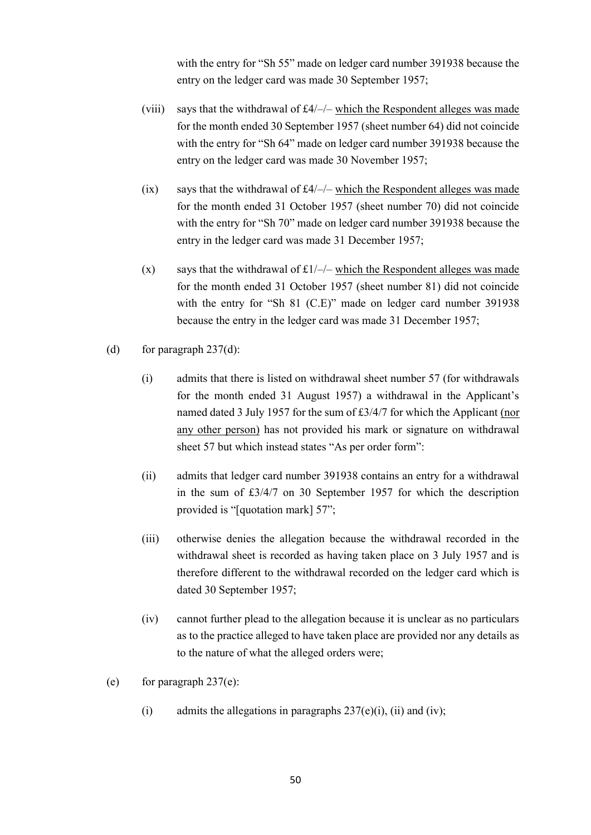with the entry for "Sh 55" made on ledger card number 391938 because the entry on the ledger card was made 30 September 1957;

- (viii) says that the withdrawal of £4/–/– which the Respondent alleges was made for the month ended 30 September 1957 (sheet number 64) did not coincide with the entry for "Sh 64" made on ledger card number 391938 because the entry on the ledger card was made 30 November 1957;
- (ix) says that the withdrawal of  $\text{\pounds}4/-/-$  which the Respondent alleges was made for the month ended 31 October 1957 (sheet number 70) did not coincide with the entry for "Sh 70" made on ledger card number 391938 because the entry in the ledger card was made 31 December 1957;
- (x) says that the withdrawal of  $\pounds 1$ /-/- which the Respondent alleges was made for the month ended 31 October 1957 (sheet number 81) did not coincide with the entry for "Sh 81 (C.E)" made on ledger card number 391938 because the entry in the ledger card was made 31 December 1957;
- (d) for paragraph  $237(d)$ :
	- (i) admits that there is listed on withdrawal sheet number 57 (for withdrawals for the month ended 31 August 1957) a withdrawal in the Applicant's named dated 3 July 1957 for the sum of £3/4/7 for which the Applicant (nor any other person) has not provided his mark or signature on withdrawal sheet 57 but which instead states "As per order form":
	- (ii) admits that ledger card number 391938 contains an entry for a withdrawal in the sum of £3/4/7 on 30 September 1957 for which the description provided is "[quotation mark] 57";
	- (iii) otherwise denies the allegation because the withdrawal recorded in the withdrawal sheet is recorded as having taken place on 3 July 1957 and is therefore different to the withdrawal recorded on the ledger card which is dated 30 September 1957;
	- (iv) cannot further plead to the allegation because it is unclear as no particulars as to the practice alleged to have taken place are provided nor any details as to the nature of what the alleged orders were;
- (e) for paragraph  $237(e)$ :
	- (i) admits the allegations in paragraphs  $237(e)(i)$ , (ii) and (iv);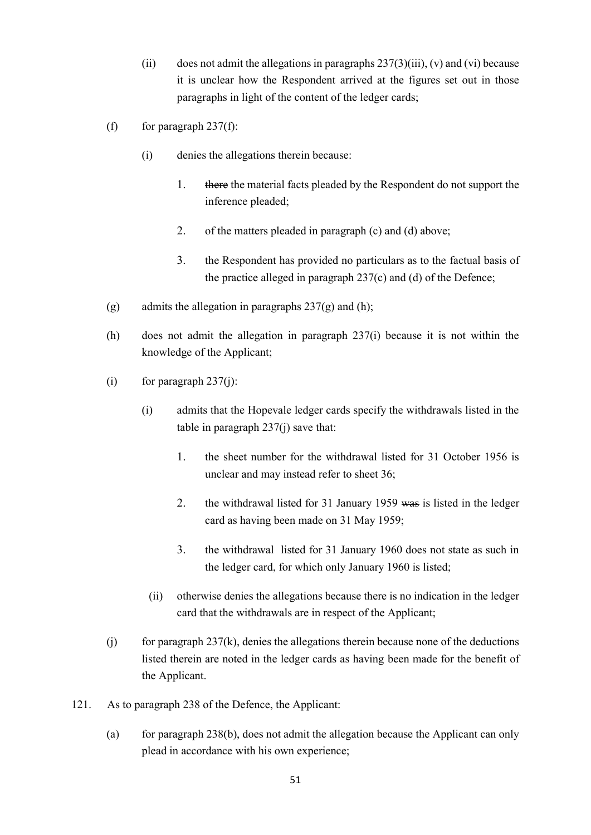- (ii) does not admit the allegations in paragraphs  $237(3)(iii)$ , (v) and (vi) because it is unclear how the Respondent arrived at the figures set out in those paragraphs in light of the content of the ledger cards;
- (f) for paragraph  $237(f)$ :
	- (i) denies the allegations therein because:
		- 1. there the material facts pleaded by the Respondent do not support the inference pleaded;
		- 2. of the matters pleaded in paragraph (c) and (d) above;
		- 3. the Respondent has provided no particulars as to the factual basis of the practice alleged in paragraph 237(c) and (d) of the Defence;
- (g) admits the allegation in paragraphs  $237(g)$  and (h);
- (h) does not admit the allegation in paragraph 237(i) because it is not within the knowledge of the Applicant;
- (i) for paragraph  $237(i)$ :
	- (i) admits that the Hopevale ledger cards specify the withdrawals listed in the table in paragraph 237(j) save that:
		- 1. the sheet number for the withdrawal listed for 31 October 1956 is unclear and may instead refer to sheet 36;
		- 2. the withdrawal listed for 31 January 1959 was is listed in the ledger card as having been made on 31 May 1959;
		- 3. the withdrawal listed for 31 January 1960 does not state as such in the ledger card, for which only January 1960 is listed;
		- (ii) otherwise denies the allegations because there is no indication in the ledger card that the withdrawals are in respect of the Applicant;
- $(i)$  for paragraph 237 $(k)$ , denies the allegations therein because none of the deductions listed therein are noted in the ledger cards as having been made for the benefit of the Applicant.
- 121. As to paragraph 238 of the Defence, the Applicant:
	- (a) for paragraph 238(b), does not admit the allegation because the Applicant can only plead in accordance with his own experience;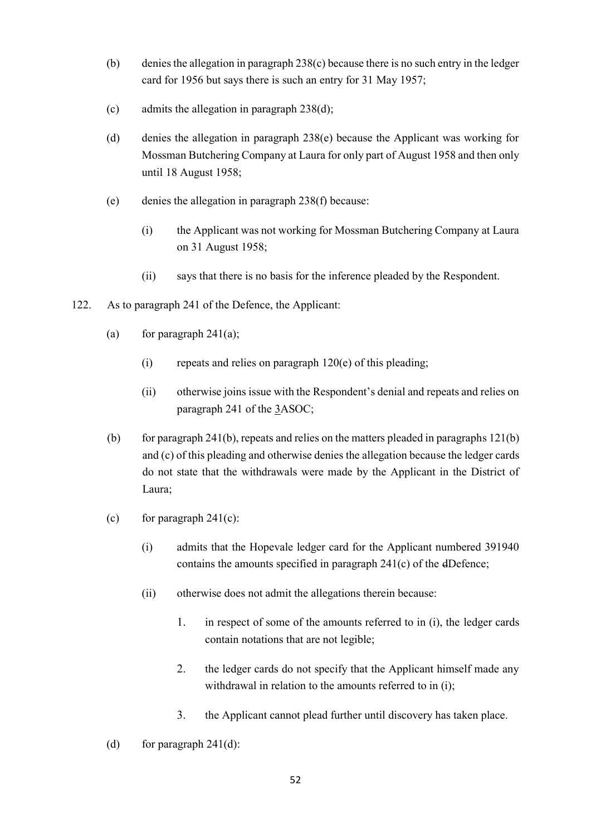- (b) denies the allegation in paragraph 238(c) because there is no such entry in the ledger card for 1956 but says there is such an entry for 31 May 1957;
- (c) admits the allegation in paragraph 238(d);
- (d) denies the allegation in paragraph 238(e) because the Applicant was working for Mossman Butchering Company at Laura for only part of August 1958 and then only until 18 August 1958;
- (e) denies the allegation in paragraph 238(f) because:
	- (i) the Applicant was not working for Mossman Butchering Company at Laura on 31 August 1958;
	- (ii) says that there is no basis for the inference pleaded by the Respondent.
- 122. As to paragraph 241 of the Defence, the Applicant:
	- (a) for paragraph  $241(a)$ ;
		- (i) repeats and relies on paragraph  $120(e)$  of this pleading;
		- (ii) otherwise joins issue with the Respondent's denial and repeats and relies on paragraph 241 of the 3ASOC;
	- (b) for paragraph 241(b), repeats and relies on the matters pleaded in paragraphs  $121(b)$ and (c) of this pleading and otherwise denies the allegation because the ledger cards do not state that the withdrawals were made by the Applicant in the District of Laura;
	- (c) for paragraph  $241(c)$ :
		- (i) admits that the Hopevale ledger card for the Applicant numbered 391940 contains the amounts specified in paragraph 241(c) of the dDefence;
		- (ii) otherwise does not admit the allegations therein because:
			- 1. in respect of some of the amounts referred to in (i), the ledger cards contain notations that are not legible;
			- 2. the ledger cards do not specify that the Applicant himself made any withdrawal in relation to the amounts referred to in (i);
			- 3. the Applicant cannot plead further until discovery has taken place.
	- (d) for paragraph  $241(d)$ :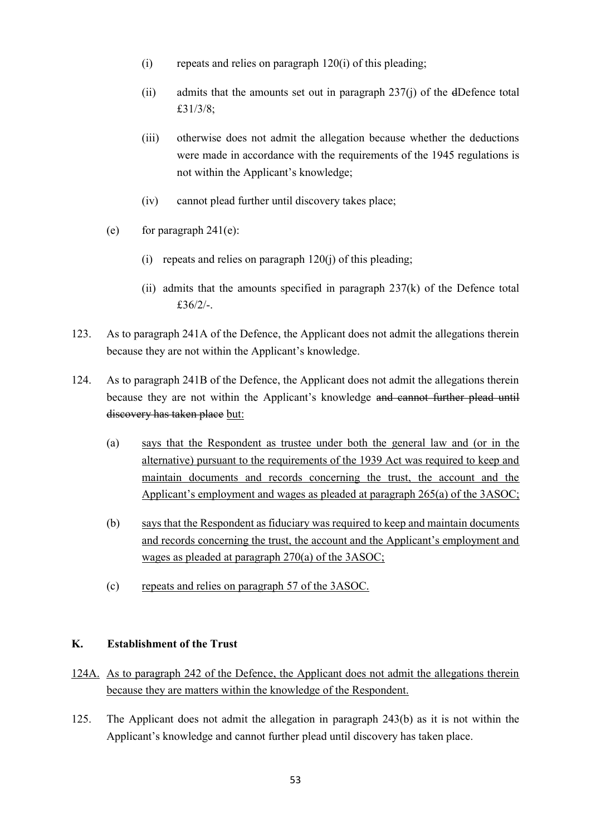- $(i)$  repeats and relies on paragraph 120 $(i)$  of this pleading;
- (ii) admits that the amounts set out in paragraph 237(j) of the dDefence total £31/3/8;
- (iii) otherwise does not admit the allegation because whether the deductions were made in accordance with the requirements of the 1945 regulations is not within the Applicant's knowledge;
- (iv) cannot plead further until discovery takes place;
- (e) for paragraph  $241(e)$ :
	- $(i)$  repeats and relies on paragraph  $120(i)$  of this pleading:
	- (ii) admits that the amounts specified in paragraph 237(k) of the Defence total £36/2/-.
- 123. As to paragraph 241A of the Defence, the Applicant does not admit the allegations therein because they are not within the Applicant's knowledge.
- 124. As to paragraph 241B of the Defence, the Applicant does not admit the allegations therein because they are not within the Applicant's knowledge and cannot further plead until discovery has taken place but:
	- (a) says that the Respondent as trustee under both the general law and (or in the alternative) pursuant to the requirements of the 1939 Act was required to keep and maintain documents and records concerning the trust, the account and the Applicant's employment and wages as pleaded at paragraph 265(a) of the 3ASOC;
	- (b) says that the Respondent as fiduciary was required to keep and maintain documents and records concerning the trust, the account and the Applicant's employment and wages as pleaded at paragraph 270(a) of the 3ASOC;
	- (c) repeats and relies on paragraph 57 of the 3ASOC.

#### **K. Establishment of the Trust**

- 124A. As to paragraph 242 of the Defence, the Applicant does not admit the allegations therein because they are matters within the knowledge of the Respondent.
- 125. The Applicant does not admit the allegation in paragraph 243(b) as it is not within the Applicant's knowledge and cannot further plead until discovery has taken place.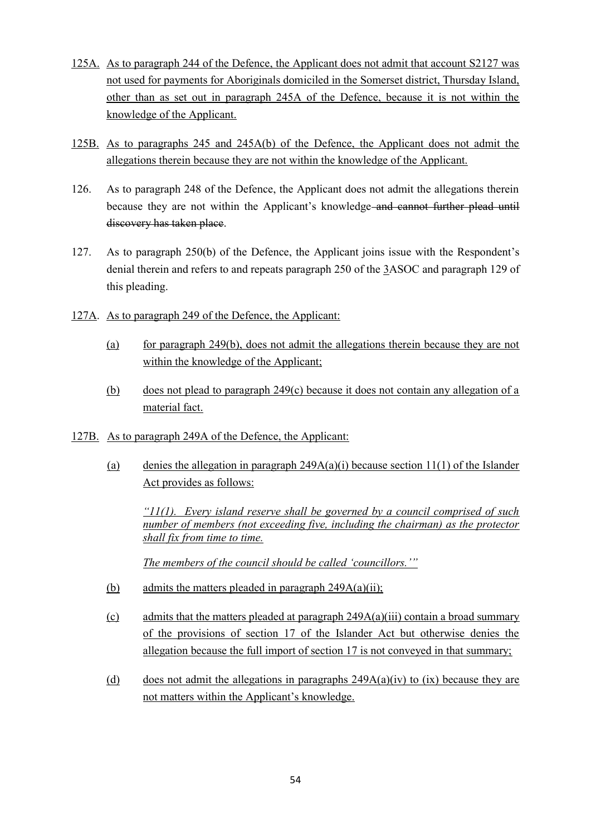- 125A. As to paragraph 244 of the Defence, the Applicant does not admit that account S2127 was not used for payments for Aboriginals domiciled in the Somerset district, Thursday Island, other than as set out in paragraph 245A of the Defence, because it is not within the knowledge of the Applicant.
- 125B. As to paragraphs 245 and 245A(b) of the Defence, the Applicant does not admit the allegations therein because they are not within the knowledge of the Applicant.
- 126. As to paragraph 248 of the Defence, the Applicant does not admit the allegations therein because they are not within the Applicant's knowledge and cannot further plead until discovery has taken place.
- 127. As to paragraph 250(b) of the Defence, the Applicant joins issue with the Respondent's denial therein and refers to and repeats paragraph 250 of the 3ASOC and paragraph 129 of this pleading.
- 127A. As to paragraph 249 of the Defence, the Applicant:
	- (a) for paragraph 249(b), does not admit the allegations therein because they are not within the knowledge of the Applicant;
	- (b) does not plead to paragraph 249(c) because it does not contain any allegation of a material fact.
- 127B. As to paragraph 249A of the Defence, the Applicant:
	- (a) denies the allegation in paragraph  $249A(a)(i)$  because section  $11(1)$  of the Islander Act provides as follows:

*"11(1). Every island reserve shall be governed by a council comprised of such number of members (not exceeding five, including the chairman) as the protector shall fix from time to time.*

*The members of the council should be called 'councillors.'"*

- (b) admits the matters pleaded in paragraph  $249A(a)(ii)$ ;
- (c) admits that the matters pleaded at paragraph 249A(a)(iii) contain a broad summary of the provisions of section 17 of the Islander Act but otherwise denies the allegation because the full import of section 17 is not conveyed in that summary;
- (d) does not admit the allegations in paragraphs  $249A(a)(iv)$  to (ix) because they are not matters within the Applicant's knowledge.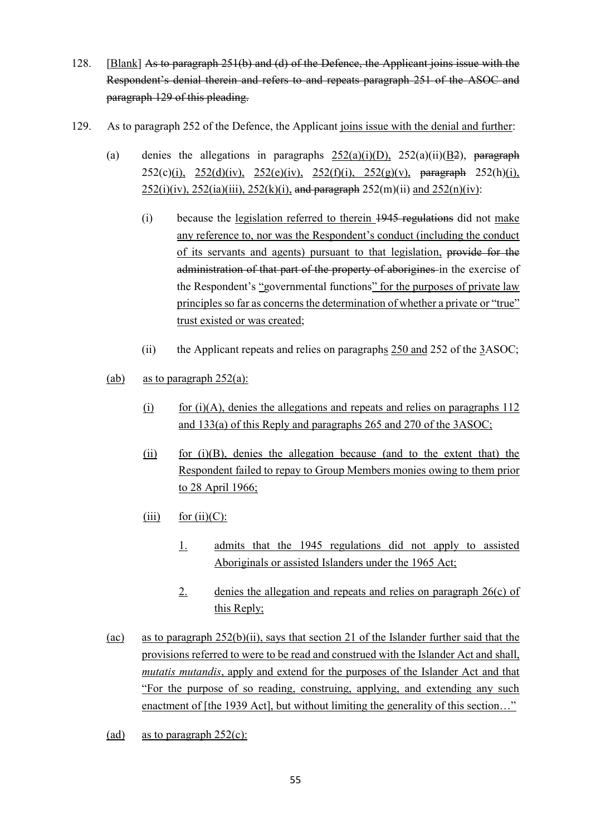- 128. [Blank] As to paragraph 251(b) and (d) of the Defence, the Applicant joins issue with the Respondent's denial therein and refers to and repeats paragraph 251 of the ASOC and paragraph 129 of this pleading.
- <span id="page-55-0"></span>129. As to paragraph 252 of the Defence, the Applicant joins issue with the denial and further:
	- (a) denies the allegations in paragraphs  $252(a)(i)(D)$ ,  $252(a)(ii)(B2)$ , paragraph 252(c)(i), 252(d)(iv), 252(e)(iv), 252(f)(i), 252(g)(v), paragraph 252(h)(i),  $252(i)(iv)$ ,  $252(ia)(iii)$ ,  $252(k)(i)$ , and paragraph  $252(m)(ii)$  and  $252(n)(iv)$ :
		- (i) because the legislation referred to therein 1945 regulations did not make any reference to, nor was the Respondent's conduct (including the conduct of its servants and agents) pursuant to that legislation, provide for the administration of that part of the property of aborigines in the exercise of the Respondent's "governmental functions" for the purposes of private law principles so far as concerns the determination of whether a private or "true" trust existed or was created;
		- (ii) the Applicant repeats and relies on paragraphs 250 and 252 of the 3ASOC;
	- (ab) as to paragraph  $252(a)$ :
		- (i) for  $(i)(A)$ , denies the allegations and repeats and relies on paragraphs  $112$ and 133(a) of this Reply and paragraphs 265 and 270 of the 3ASOC;
		- $(iii)$  for  $(i)(B)$ , denies the allegation because (and to the extent that) the Respondent failed to repay to Group Members monies owing to them prior to 28 April 1966;
		- (iii) for  $(ii)(C)$ :
			- 1. admits that the 1945 regulations did not apply to assisted Aboriginals or assisted Islanders under the 1965 Act;
			- 2. denies the allegation and repeats and relies on paragraph 26(c) of this Reply;
	- (ac) as to paragraph 252(b)(ii), says that section 21 of the Islander further said that the provisions referred to were to be read and construed with the Islander Act and shall, *mutatis mutandis*, apply and extend for the purposes of the Islander Act and that "For the purpose of so reading, construing, applying, and extending any such enactment of [the 1939 Act], but without limiting the generality of this section..."
	- (ad) as to paragraph  $252(c)$ :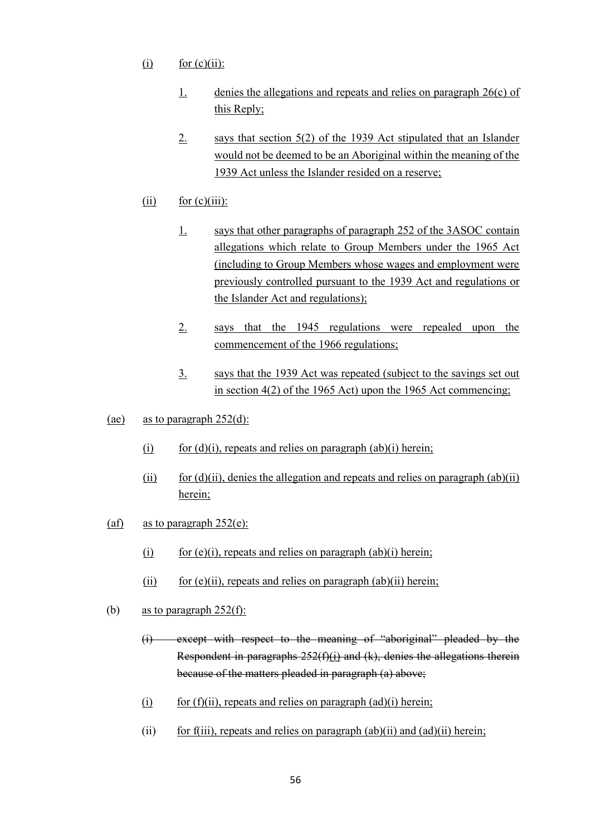- $(i)$  for  $(c)(ii)$ :
	- 1. denies the allegations and repeats and relies on paragraph 26(c) of this Reply;
	- 2. says that section 5(2) of the 1939 Act stipulated that an Islander would not be deemed to be an Aboriginal within the meaning of the 1939 Act unless the Islander resided on a reserve;
- $(ii)$  for  $(c)(iii)$ :
	- 1. says that other paragraphs of paragraph 252 of the 3ASOC contain allegations which relate to Group Members under the 1965 Act (including to Group Members whose wages and employment were previously controlled pursuant to the 1939 Act and regulations or the Islander Act and regulations);
	- 2. says that the 1945 regulations were repealed upon the commencement of the 1966 regulations;
	- 3. says that the 1939 Act was repeated (subject to the savings set out in section 4(2) of the 1965 Act) upon the 1965 Act commencing;
- (ae) as to paragraph 252(d):
	- (i) for  $(d)(i)$ , repeats and relies on paragraph  $(ab)(i)$  herein;
	- (ii) for  $(d)(ii)$ , denies the allegation and repeats and relies on paragraph  $(ab)(ii)$ herein;
- (af) as to paragraph  $252(e)$ :
	- (i) for (e)(i), repeats and relies on paragraph (ab)(i) herein;
	- (ii) for  $(e)(ii)$ , repeats and relies on paragraph  $(ab)(ii)$  herein;
- (b) as to paragraph  $252(f)$ :
	- (i) except with respect to the meaning of "aboriginal" pleaded by the Respondent in paragraphs  $252(f)(i)$  and  $(k)$ , denies the allegations therein because of the matters pleaded in paragraph (a) above;
	- (i) for  $(f)(ii)$ , repeats and relies on paragraph  $(ad)(i)$  herein;
	- (ii) for f(iii), repeats and relies on paragraph  $(ab)(ii)$  and  $(ad)(ii)$  herein;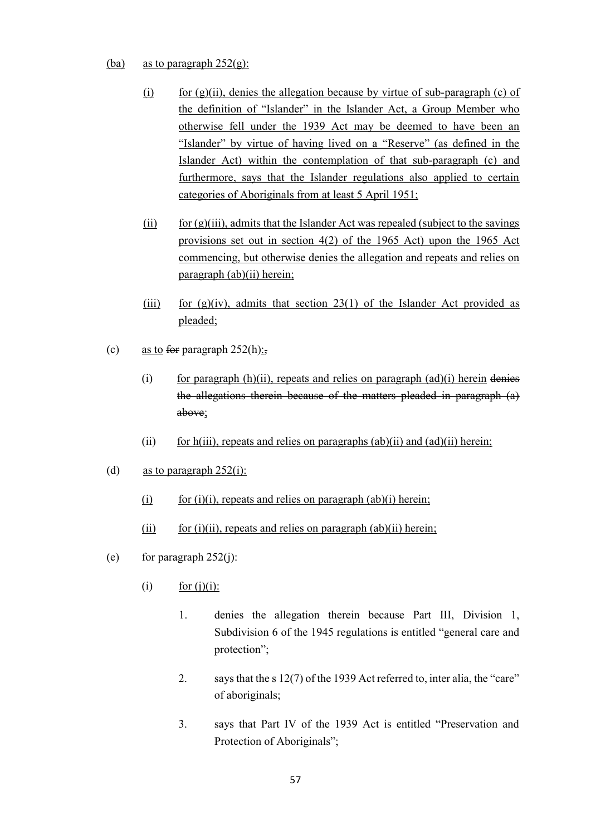#### (ba) as to paragraph  $252(g)$ :

- (i) for  $(g)(ii)$ , denies the allegation because by virtue of sub-paragraph (c) of the definition of "Islander" in the Islander Act, a Group Member who otherwise fell under the 1939 Act may be deemed to have been an "Islander" by virtue of having lived on a "Reserve" (as defined in the Islander Act) within the contemplation of that sub-paragraph (c) and furthermore, says that the Islander regulations also applied to certain categories of Aboriginals from at least 5 April 1951;
- (ii) for  $(g)(iii)$ , admits that the Islander Act was repealed (subject to the savings provisions set out in section 4(2) of the 1965 Act) upon the 1965 Act commencing, but otherwise denies the allegation and repeats and relies on paragraph (ab)(ii) herein;
- (iii) for  $(g)(iv)$ , admits that section 23(1) of the Islander Act provided as pleaded;
- (c) as to for paragraph  $252(h)$ ;
	- (i) for paragraph  $(h)(ii)$ , repeats and relies on paragraph  $(ad)(i)$  herein denies the allegations therein because of the matters pleaded in paragraph (a) above;
	- (ii) for h(iii), repeats and relies on paragraphs (ab)(ii) and (ad)(ii) herein;
- (d) as to paragraph  $252(i)$ :
	- (i) for (i)(i), repeats and relies on paragraph (ab)(i) herein;
	- (ii) for (i)(ii), repeats and relies on paragraph (ab)(ii) herein;
- (e) for paragraph  $252(i)$ :
	- (i) for (j)(i):
		- 1. denies the allegation therein because Part III, Division 1, Subdivision 6 of the 1945 regulations is entitled "general care and protection";
		- 2. says that the s 12(7) of the 1939 Act referred to, inter alia, the "care" of aboriginals;
		- 3. says that Part IV of the 1939 Act is entitled "Preservation and Protection of Aboriginals";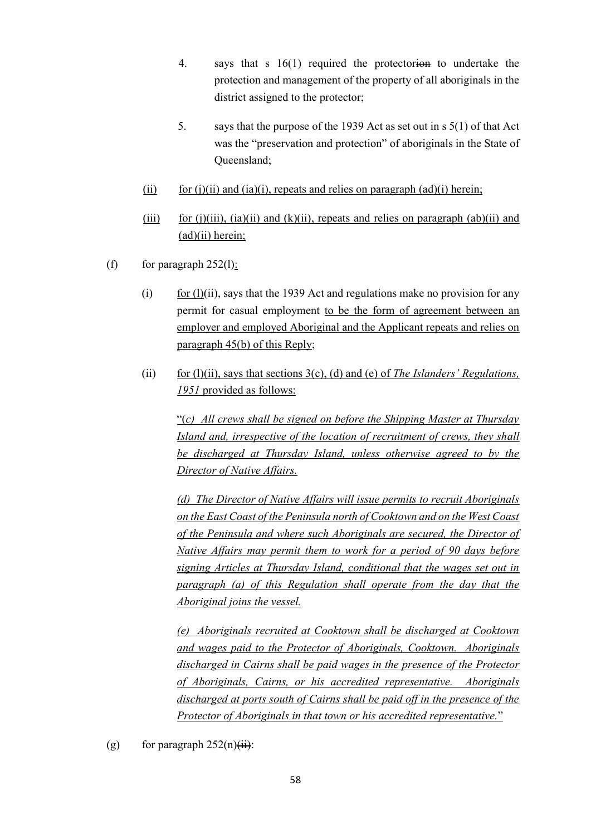- 4. says that s 16(1) required the protectorion to undertake the protection and management of the property of all aboriginals in the district assigned to the protector;
- 5. says that the purpose of the 1939 Act as set out in s 5(1) of that Act was the "preservation and protection" of aboriginals in the State of Queensland;
- (ii) for (j)(ii) and (ia)(i), repeats and relies on paragraph (ad)(i) herein;
- (iii) for (j)(iii), (ia)(ii) and (k)(ii), repeats and relies on paragraph (ab)(ii) and (ad)(ii) herein;
- (f) for paragraph  $252(1)$ :
	- (i) for  $(l)(ii)$ , says that the 1939 Act and regulations make no provision for any permit for casual employment to be the form of agreement between an employer and employed Aboriginal and the Applicant repeats and relies on paragraph 45(b) of this Reply;
	- (ii) for (l)(ii), says that sections 3(c), (d) and (e) of *The Islanders' Regulations, 1951* provided as follows:

"(*c) All crews shall be signed on before the Shipping Master at Thursday Island and, irrespective of the location of recruitment of crews, they shall be discharged at Thursday Island, unless otherwise agreed to by the Director of Native Affairs.*

*(d) The Director of Native Affairs will issue permits to recruit Aboriginals on the East Coast of the Peninsula north of Cooktown and on the West Coast of the Peninsula and where such Aboriginals are secured, the Director of Native Affairs may permit them to work for a period of 90 days before signing Articles at Thursday Island, conditional that the wages set out in paragraph (a) of this Regulation shall operate from the day that the Aboriginal joins the vessel.*

*(e) Aboriginals recruited at Cooktown shall be discharged at Cooktown and wages paid to the Protector of Aboriginals, Cooktown. Aboriginals discharged in Cairns shall be paid wages in the presence of the Protector of Aboriginals, Cairns, or his accredited representative. Aboriginals discharged at ports south of Cairns shall be paid off in the presence of the Protector of Aboriginals in that town or his accredited representative.*"

(g) for paragraph  $252(n)(ii)$ :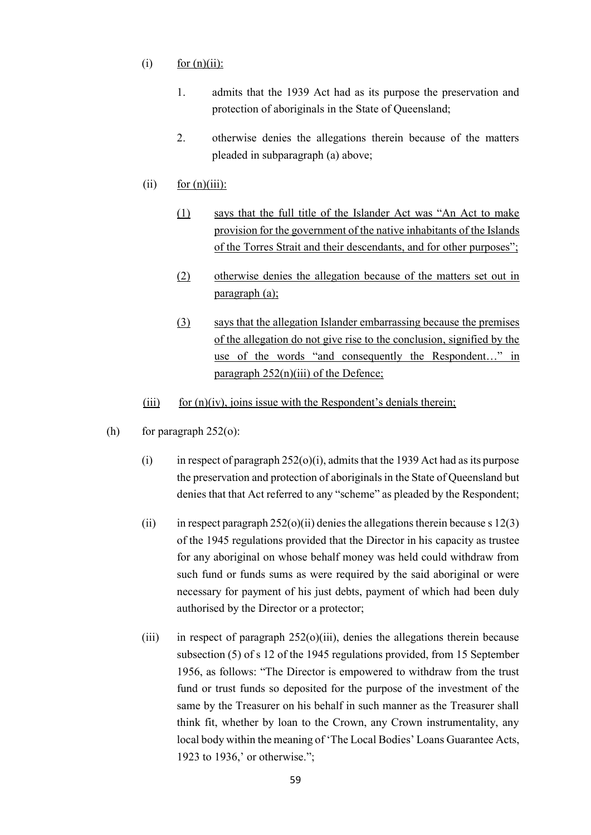- $(i)$  for  $(n)(ii)$ :
	- 1. admits that the 1939 Act had as its purpose the preservation and protection of aboriginals in the State of Queensland;
	- 2. otherwise denies the allegations therein because of the matters pleaded in subparagraph (a) above;
- (ii) for  $(n)(iii)$ :
	- (1) says that the full title of the Islander Act was "An Act to make provision for the government of the native inhabitants of the Islands of the Torres Strait and their descendants, and for other purposes";
	- (2) otherwise denies the allegation because of the matters set out in paragraph (a);
	- (3) says that the allegation Islander embarrassing because the premises of the allegation do not give rise to the conclusion, signified by the use of the words "and consequently the Respondent..." in paragraph  $252(n)(iii)$  of the Defence;
- (iii) for  $(n)(iv)$ , joins issue with the Respondent's denials therein;
- (h) for paragraph  $252<sub>0</sub>$ :
	- (i) in respect of paragraph  $252(0)(i)$ , admits that the 1939 Act had as its purpose the preservation and protection of aboriginals in the State of Queensland but denies that that Act referred to any "scheme" as pleaded by the Respondent;
	- (ii) in respect paragraph  $252(o)(ii)$  denies the allegations therein because s 12(3) of the 1945 regulations provided that the Director in his capacity as trustee for any aboriginal on whose behalf money was held could withdraw from such fund or funds sums as were required by the said aboriginal or were necessary for payment of his just debts, payment of which had been duly authorised by the Director or a protector;
	- (iii) in respect of paragraph  $252(0)(iii)$ , denies the allegations therein because subsection (5) of s 12 of the 1945 regulations provided, from 15 September 1956, as follows: "The Director is empowered to withdraw from the trust fund or trust funds so deposited for the purpose of the investment of the same by the Treasurer on his behalf in such manner as the Treasurer shall think fit, whether by loan to the Crown, any Crown instrumentality, any local body within the meaning of 'The Local Bodies' Loans Guarantee Acts, 1923 to 1936,' or otherwise.";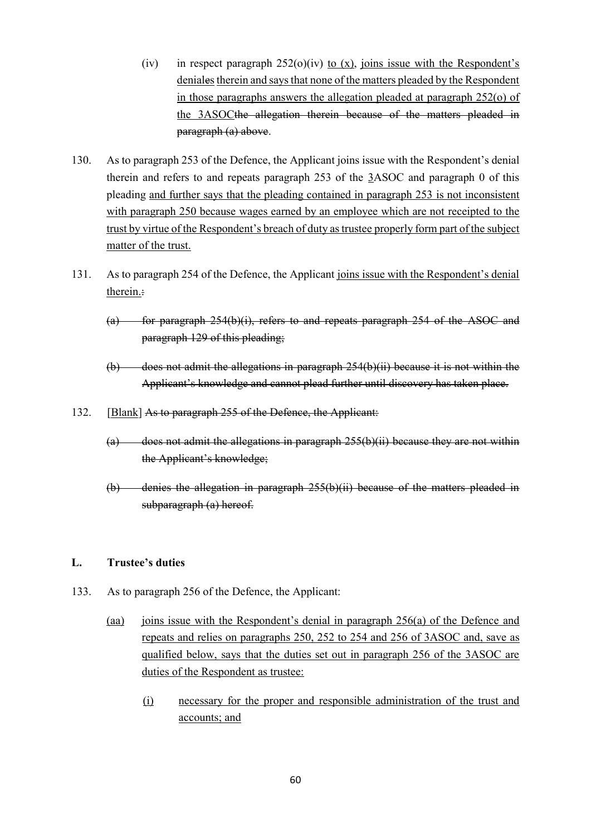- (iv) in respect paragraph  $252(0)(iv)$  to (x), joins issue with the Respondent's deniales therein and says that none of the matters pleaded by the Respondent in those paragraphs answers the allegation pleaded at paragraph 252(o) of the 3ASOCthe allegation therein because of the matters pleaded in paragraph (a) above.
- 130. As to paragraph 253 of the Defence, the Applicant joins issue with the Respondent's denial therein and refers to and repeats paragraph 253 of the 3ASOC and paragraph [0](#page-55-0) of this pleading and further says that the pleading contained in paragraph 253 is not inconsistent with paragraph 250 because wages earned by an employee which are not receipted to the trust by virtue of the Respondent's breach of duty as trustee properly form part of the subject matter of the trust.
- 131. As to paragraph 254 of the Defence, the Applicant joins issue with the Respondent's denial therein.:
	- (a) for paragraph  $254(b)(i)$ , refers to and repeats paragraph  $254$  of the ASOC and paragraph 129 of this pleading;
	- (b) does not admit the allegations in paragraph 254(b)(ii) because it is not within the Applicant's knowledge and cannot plead further until discovery has taken place.
- 132. [Blank] As to paragraph 255 of the Defence, the Applicant:
	- $(a)$  does not admit the allegations in paragraph 255(b)(ii) because they are not within the Applicant's knowledge;
	- (b) denies the allegation in paragraph 255(b)(ii) because of the matters pleaded in subparagraph (a) hereof.

#### **L. Trustee's duties**

- 133. As to paragraph 256 of the Defence, the Applicant:
	- (aa) joins issue with the Respondent's denial in paragraph 256(a) of the Defence and repeats and relies on paragraphs 250, 252 to 254 and 256 of 3ASOC and, save as qualified below, says that the duties set out in paragraph 256 of the 3ASOC are duties of the Respondent as trustee:
		- (i) necessary for the proper and responsible administration of the trust and accounts; and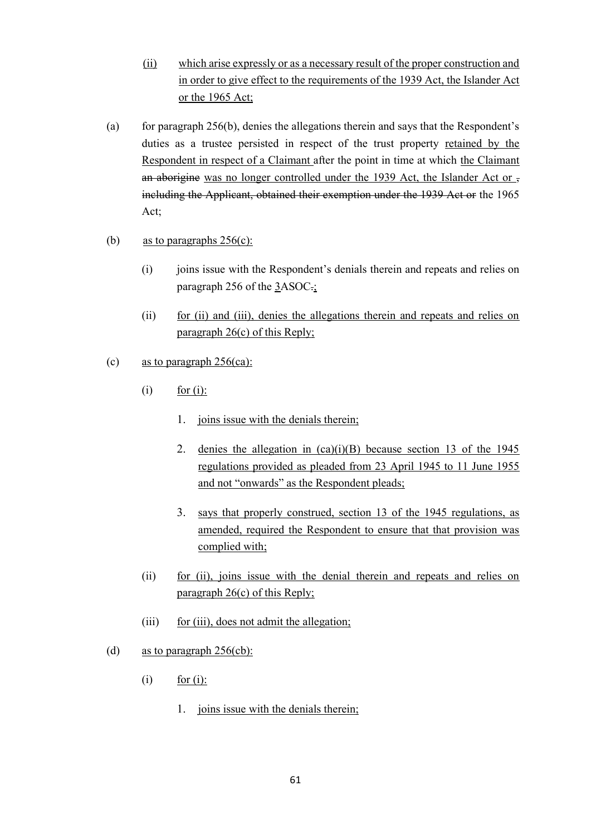- (ii) which arise expressly or as a necessary result of the proper construction and in order to give effect to the requirements of the 1939 Act, the Islander Act or the 1965 Act;
- (a) for paragraph 256(b), denies the allegations therein and says that the Respondent's duties as a trustee persisted in respect of the trust property retained by the Respondent in respect of a Claimant after the point in time at which the Claimant an aborigine was no longer controlled under the 1939 Act, the Islander Act or  $\overline{z}$ including the Applicant, obtained their exemption under the 1939 Act or the 1965 Act;
- (b) as to paragraphs  $256(c)$ :
	- (i) joins issue with the Respondent's denials therein and repeats and relies on paragraph 256 of the 3ASOC.;
	- (ii) for (ii) and (iii), denies the allegations therein and repeats and relies on paragraph 26(c) of this Reply;
- (c) as to paragraph 256(ca):
	- $(i)$  for  $(i)$ :
		- 1. joins issue with the denials therein;
		- 2. denies the allegation in  $(ca)(i)(B)$  because section 13 of the 1945 regulations provided as pleaded from 23 April 1945 to 11 June 1955 and not "onwards" as the Respondent pleads;
		- 3. says that properly construed, section 13 of the 1945 regulations, as amended, required the Respondent to ensure that that provision was complied with;
	- (ii) for (ii), joins issue with the denial therein and repeats and relies on paragraph 26(c) of this Reply;
	- (iii) for (iii), does not admit the allegation;
- (d) as to paragraph 256(cb):
	- $(i)$  for  $(i)$ :
		- 1. joins issue with the denials therein;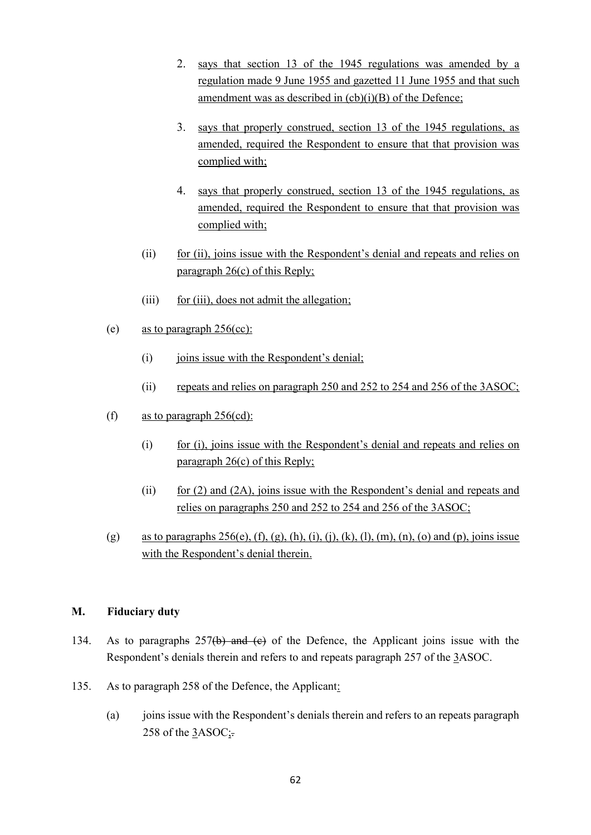- 2. says that section 13 of the 1945 regulations was amended by a regulation made 9 June 1955 and gazetted 11 June 1955 and that such amendment was as described in  $(cb)(i)(B)$  of the Defence;
- 3. says that properly construed, section 13 of the 1945 regulations, as amended, required the Respondent to ensure that that provision was complied with;
- 4. says that properly construed, section 13 of the 1945 regulations, as amended, required the Respondent to ensure that that provision was complied with;
- (ii) for (ii), joins issue with the Respondent's denial and repeats and relies on paragraph 26(c) of this Reply;
- (iii) for (iii), does not admit the allegation;
- (e) as to paragraph  $256$ (cc):
	- (i) joins issue with the Respondent's denial;
	- (ii) repeats and relies on paragraph 250 and 252 to 254 and 256 of the 3ASOC;
- (f) as to paragraph  $256\text{(cd)}$ :
	- (i) for (i), joins issue with the Respondent's denial and repeats and relies on paragraph 26(c) of this Reply;
	- (ii) for  $(2)$  and  $(2A)$ , joins issue with the Respondent's denial and repeats and relies on paragraphs 250 and 252 to 254 and 256 of the 3ASOC;
- (g) as to paragraphs  $256(e)$ , (f), (g), (h), (i), (j), (k), (l), (m), (n), (o) and (p), joins issue with the Respondent's denial therein.

## **M. Fiduciary duty**

- 134. As to paragraphs 257(b) and (c) of the Defence, the Applicant joins issue with the Respondent's denials therein and refers to and repeats paragraph 257 of the 3ASOC.
- 135. As to paragraph 258 of the Defence, the Applicant:
	- (a) joins issue with the Respondent's denials therein and refers to an repeats paragraph 258 of the 3ASOC;.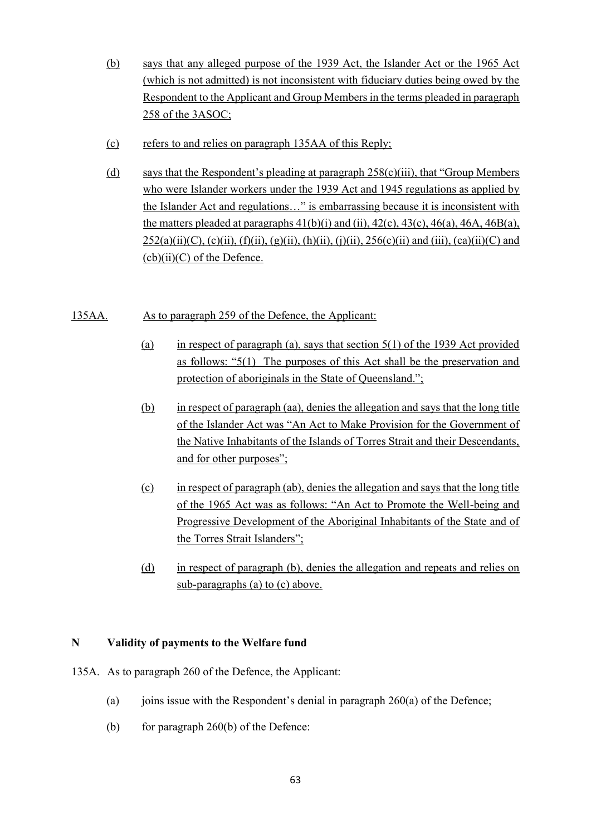- (b) says that any alleged purpose of the 1939 Act, the Islander Act or the 1965 Act (which is not admitted) is not inconsistent with fiduciary duties being owed by the Respondent to the Applicant and Group Members in the terms pleaded in paragraph 258 of the 3ASOC;
- (c) refers to and relies on paragraph 135AA of this Reply;
- (d) says that the Respondent's pleading at paragraph 258(c)(iii), that "Group Members who were Islander workers under the 1939 Act and 1945 regulations as applied by the Islander Act and regulations…" is embarrassing because it is inconsistent with the matters pleaded at paragraphs  $41(b)(i)$  and  $(ii)$ ,  $42(c)$ ,  $43(c)$ ,  $46(a)$ ,  $46A$ ,  $46B(a)$ ,  $252(a)(ii)(C)$ , (c)(ii), (f)(ii), (g)(ii), (h)(ii), (j)(ii),  $256(c)(ii)$  and (iii), (ca)(ii)(C) and  $(cb)(ii)(C)$  of the Defence.

## 135AA. As to paragraph 259 of the Defence, the Applicant:

- (a) in respect of paragraph (a), says that section  $5(1)$  of the 1939 Act provided as follows: "5(1) The purposes of this Act shall be the preservation and protection of aboriginals in the State of Queensland.";
- (b) in respect of paragraph (aa), denies the allegation and says that the long title of the Islander Act was "An Act to Make Provision for the Government of the Native Inhabitants of the Islands of Torres Strait and their Descendants, and for other purposes";
- (c) in respect of paragraph (ab), denies the allegation and says that the long title of the 1965 Act was as follows: "An Act to Promote the Well-being and Progressive Development of the Aboriginal Inhabitants of the State and of the Torres Strait Islanders";
- (d) in respect of paragraph (b), denies the allegation and repeats and relies on sub-paragraphs (a) to (c) above.

## **N Validity of payments to the Welfare fund**

- 135A. As to paragraph 260 of the Defence, the Applicant:
	- (a) joins issue with the Respondent's denial in paragraph  $260(a)$  of the Defence;
	- (b) for paragraph  $260(b)$  of the Defence: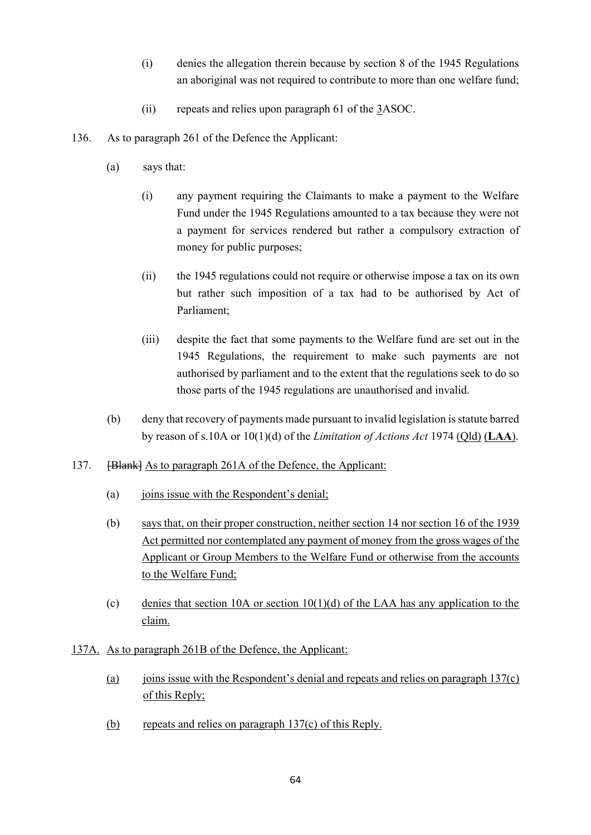- (i) denies the allegation therein because by section 8 of the 1945 Regulations an aboriginal was not required to contribute to more than one welfare fund;
- (ii) repeats and relies upon paragraph 61 of the 3ASOC.
- 136. As to paragraph 261 of the Defence the Applicant:
	- (a) says that:
		- (i) any payment requiring the Claimants to make a payment to the Welfare Fund under the 1945 Regulations amounted to a tax because they were not a payment for services rendered but rather a compulsory extraction of money for public purposes;
		- (ii) the 1945 regulations could not require or otherwise impose a tax on its own but rather such imposition of a tax had to be authorised by Act of Parliament;
		- (iii) despite the fact that some payments to the Welfare fund are set out in the 1945 Regulations, the requirement to make such payments are not authorised by parliament and to the extent that the regulations seek to do so those parts of the 1945 regulations are unauthorised and invalid.
	- (b) deny that recovery of payments made pursuant to invalid legislation is statute barred by reason of s.10A or 10(1)(d) of the *Limitation of Actions Act* 1974 (Qld) (**LAA**).
- 137. [Blank] As to paragraph 261A of the Defence, the Applicant:
	- (a) joins issue with the Respondent's denial;
	- (b) says that, on their proper construction, neither section 14 nor section 16 of the 1939 Act permitted nor contemplated any payment of money from the gross wages of the Applicant or Group Members to the Welfare Fund or otherwise from the accounts to the Welfare Fund;
	- (c) denies that section 10A or section 10(1)(d) of the LAA has any application to the claim.
- 137A. As to paragraph 261B of the Defence, the Applicant:
	- (a) joins issue with the Respondent's denial and repeats and relies on paragraph  $137(c)$ of this Reply;
	- (b) repeats and relies on paragraph 137(c) of this Reply.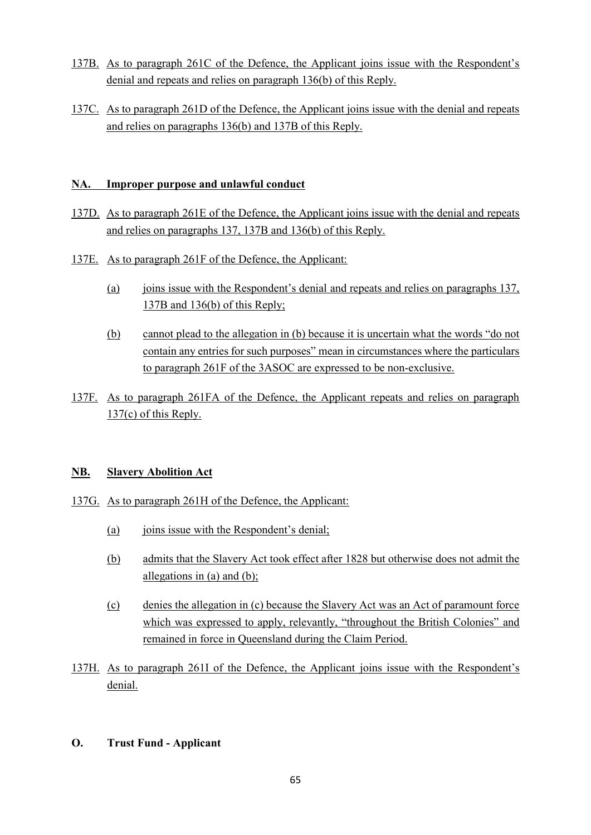- 137B. As to paragraph 261C of the Defence, the Applicant joins issue with the Respondent's denial and repeats and relies on paragraph 136(b) of this Reply.
- 137C. As to paragraph 261D of the Defence, the Applicant joins issue with the denial and repeats and relies on paragraphs 136(b) and 137B of this Reply.

## **NA. Improper purpose and unlawful conduct**

- 137D. As to paragraph 261E of the Defence, the Applicant joins issue with the denial and repeats and relies on paragraphs 137, 137B and 136(b) of this Reply.
- 137E. As to paragraph 261F of the Defence, the Applicant:
	- (a) joins issue with the Respondent's denial and repeats and relies on paragraphs 137, 137B and 136(b) of this Reply;
	- (b) cannot plead to the allegation in (b) because it is uncertain what the words "do not contain any entries for such purposes" mean in circumstances where the particulars to paragraph 261F of the 3ASOC are expressed to be non-exclusive.
- 137F. As to paragraph 261FA of the Defence, the Applicant repeats and relies on paragraph 137(c) of this Reply.

## **NB. Slavery Abolition Act**

- 137G. As to paragraph 261H of the Defence, the Applicant:
	- (a) joins issue with the Respondent's denial;
	- (b) admits that the Slavery Act took effect after 1828 but otherwise does not admit the allegations in (a) and (b);
	- (c) denies the allegation in (c) because the Slavery Act was an Act of paramount force which was expressed to apply, relevantly, "throughout the British Colonies" and remained in force in Queensland during the Claim Period.
- 137H. As to paragraph 261I of the Defence, the Applicant joins issue with the Respondent's denial.

### **O. Trust Fund - Applicant**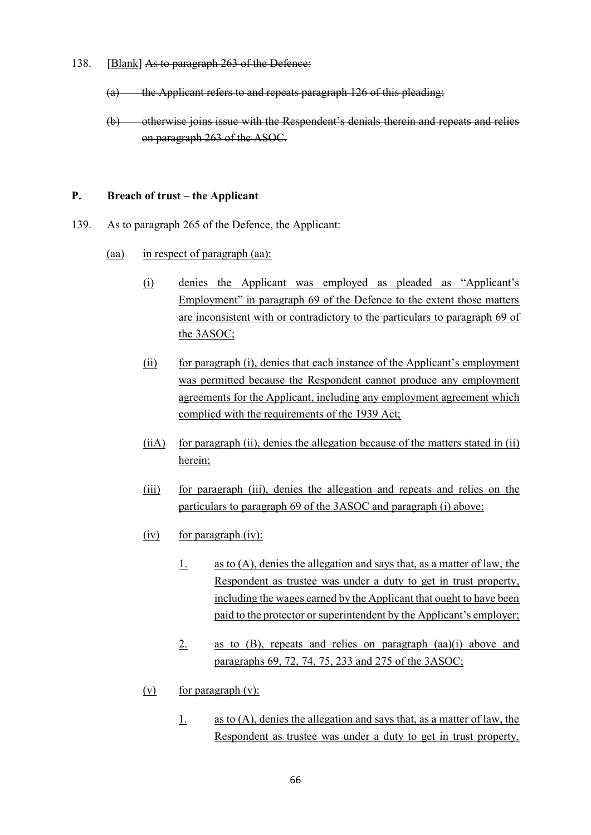- 138. [Blank] As to paragraph 263 of the Defence:
	- (a) the Applicant refers to and repeats paragraph 126 of this pleading;
	- (b) otherwise joins issue with the Respondent's denials therein and repeats and relies on paragraph 263 of the ASOC.

#### **P.** Breach of trust – the Applicant

- 139. As to paragraph 265 of the Defence, the Applicant:
	- (aa) in respect of paragraph (aa):
		- (i) denies the Applicant was employed as pleaded as "Applicant's Employment" in paragraph 69 of the Defence to the extent those matters are inconsistent with or contradictory to the particulars to paragraph 69 of the 3ASOC;
		- (ii) for paragraph (i), denies that each instance of the Applicant's employment was permitted because the Respondent cannot produce any employment agreements for the Applicant, including any employment agreement which complied with the requirements of the 1939 Act;
		- $(iii)$  for paragraph  $(ii)$ , denies the allegation because of the matters stated in  $(ii)$ herein;
		- (iii) for paragraph (iii), denies the allegation and repeats and relies on the particulars to paragraph 69 of the 3ASOC and paragraph (i) above;
		- $(iv)$  for paragraph (iv):
			- 1. as to  $(A)$ , denies the allegation and says that, as a matter of law, the Respondent as trustee was under a duty to get in trust property, including the wages earned by the Applicant that ought to have been paid to the protector or superintendent by the Applicant's employer;
			- 2. as to  $(B)$ , repeats and relies on paragraph  $(aa)(i)$  above and paragraphs 69, 72, 74, 75, 233 and 275 of the 3ASOC;
		- $(v)$  for paragraph  $(v)$ :
			- 1. as to  $(A)$ , denies the allegation and says that, as a matter of law, the Respondent as trustee was under a duty to get in trust property,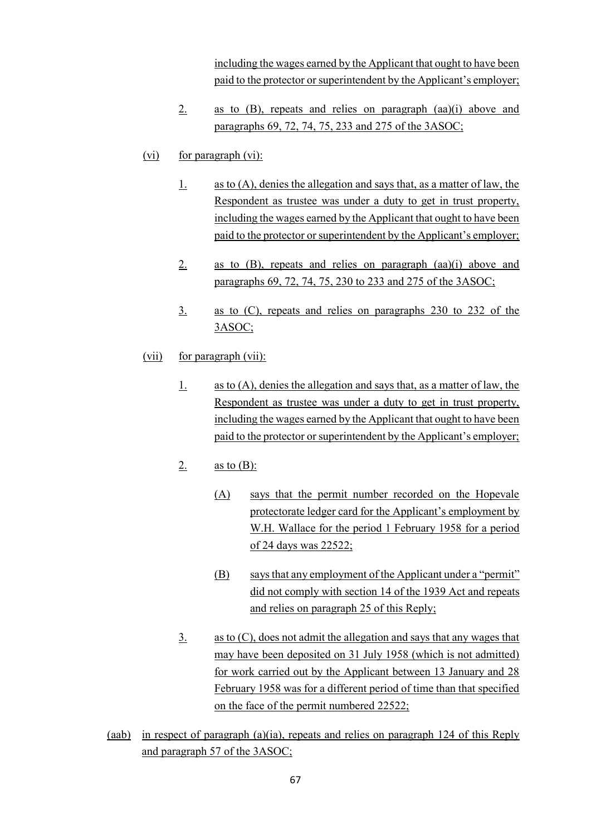including the wages earned by the Applicant that ought to have been paid to the protector or superintendent by the Applicant's employer;

- 2. as to (B), repeats and relies on paragraph (aa)(i) above and paragraphs 69, 72, 74, 75, 233 and 275 of the 3ASOC;
- $(vi)$  for paragraph  $(vi)$ :
	- 1. as to  $(A)$ , denies the allegation and says that, as a matter of law, the Respondent as trustee was under a duty to get in trust property, including the wages earned by the Applicant that ought to have been paid to the protector or superintendent by the Applicant's employer;
	- 2. as to  $(B)$ , repeats and relies on paragraph  $(aa)(i)$  above and paragraphs 69, 72, 74, 75, 230 to 233 and 275 of the 3ASOC;
	- 3. as to (C), repeats and relies on paragraphs 230 to 232 of the 3ASOC;
- (vii) for paragraph (vii):
	- 1. as to (A), denies the allegation and says that, as a matter of law, the Respondent as trustee was under a duty to get in trust property, including the wages earned by the Applicant that ought to have been paid to the protector or superintendent by the Applicant's employer;
	- 2. as to  $(B)$ :
		- (A) says that the permit number recorded on the Hopevale protectorate ledger card for the Applicant's employment by W.H. Wallace for the period 1 February 1958 for a period of 24 days was 22522;
		- (B) says that any employment of the Applicant under a "permit" did not comply with section 14 of the 1939 Act and repeats and relies on paragraph 25 of this Reply;
	- 3. as to (C), does not admit the allegation and says that any wages that may have been deposited on 31 July 1958 (which is not admitted) for work carried out by the Applicant between 13 January and 28 February 1958 was for a different period of time than that specified on the face of the permit numbered 22522;
- (aab) in respect of paragraph (a)(ia), repeats and relies on paragraph 124 of this Reply and paragraph 57 of the 3ASOC;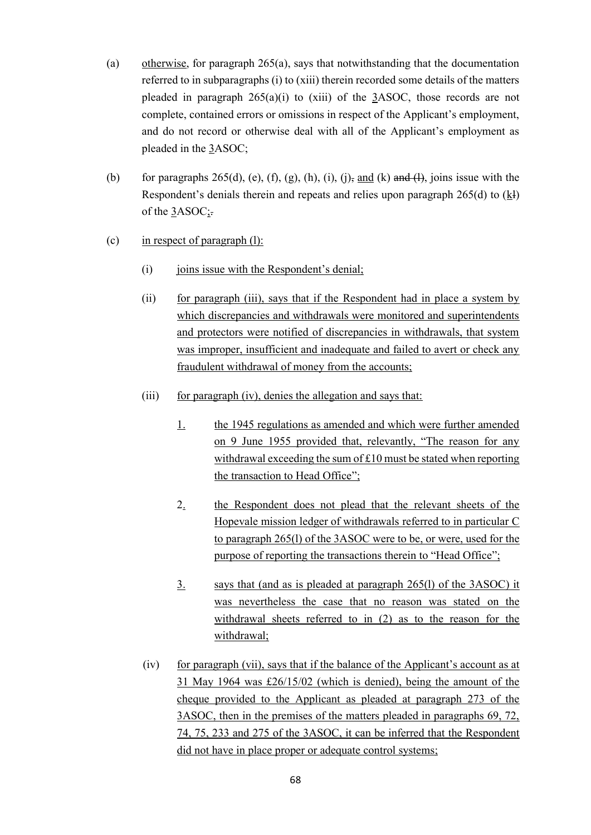- (a) otherwise, for paragraph 265(a), says that notwithstanding that the documentation referred to in subparagraphs (i) to (xiii) therein recorded some details of the matters pleaded in paragraph  $265(a)(i)$  to (xiii) of the 3ASOC, those records are not complete, contained errors or omissions in respect of the Applicant's employment, and do not record or otherwise deal with all of the Applicant's employment as pleaded in the 3ASOC;
- (b) for paragraphs 265(d), (e), (f), (g), (h), (i), (j), and (k) and (l), joins issue with the Respondent's denials therein and repeats and relies upon paragraph 265(d) to (kl) of the 3ASOC;.
- (c) in respect of paragraph (l):
	- (i) joins issue with the Respondent's denial;
	- (ii) for paragraph (iii), says that if the Respondent had in place a system by which discrepancies and withdrawals were monitored and superintendents and protectors were notified of discrepancies in withdrawals, that system was improper, insufficient and inadequate and failed to avert or check any fraudulent withdrawal of money from the accounts;
	- (iii) for paragraph (iv), denies the allegation and says that:
		- 1. the 1945 regulations as amended and which were further amended on 9 June 1955 provided that, relevantly, "The reason for any withdrawal exceeding the sum of £10 must be stated when reporting the transaction to Head Office";
		- 2. the Respondent does not plead that the relevant sheets of the Hopevale mission ledger of withdrawals referred to in particular C to paragraph 265(l) of the 3ASOC were to be, or were, used for the purpose of reporting the transactions therein to "Head Office";
		- 3. says that (and as is pleaded at paragraph 265(l) of the 3ASOC) it was nevertheless the case that no reason was stated on the withdrawal sheets referred to in (2) as to the reason for the withdrawal;
	- $(iv)$  for paragraph (vii), says that if the balance of the Applicant's account as at 31 May 1964 was £26/15/02 (which is denied), being the amount of the cheque provided to the Applicant as pleaded at paragraph 273 of the 3ASOC, then in the premises of the matters pleaded in paragraphs 69, 72, 74, 75, 233 and 275 of the 3ASOC, it can be inferred that the Respondent did not have in place proper or adequate control systems;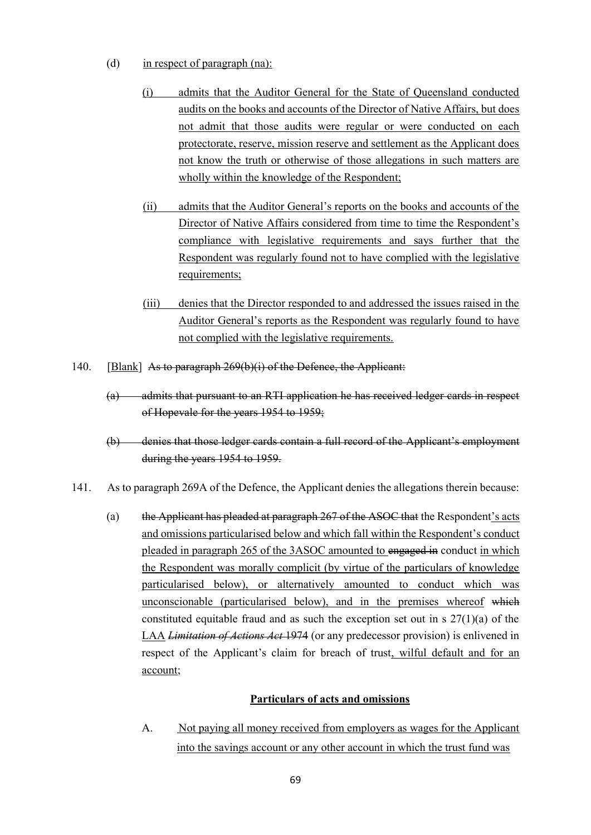- (d) in respect of paragraph (na):
	- (i) admits that the Auditor General for the State of Queensland conducted audits on the books and accounts of the Director of Native Affairs, but does not admit that those audits were regular or were conducted on each protectorate, reserve, mission reserve and settlement as the Applicant does not know the truth or otherwise of those allegations in such matters are wholly within the knowledge of the Respondent;
	- (ii) admits that the Auditor General's reports on the books and accounts of the Director of Native Affairs considered from time to time the Respondent's compliance with legislative requirements and says further that the Respondent was regularly found not to have complied with the legislative requirements;
	- (iii) denies that the Director responded to and addressed the issues raised in the Auditor General's reports as the Respondent was regularly found to have not complied with the legislative requirements.
- 140. [Blank] As to paragraph 269(b)(i) of the Defence, the Applicant:
	- (a) admits that pursuant to an RTI application he has received ledger cards in respect of Hopevale for the years 1954 to 1959;
	- (b) denies that those ledger cards contain a full record of the Applicant's employment during the years 1954 to 1959.
- 141. As to paragraph 269A of the Defence, the Applicant denies the allegations therein because:
	- (a) the Applicant has pleaded at paragraph 267 of the ASOC that the Respondent's acts and omissions particularised below and which fall within the Respondent's conduct pleaded in paragraph 265 of the 3ASOC amounted to engaged in conduct in which the Respondent was morally complicit (by virtue of the particulars of knowledge particularised below), or alternatively amounted to conduct which was unconscionable (particularised below), and in the premises whereof which constituted equitable fraud and as such the exception set out in s 27(1)(a) of the LAA *Limitation of Actions Act* 1974 (or any predecessor provision) is enlivened in respect of the Applicant's claim for breach of trust, wilful default and for an account;

#### **Particulars of acts and omissions**

A. Not paying all money received from employers as wages for the Applicant into the savings account or any other account in which the trust fund was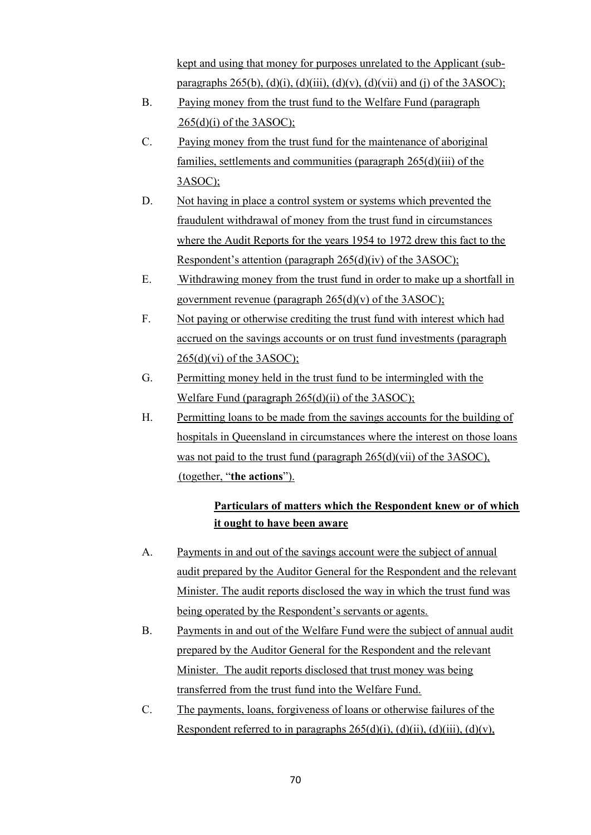kept and using that money for purposes unrelated to the Applicant (subparagraphs  $265(b)$ , (d)(i), (d)(iii), (d)(v), (d)(vii) and (j) of the 3ASOC);

- B. Paying money from the trust fund to the Welfare Fund (paragraph  $265(d)(i)$  of the 3ASOC);
- C. Paying money from the trust fund for the maintenance of aboriginal families, settlements and communities (paragraph 265(d)(iii) of the 3ASOC);
- D. Not having in place a control system or systems which prevented the fraudulent withdrawal of money from the trust fund in circumstances where the Audit Reports for the years 1954 to 1972 drew this fact to the Respondent's attention (paragraph 265(d)(iv) of the 3ASOC);
- E. Withdrawing money from the trust fund in order to make up a shortfall in government revenue (paragraph  $265(d)(v)$  of the  $3ASOC$ );
- F. Not paying or otherwise crediting the trust fund with interest which had accrued on the savings accounts or on trust fund investments (paragraph  $265(d)(vi)$  of the 3ASOC);
- G. Permitting money held in the trust fund to be intermingled with the Welfare Fund (paragraph 265(d)(ii) of the 3ASOC);
- H. Permitting loans to be made from the savings accounts for the building of hospitals in Queensland in circumstances where the interest on those loans was not paid to the trust fund (paragraph 265(d)(vii) of the 3ASOC), (together, "**the actions**").

# **Particulars of matters which the Respondent knew or of which it ought to have been aware**

- A. Payments in and out of the savings account were the subject of annual audit prepared by the Auditor General for the Respondent and the relevant Minister. The audit reports disclosed the way in which the trust fund was being operated by the Respondent's servants or agents.
- B. Payments in and out of the Welfare Fund were the subject of annual audit prepared by the Auditor General for the Respondent and the relevant Minister. The audit reports disclosed that trust money was being transferred from the trust fund into the Welfare Fund.
- C. The payments, loans, forgiveness of loans or otherwise failures of the Respondent referred to in paragraphs  $265(d)(i)$ ,  $(d)(ii)$ ,  $(d)(iii)$ ,  $(d)(v)$ ,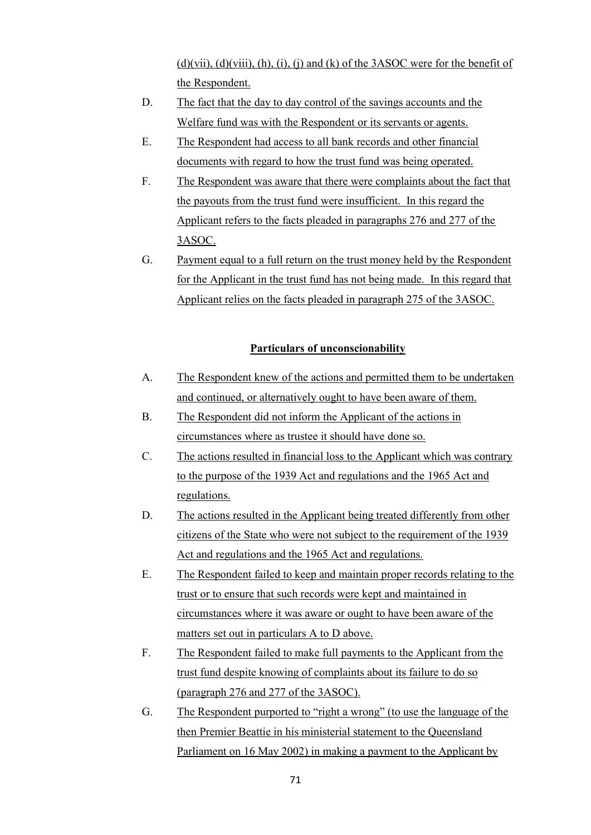$(d)(vii)$ ,  $(d)(viii)$ ,  $(h)$ ,  $(i)$ ,  $(i)$  and  $(k)$  of the 3ASOC were for the benefit of the Respondent.

- D. The fact that the day to day control of the savings accounts and the Welfare fund was with the Respondent or its servants or agents.
- E. The Respondent had access to all bank records and other financial documents with regard to how the trust fund was being operated.
- F. The Respondent was aware that there were complaints about the fact that the payouts from the trust fund were insufficient. In this regard the Applicant refers to the facts pleaded in paragraphs 276 and 277 of the 3ASOC.
- G. Payment equal to a full return on the trust money held by the Respondent for the Applicant in the trust fund has not being made. In this regard that Applicant relies on the facts pleaded in paragraph 275 of the 3ASOC.

## **Particulars of unconscionability**

- A. The Respondent knew of the actions and permitted them to be undertaken and continued, or alternatively ought to have been aware of them.
- B. The Respondent did not inform the Applicant of the actions in circumstances where as trustee it should have done so.
- C. The actions resulted in financial loss to the Applicant which was contrary to the purpose of the 1939 Act and regulations and the 1965 Act and regulations.
- D. The actions resulted in the Applicant being treated differently from other citizens of the State who were not subject to the requirement of the 1939 Act and regulations and the 1965 Act and regulations.
- E. The Respondent failed to keep and maintain proper records relating to the trust or to ensure that such records were kept and maintained in circumstances where it was aware or ought to have been aware of the matters set out in particulars A to D above.
- F. The Respondent failed to make full payments to the Applicant from the trust fund despite knowing of complaints about its failure to do so (paragraph 276 and 277 of the 3ASOC).
- G. The Respondent purported to "right a wrong" (to use the language of the then Premier Beattie in his ministerial statement to the Queensland Parliament on 16 May 2002) in making a payment to the Applicant by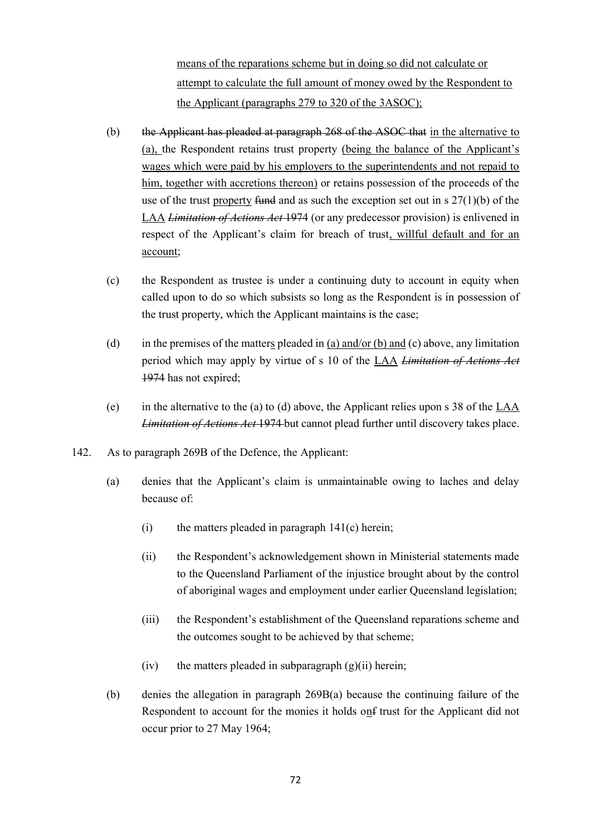means of the reparations scheme but in doing so did not calculate or attempt to calculate the full amount of money owed by the Respondent to the Applicant (paragraphs 279 to 320 of the 3ASOC);

- (b) the Applicant has pleaded at paragraph 268 of the ASOC that in the alternative to (a), the Respondent retains trust property (being the balance of the Applicant's wages which were paid by his employers to the superintendents and not repaid to him, together with accretions thereon) or retains possession of the proceeds of the use of the trust property fund and as such the exception set out in s  $27(1)(b)$  of the LAA *Limitation of Actions Act* 1974 (or any predecessor provision) is enlivened in respect of the Applicant's claim for breach of trust, willful default and for an account;
- (c) the Respondent as trustee is under a continuing duty to account in equity when called upon to do so which subsists so long as the Respondent is in possession of the trust property, which the Applicant maintains is the case;
- (d) in the premises of the matters pleaded in (a) and/or (b) and (c) above, any limitation period which may apply by virtue of s 10 of the LAA *Limitation of Actions Act*  1974 has not expired;
- (e) in the alternative to the (a) to (d) above, the Applicant relies upon s 38 of the LAA *Limitation of Actions Act* 1974 but cannot plead further until discovery takes place.
- 142. As to paragraph 269B of the Defence, the Applicant:
	- (a) denies that the Applicant's claim is unmaintainable owing to laches and delay because of:
		- $(i)$  the matters pleaded in paragraph  $141(c)$  herein;
		- (ii) the Respondent's acknowledgement shown in Ministerial statements made to the Queensland Parliament of the injustice brought about by the control of aboriginal wages and employment under earlier Queensland legislation;
		- (iii) the Respondent's establishment of the Queensland reparations scheme and the outcomes sought to be achieved by that scheme;
		- $(iv)$  the matters pleaded in subparagraph  $(g)(ii)$  herein;
	- (b) denies the allegation in paragraph 269B(a) because the continuing failure of the Respondent to account for the monies it holds onf trust for the Applicant did not occur prior to 27 May 1964;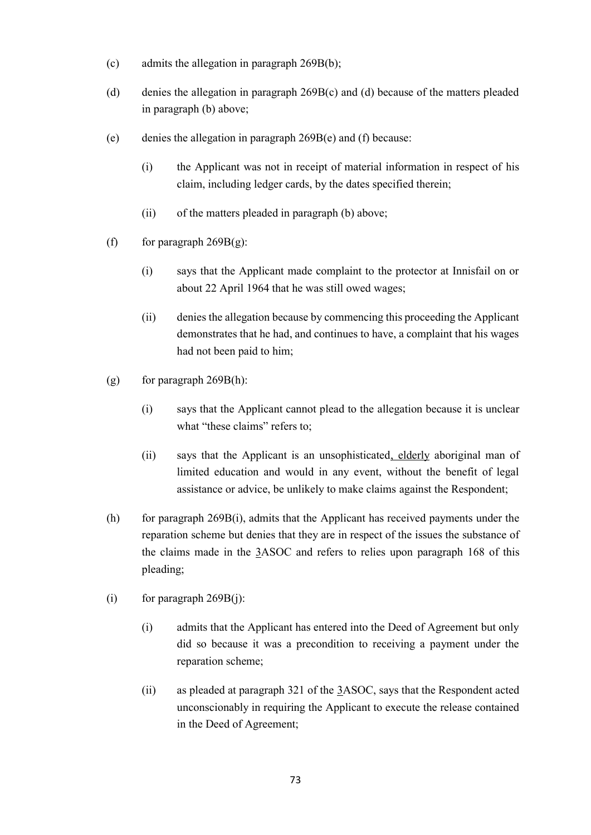- (c) admits the allegation in paragraph 269B(b);
- (d) denies the allegation in paragraph 269B(c) and (d) because of the matters pleaded in paragraph (b) above;
- (e) denies the allegation in paragraph 269B(e) and (f) because:
	- (i) the Applicant was not in receipt of material information in respect of his claim, including ledger cards, by the dates specified therein;
	- (ii) of the matters pleaded in paragraph (b) above;
- (f) for paragraph  $269B(g)$ :
	- (i) says that the Applicant made complaint to the protector at Innisfail on or about 22 April 1964 that he was still owed wages;
	- (ii) denies the allegation because by commencing this proceeding the Applicant demonstrates that he had, and continues to have, a complaint that his wages had not been paid to him;
- (g) for paragraph  $269B(h)$ :
	- (i) says that the Applicant cannot plead to the allegation because it is unclear what "these claims" refers to;
	- (ii) says that the Applicant is an unsophisticated, elderly aboriginal man of limited education and would in any event, without the benefit of legal assistance or advice, be unlikely to make claims against the Respondent;
- (h) for paragraph 269B(i), admits that the Applicant has received payments under the reparation scheme but denies that they are in respect of the issues the substance of the claims made in the 3ASOC and refers to relies upon paragraph 168 of this pleading;
- (i) for paragraph  $269B(j)$ :
	- (i) admits that the Applicant has entered into the Deed of Agreement but only did so because it was a precondition to receiving a payment under the reparation scheme;
	- (ii) as pleaded at paragraph 321 of the 3ASOC, says that the Respondent acted unconscionably in requiring the Applicant to execute the release contained in the Deed of Agreement;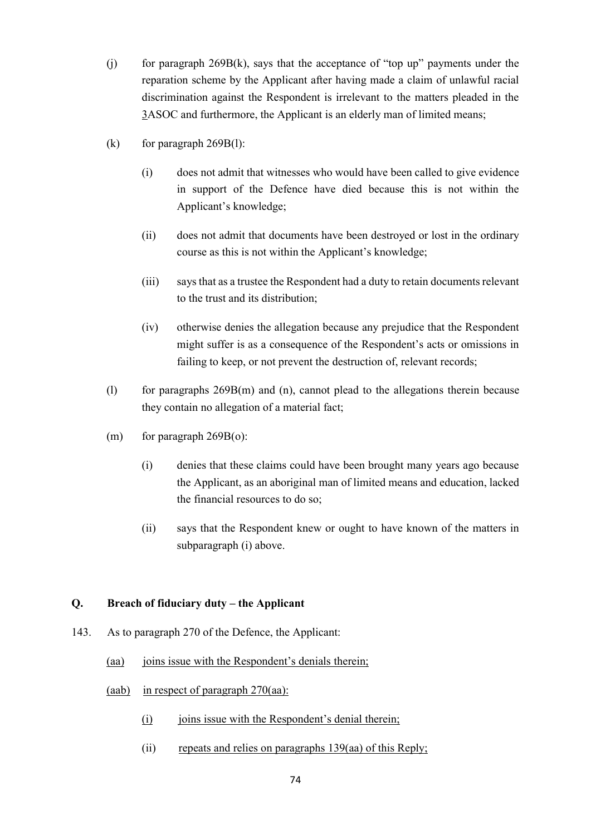- (i) for paragraph  $269B(k)$ , says that the acceptance of "top up" payments under the reparation scheme by the Applicant after having made a claim of unlawful racial discrimination against the Respondent is irrelevant to the matters pleaded in the 3ASOC and furthermore, the Applicant is an elderly man of limited means;
- (k) for paragraph  $269B(1)$ :
	- (i) does not admit that witnesses who would have been called to give evidence in support of the Defence have died because this is not within the Applicant's knowledge;
	- (ii) does not admit that documents have been destroyed or lost in the ordinary course as this is not within the Applicant's knowledge;
	- (iii) says that as a trustee the Respondent had a duty to retain documents relevant to the trust and its distribution;
	- (iv) otherwise denies the allegation because any prejudice that the Respondent might suffer is as a consequence of the Respondent's acts or omissions in failing to keep, or not prevent the destruction of, relevant records;
- (l) for paragraphs 269B(m) and (n), cannot plead to the allegations therein because they contain no allegation of a material fact;
- $(m)$  for paragraph 269B(o):
	- (i) denies that these claims could have been brought many years ago because the Applicant, as an aboriginal man of limited means and education, lacked the financial resources to do so;
	- (ii) says that the Respondent knew or ought to have known of the matters in subparagraph (i) above.

# **Q. Breach of fiduciary duty – the Applicant**

- 143. As to paragraph 270 of the Defence, the Applicant:
	- (aa) joins issue with the Respondent's denials therein;
	- (aab) in respect of paragraph 270(aa):
		- (i) joins issue with the Respondent's denial therein;
		- (ii) repeats and relies on paragraphs 139(aa) of this Reply;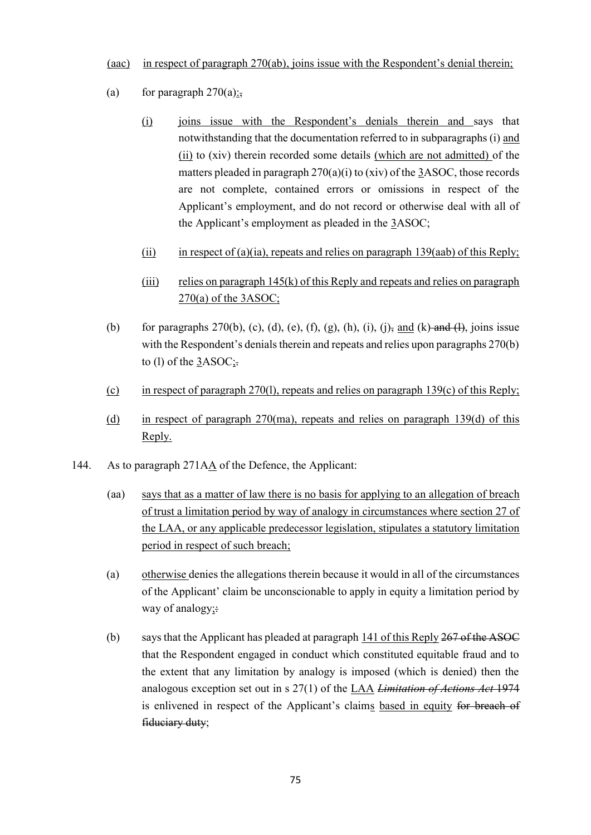#### (aac) in respect of paragraph 270(ab), joins issue with the Respondent's denial therein;

- (a) for paragraph  $270(a)$ :
	- (i) joins issue with the Respondent's denials therein and says that notwithstanding that the documentation referred to in subparagraphs (i) and (ii) to (xiv) therein recorded some details (which are not admitted) of the matters pleaded in paragraph 270(a)(i) to (xiv) of the 3ASOC, those records are not complete, contained errors or omissions in respect of the Applicant's employment, and do not record or otherwise deal with all of the Applicant's employment as pleaded in the 3ASOC;
	- (ii) in respect of (a)(ia), repeats and relies on paragraph 139(aab) of this Reply;
	- $(iii)$  relies on paragraph 145(k) of this Reply and repeats and relies on paragraph 270(a) of the 3ASOC;
- (b) for paragraphs 270(b), (c), (d), (e), (f), (g), (h), (i), (i), and (k) and (l), joins issue with the Respondent's denials therein and repeats and relies upon paragraphs 270(b) to (l) of the  $3ASOC$ ;
- (c) in respect of paragraph 270(l), repeats and relies on paragraph 139(c) of this Reply;
- (d) in respect of paragraph 270(ma), repeats and relies on paragraph 139(d) of this Reply.
- 144. As to paragraph 271AA of the Defence, the Applicant:
	- (aa) says that as a matter of law there is no basis for applying to an allegation of breach of trust a limitation period by way of analogy in circumstances where section 27 of the LAA, or any applicable predecessor legislation, stipulates a statutory limitation period in respect of such breach;
	- (a) otherwise denies the allegations therein because it would in all of the circumstances of the Applicant' claim be unconscionable to apply in equity a limitation period by way of analogy; $\div$
	- (b) says that the Applicant has pleaded at paragraph 141 of this Reply 267 of the ASOC that the Respondent engaged in conduct which constituted equitable fraud and to the extent that any limitation by analogy is imposed (which is denied) then the analogous exception set out in s 27(1) of the LAA *Limitation of Actions Act* 1974 is enlivened in respect of the Applicant's claims based in equity for breach of fiduciary duty;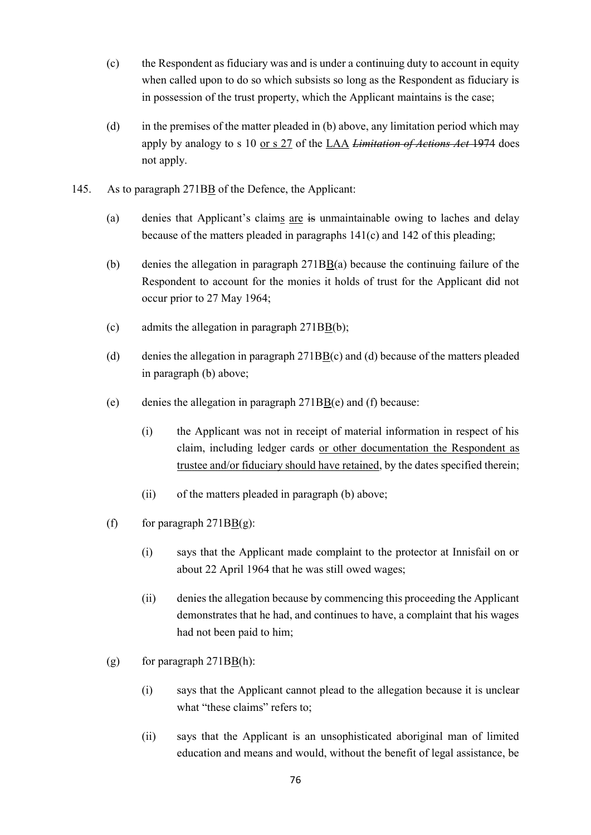- (c) the Respondent as fiduciary was and is under a continuing duty to account in equity when called upon to do so which subsists so long as the Respondent as fiduciary is in possession of the trust property, which the Applicant maintains is the case;
- (d) in the premises of the matter pleaded in (b) above, any limitation period which may apply by analogy to s 10 or s 27 of the LAA *Limitation of Actions Act* 1974 does not apply.
- 145. As to paragraph 271BB of the Defence, the Applicant:
	- (a) denies that Applicant's claims are is unmaintainable owing to laches and delay because of the matters pleaded in paragraphs 141(c) and 142 of this pleading;
	- (b) denies the allegation in paragraph 271BB(a) because the continuing failure of the Respondent to account for the monies it holds of trust for the Applicant did not occur prior to 27 May 1964;
	- (c) admits the allegation in paragraph 271BB(b);
	- (d) denies the allegation in paragraph  $271B\overline{B}(c)$  and (d) because of the matters pleaded in paragraph (b) above;
	- (e) denies the allegation in paragraph  $271BB(e)$  and (f) because:
		- (i) the Applicant was not in receipt of material information in respect of his claim, including ledger cards or other documentation the Respondent as trustee and/or fiduciary should have retained, by the dates specified therein;
		- (ii) of the matters pleaded in paragraph (b) above;
	- (f) for paragraph  $271B\underline{B(g)}$ :
		- (i) says that the Applicant made complaint to the protector at Innisfail on or about 22 April 1964 that he was still owed wages;
		- (ii) denies the allegation because by commencing this proceeding the Applicant demonstrates that he had, and continues to have, a complaint that his wages had not been paid to him;
	- (g) for paragraph  $271BB(h)$ :
		- (i) says that the Applicant cannot plead to the allegation because it is unclear what "these claims" refers to;
		- (ii) says that the Applicant is an unsophisticated aboriginal man of limited education and means and would, without the benefit of legal assistance, be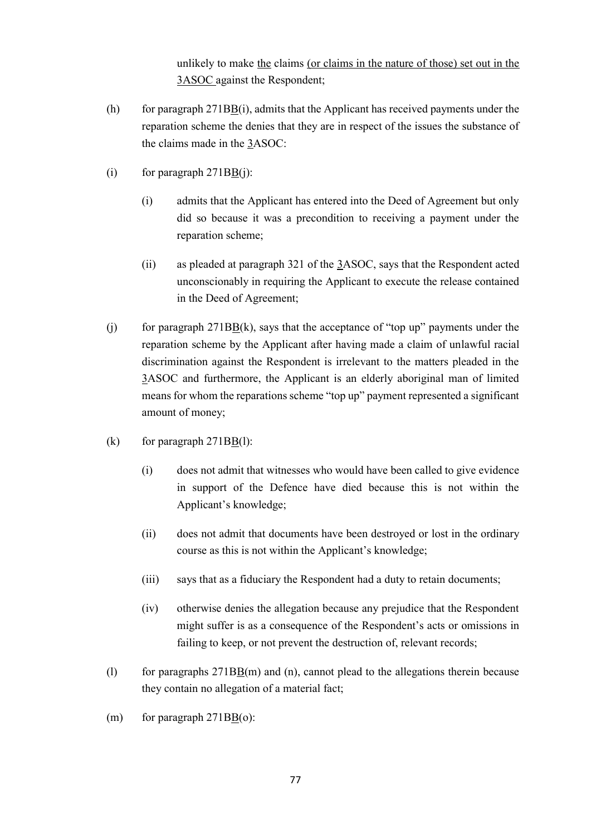unlikely to make the claims (or claims in the nature of those) set out in the 3ASOC against the Respondent;

- (h) for paragraph 271BB(i), admits that the Applicant has received payments under the reparation scheme the denies that they are in respect of the issues the substance of the claims made in the 3ASOC:
- (i) for paragraph  $271B\underline{B}(i)$ :
	- (i) admits that the Applicant has entered into the Deed of Agreement but only did so because it was a precondition to receiving a payment under the reparation scheme;
	- (ii) as pleaded at paragraph 321 of the 3ASOC, says that the Respondent acted unconscionably in requiring the Applicant to execute the release contained in the Deed of Agreement;
- (i) for paragraph  $271BB(k)$ , says that the acceptance of "top up" payments under the reparation scheme by the Applicant after having made a claim of unlawful racial discrimination against the Respondent is irrelevant to the matters pleaded in the 3ASOC and furthermore, the Applicant is an elderly aboriginal man of limited means for whom the reparations scheme "top up" payment represented a significant amount of money;
- (k) for paragraph  $271B\underline{B}(l)$ :
	- (i) does not admit that witnesses who would have been called to give evidence in support of the Defence have died because this is not within the Applicant's knowledge;
	- (ii) does not admit that documents have been destroyed or lost in the ordinary course as this is not within the Applicant's knowledge;
	- (iii) says that as a fiduciary the Respondent had a duty to retain documents;
	- (iv) otherwise denies the allegation because any prejudice that the Respondent might suffer is as a consequence of the Respondent's acts or omissions in failing to keep, or not prevent the destruction of, relevant records;
- (l) for paragraphs 271BB(m) and (n), cannot plead to the allegations therein because they contain no allegation of a material fact;
- (m) for paragraph  $271B\underline{B}(o)$ :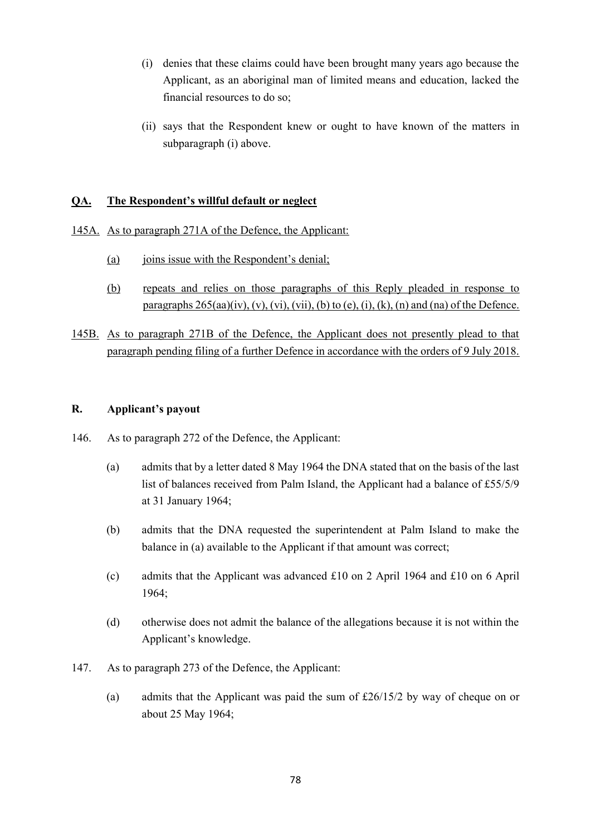- (i) denies that these claims could have been brought many years ago because the Applicant, as an aboriginal man of limited means and education, lacked the financial resources to do so;
- (ii) says that the Respondent knew or ought to have known of the matters in subparagraph (i) above.

### **QA. The Respondent's willful default or neglect**

- 145A. As to paragraph 271A of the Defence, the Applicant:
	- (a) joins issue with the Respondent's denial;
	- (b) repeats and relies on those paragraphs of this Reply pleaded in response to paragraphs  $265(aa)(iv)$ ,  $(v)$ ,  $(vi)$ ,  $(vii)$ ,  $(b)$  to  $(e)$ ,  $(i)$ ,  $(k)$ ,  $(n)$  and  $(na)$  of the Defence.
- 145B. As to paragraph 271B of the Defence, the Applicant does not presently plead to that paragraph pending filing of a further Defence in accordance with the orders of 9 July 2018.

### **R. Applicant's payout**

- 146. As to paragraph 272 of the Defence, the Applicant:
	- (a) admits that by a letter dated 8 May 1964 the DNA stated that on the basis of the last list of balances received from Palm Island, the Applicant had a balance of £55/5/9 at 31 January 1964;
	- (b) admits that the DNA requested the superintendent at Palm Island to make the balance in (a) available to the Applicant if that amount was correct;
	- (c) admits that the Applicant was advanced £10 on 2 April 1964 and £10 on 6 April 1964;
	- (d) otherwise does not admit the balance of the allegations because it is not within the Applicant's knowledge.
- 147. As to paragraph 273 of the Defence, the Applicant:
	- (a) admits that the Applicant was paid the sum of £26/15/2 by way of cheque on or about 25 May 1964;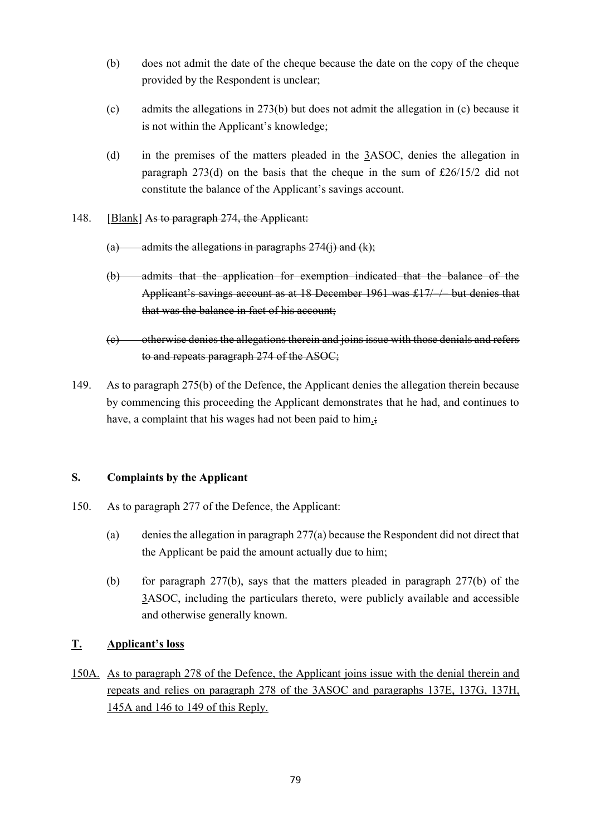- (b) does not admit the date of the cheque because the date on the copy of the cheque provided by the Respondent is unclear;
- (c) admits the allegations in 273(b) but does not admit the allegation in (c) because it is not within the Applicant's knowledge;
- (d) in the premises of the matters pleaded in the 3ASOC, denies the allegation in paragraph 273(d) on the basis that the cheque in the sum of £26/15/2 did not constitute the balance of the Applicant's savings account.
- 148. [Blank] As to paragraph 274, the Applicant:
	- (a) admits the allegations in paragraphs  $274(i)$  and  $(k)$ ;
	- (b) admits that the application for exemption indicated that the balance of the Applicant's savings account as at 18 December 1961 was  $\pounds$ 17/  $/$  but denies that that was the balance in fact of his account:
	- (c) otherwise denies the allegations therein and joins issue with those denials and refers to and repeats paragraph 274 of the ASOC;
- 149. As to paragraph 275(b) of the Defence, the Applicant denies the allegation therein because by commencing this proceeding the Applicant demonstrates that he had, and continues to have, a complaint that his wages had not been paid to him.;

# **S. Complaints by the Applicant**

- 150. As to paragraph 277 of the Defence, the Applicant:
	- (a) denies the allegation in paragraph 277(a) because the Respondent did not direct that the Applicant be paid the amount actually due to him;
	- (b) for paragraph 277(b), says that the matters pleaded in paragraph 277(b) of the 3ASOC, including the particulars thereto, were publicly available and accessible and otherwise generally known.

# **T. Applicant's loss**

150A. As to paragraph 278 of the Defence, the Applicant joins issue with the denial therein and repeats and relies on paragraph 278 of the 3ASOC and paragraphs 137E, 137G, 137H, 145A and 146 to 149 of this Reply.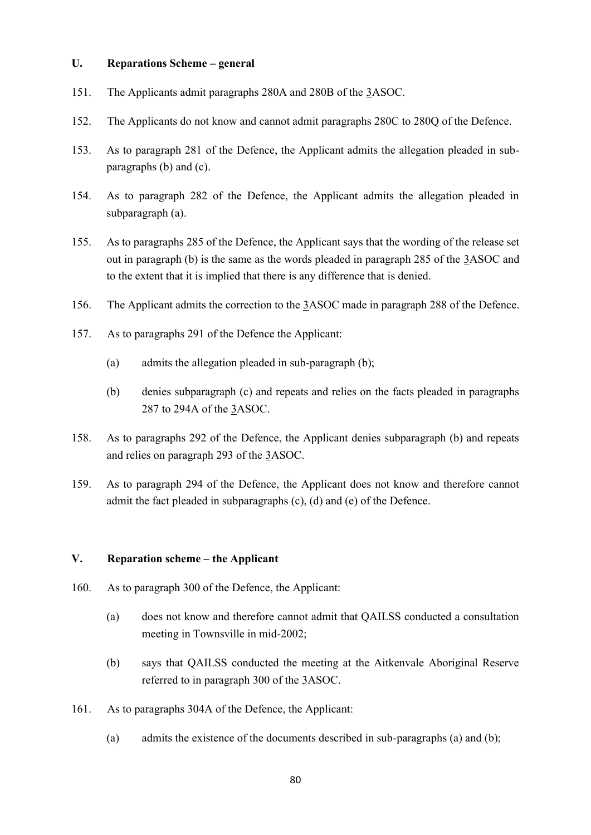### **U. Reparations Scheme – general**

- 151. The Applicants admit paragraphs 280A and 280B of the 3ASOC.
- 152. The Applicants do not know and cannot admit paragraphs 280C to 280Q of the Defence.
- 153. As to paragraph 281 of the Defence, the Applicant admits the allegation pleaded in subparagraphs (b) and (c).
- 154. As to paragraph 282 of the Defence, the Applicant admits the allegation pleaded in subparagraph (a).
- 155. As to paragraphs 285 of the Defence, the Applicant says that the wording of the release set out in paragraph (b) is the same as the words pleaded in paragraph 285 of the 3ASOC and to the extent that it is implied that there is any difference that is denied.
- 156. The Applicant admits the correction to the 3ASOC made in paragraph 288 of the Defence.
- 157. As to paragraphs 291 of the Defence the Applicant:
	- (a) admits the allegation pleaded in sub-paragraph (b);
	- (b) denies subparagraph (c) and repeats and relies on the facts pleaded in paragraphs 287 to 294A of the 3ASOC.
- 158. As to paragraphs 292 of the Defence, the Applicant denies subparagraph (b) and repeats and relies on paragraph 293 of the 3ASOC.
- 159. As to paragraph 294 of the Defence, the Applicant does not know and therefore cannot admit the fact pleaded in subparagraphs (c), (d) and (e) of the Defence.

#### **V. Reparation scheme – the Applicant**

- 160. As to paragraph 300 of the Defence, the Applicant:
	- (a) does not know and therefore cannot admit that QAILSS conducted a consultation meeting in Townsville in mid-2002;
	- (b) says that QAILSS conducted the meeting at the Aitkenvale Aboriginal Reserve referred to in paragraph 300 of the 3ASOC.
- 161. As to paragraphs 304A of the Defence, the Applicant:
	- (a) admits the existence of the documents described in sub-paragraphs (a) and (b);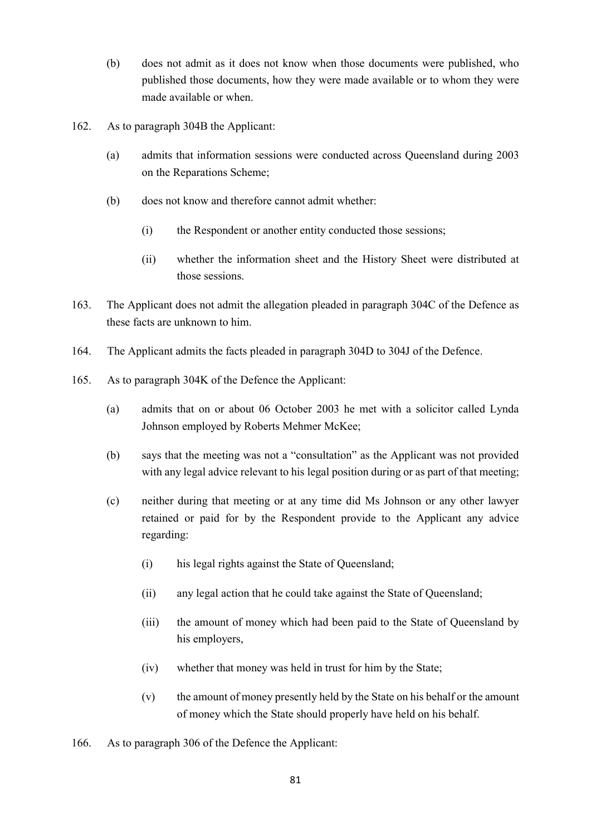- (b) does not admit as it does not know when those documents were published, who published those documents, how they were made available or to whom they were made available or when.
- 162. As to paragraph 304B the Applicant:
	- (a) admits that information sessions were conducted across Queensland during 2003 on the Reparations Scheme;
	- (b) does not know and therefore cannot admit whether:
		- (i) the Respondent or another entity conducted those sessions;
		- (ii) whether the information sheet and the History Sheet were distributed at those sessions.
- 163. The Applicant does not admit the allegation pleaded in paragraph 304C of the Defence as these facts are unknown to him.
- 164. The Applicant admits the facts pleaded in paragraph 304D to 304J of the Defence.
- 165. As to paragraph 304K of the Defence the Applicant:
	- (a) admits that on or about 06 October 2003 he met with a solicitor called Lynda Johnson employed by Roberts Mehmer McKee;
	- (b) says that the meeting was not a "consultation" as the Applicant was not provided with any legal advice relevant to his legal position during or as part of that meeting;
	- (c) neither during that meeting or at any time did Ms Johnson or any other lawyer retained or paid for by the Respondent provide to the Applicant any advice regarding:
		- (i) his legal rights against the State of Queensland;
		- (ii) any legal action that he could take against the State of Queensland;
		- (iii) the amount of money which had been paid to the State of Queensland by his employers,
		- (iv) whether that money was held in trust for him by the State;
		- (v) the amount of money presently held by the State on his behalf or the amount of money which the State should properly have held on his behalf.
- 166. As to paragraph 306 of the Defence the Applicant: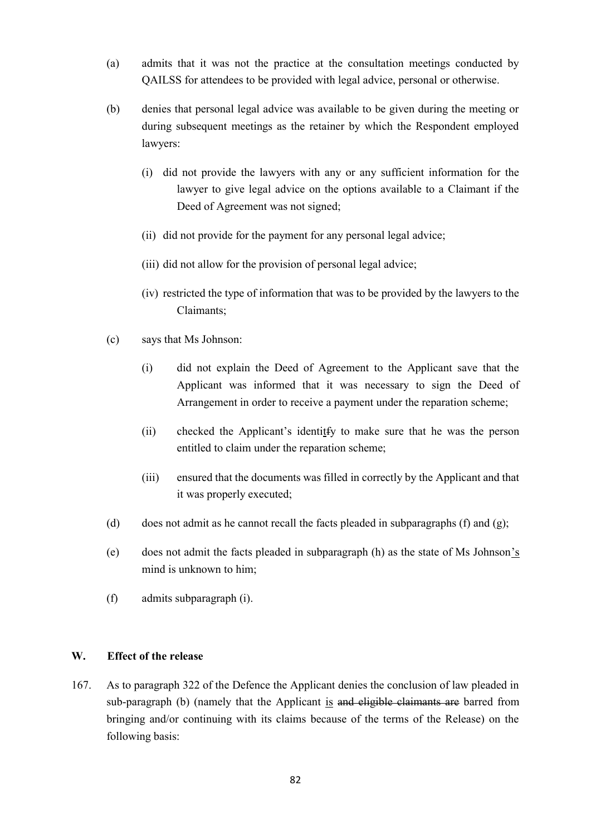- (a) admits that it was not the practice at the consultation meetings conducted by QAILSS for attendees to be provided with legal advice, personal or otherwise.
- (b) denies that personal legal advice was available to be given during the meeting or during subsequent meetings as the retainer by which the Respondent employed lawyers:
	- (i) did not provide the lawyers with any or any sufficient information for the lawyer to give legal advice on the options available to a Claimant if the Deed of Agreement was not signed;
	- (ii) did not provide for the payment for any personal legal advice;
	- (iii) did not allow for the provision of personal legal advice;
	- (iv) restricted the type of information that was to be provided by the lawyers to the Claimants;
- (c) says that Ms Johnson:
	- (i) did not explain the Deed of Agreement to the Applicant save that the Applicant was informed that it was necessary to sign the Deed of Arrangement in order to receive a payment under the reparation scheme;
	- (ii) checked the Applicant's identitfy to make sure that he was the person entitled to claim under the reparation scheme;
	- (iii) ensured that the documents was filled in correctly by the Applicant and that it was properly executed;
- (d) does not admit as he cannot recall the facts pleaded in subparagraphs (f) and (g);
- (e) does not admit the facts pleaded in subparagraph (h) as the state of Ms Johnson's mind is unknown to him;
- (f) admits subparagraph (i).

#### **W. Effect of the release**

167. As to paragraph 322 of the Defence the Applicant denies the conclusion of law pleaded in sub-paragraph (b) (namely that the Applicant is and eligible claimants are barred from bringing and/or continuing with its claims because of the terms of the Release) on the following basis: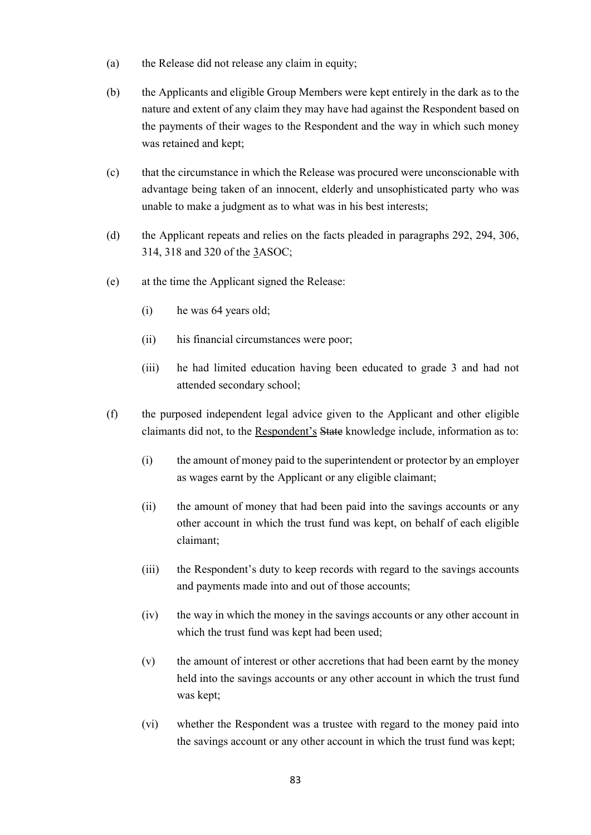- (a) the Release did not release any claim in equity;
- (b) the Applicants and eligible Group Members were kept entirely in the dark as to the nature and extent of any claim they may have had against the Respondent based on the payments of their wages to the Respondent and the way in which such money was retained and kept;
- (c) that the circumstance in which the Release was procured were unconscionable with advantage being taken of an innocent, elderly and unsophisticated party who was unable to make a judgment as to what was in his best interests;
- (d) the Applicant repeats and relies on the facts pleaded in paragraphs 292, 294, 306, 314, 318 and 320 of the 3ASOC;
- (e) at the time the Applicant signed the Release:
	- (i) he was 64 years old;
	- (ii) his financial circumstances were poor;
	- (iii) he had limited education having been educated to grade 3 and had not attended secondary school;
- (f) the purposed independent legal advice given to the Applicant and other eligible claimants did not, to the Respondent's State knowledge include, information as to:
	- (i) the amount of money paid to the superintendent or protector by an employer as wages earnt by the Applicant or any eligible claimant;
	- (ii) the amount of money that had been paid into the savings accounts or any other account in which the trust fund was kept, on behalf of each eligible claimant;
	- (iii) the Respondent's duty to keep records with regard to the savings accounts and payments made into and out of those accounts;
	- (iv) the way in which the money in the savings accounts or any other account in which the trust fund was kept had been used:
	- (v) the amount of interest or other accretions that had been earnt by the money held into the savings accounts or any other account in which the trust fund was kept;
	- (vi) whether the Respondent was a trustee with regard to the money paid into the savings account or any other account in which the trust fund was kept;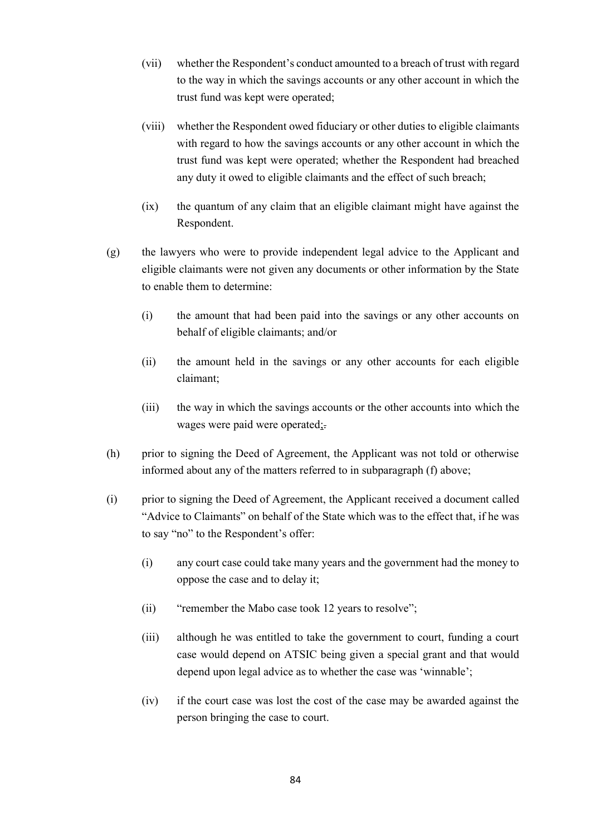- (vii) whether the Respondent's conduct amounted to a breach of trust with regard to the way in which the savings accounts or any other account in which the trust fund was kept were operated;
- (viii) whether the Respondent owed fiduciary or other duties to eligible claimants with regard to how the savings accounts or any other account in which the trust fund was kept were operated; whether the Respondent had breached any duty it owed to eligible claimants and the effect of such breach;
- (ix) the quantum of any claim that an eligible claimant might have against the Respondent.
- (g) the lawyers who were to provide independent legal advice to the Applicant and eligible claimants were not given any documents or other information by the State to enable them to determine:
	- (i) the amount that had been paid into the savings or any other accounts on behalf of eligible claimants; and/or
	- (ii) the amount held in the savings or any other accounts for each eligible claimant;
	- (iii) the way in which the savings accounts or the other accounts into which the wages were paid were operated;.
- (h) prior to signing the Deed of Agreement, the Applicant was not told or otherwise informed about any of the matters referred to in subparagraph (f) above;
- (i) prior to signing the Deed of Agreement, the Applicant received a document called "Advice to Claimants" on behalf of the State which was to the effect that, if he was to say "no" to the Respondent's offer:
	- (i) any court case could take many years and the government had the money to oppose the case and to delay it;
	- (ii) "remember the Mabo case took 12 years to resolve";
	- (iii) although he was entitled to take the government to court, funding a court case would depend on ATSIC being given a special grant and that would depend upon legal advice as to whether the case was 'winnable';
	- (iv) if the court case was lost the cost of the case may be awarded against the person bringing the case to court.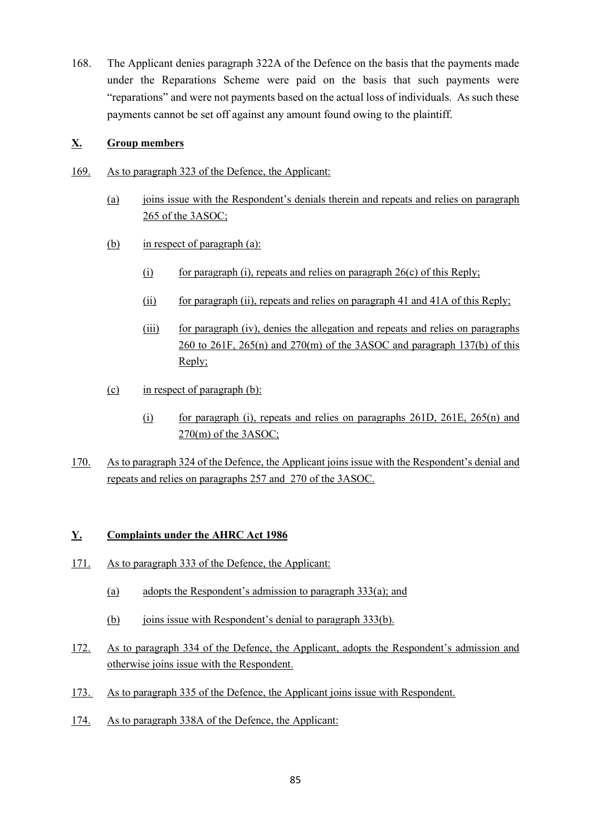168. The Applicant denies paragraph 322A of the Defence on the basis that the payments made under the Reparations Scheme were paid on the basis that such payments were "reparations" and were not payments based on the actual loss of individuals. As such these payments cannot be set off against any amount found owing to the plaintiff.

### **X. Group members**

- 169. As to paragraph 323 of the Defence, the Applicant:
	- (a) joins issue with the Respondent's denials therein and repeats and relies on paragraph 265 of the 3ASOC;
	- (b) in respect of paragraph (a):
		- (i) for paragraph (i), repeats and relies on paragraph  $26(c)$  of this Reply;
		- (ii) for paragraph (ii), repeats and relies on paragraph 41 and 41A of this Reply;
		- (iii) for paragraph (iv), denies the allegation and repeats and relies on paragraphs  $260$  to  $261$ F,  $265(n)$  and  $270(m)$  of the 3ASOC and paragraph 137(b) of this Reply;
	- (c) in respect of paragraph (b):
		- (i) for paragraph (i), repeats and relies on paragraphs 261D, 261E, 265(n) and 270(m) of the 3ASOC;
- 170. As to paragraph 324 of the Defence, the Applicant joins issue with the Respondent's denial and repeats and relies on paragraphs 257 and 270 of the 3ASOC.

# **Y. Complaints under the AHRC Act 1986**

- 171. As to paragraph 333 of the Defence, the Applicant:
	- (a) adopts the Respondent's admission to paragraph 333(a); and
	- (b) joins issue with Respondent's denial to paragraph 333(b).
- 172. As to paragraph 334 of the Defence, the Applicant, adopts the Respondent's admission and otherwise joins issue with the Respondent.
- 173. As to paragraph 335 of the Defence, the Applicant joins issue with Respondent.
- 174. As to paragraph 338A of the Defence, the Applicant: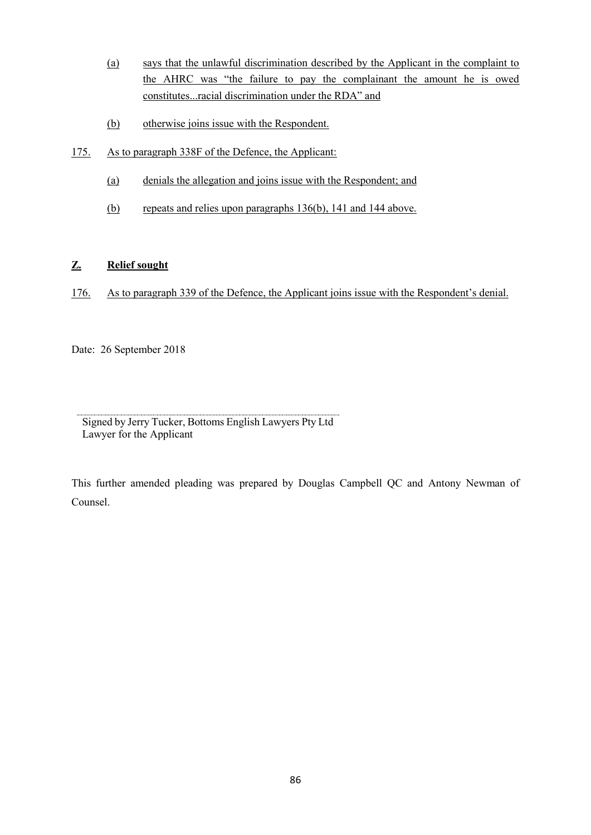- (a) says that the unlawful discrimination described by the Applicant in the complaint to the AHRC was "the failure to pay the complainant the amount he is owed constitutes...racial discrimination under the RDA" and
- (b) otherwise joins issue with the Respondent.
- 175. As to paragraph 338F of the Defence, the Applicant:
	- (a) denials the allegation and joins issue with the Respondent; and
	- (b) repeats and relies upon paragraphs 136(b), 141 and 144 above.

# **Z. Relief sought**

176. As to paragraph 339 of the Defence, the Applicant joins issue with the Respondent's denial.

Date: 26 September 2018

Signed by Jerry Tucker, Bottoms English Lawyers Pty Ltd Lawyer for the Applicant

This further amended pleading was prepared by Douglas Campbell QC and Antony Newman of Counsel.